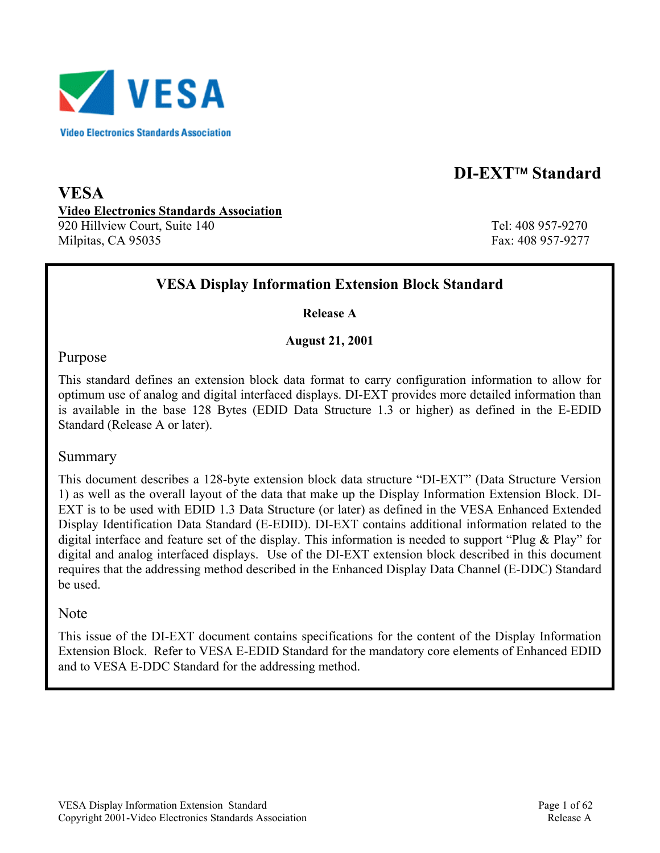

# **DI-EXT<sup>™</sup> Standard**

**VESA Video Electronics Standards Association** 920 Hillview Court, Suite 140 Tel: 408 957-9270 Milpitas, CA 95035 Fax: 408 957-9277

## **VESA Display Information Extension Block Standard**

**Release A** 

**August 21, 2001** 

#### Purpose

This standard defines an extension block data format to carry configuration information to allow for optimum use of analog and digital interfaced displays. DI-EXT provides more detailed information than is available in the base 128 Bytes (EDID Data Structure 1.3 or higher) as defined in the E-EDID Standard (Release A or later).

#### Summary

This document describes a 128-byte extension block data structure "DI-EXT" (Data Structure Version 1) as well as the overall layout of the data that make up the Display Information Extension Block. DI-EXT is to be used with EDID 1.3 Data Structure (or later) as defined in the VESA Enhanced Extended Display Identification Data Standard (E-EDID). DI-EXT contains additional information related to the digital interface and feature set of the display. This information is needed to support "Plug & Play" for digital and analog interfaced displays. Use of the DI-EXT extension block described in this document requires that the addressing method described in the Enhanced Display Data Channel (E-DDC) Standard be used.

#### Note

This issue of the DI-EXT document contains specifications for the content of the Display Information Extension Block. Refer to VESA E-EDID Standard for the mandatory core elements of Enhanced EDID and to VESA E-DDC Standard for the addressing method.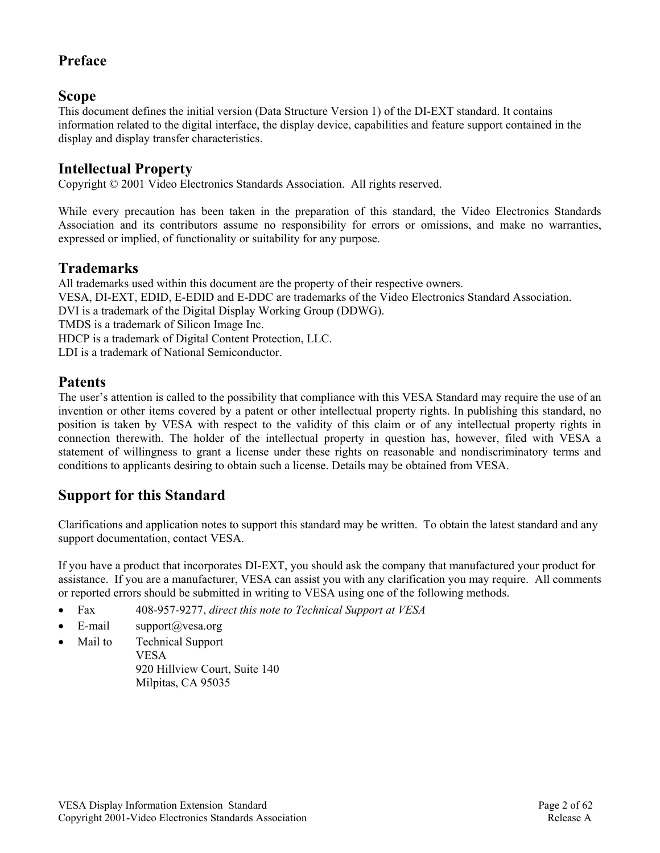## **Preface**

## **Scope**

This document defines the initial version (Data Structure Version 1) of the DI-EXT standard. It contains information related to the digital interface, the display device, capabilities and feature support contained in the display and display transfer characteristics.

## **Intellectual Property**

Copyright © 2001 Video Electronics Standards Association. All rights reserved.

While every precaution has been taken in the preparation of this standard, the Video Electronics Standards Association and its contributors assume no responsibility for errors or omissions, and make no warranties, expressed or implied, of functionality or suitability for any purpose.

## **Trademarks**

All trademarks used within this document are the property of their respective owners. VESA, DI-EXT, EDID, E-EDID and E-DDC are trademarks of the Video Electronics Standard Association. DVI is a trademark of the Digital Display Working Group (DDWG). TMDS is a trademark of Silicon Image Inc. HDCP is a trademark of Digital Content Protection, LLC. LDI is a trademark of National Semiconductor.

## **Patents**

The user's attention is called to the possibility that compliance with this VESA Standard may require the use of an invention or other items covered by a patent or other intellectual property rights. In publishing this standard, no position is taken by VESA with respect to the validity of this claim or of any intellectual property rights in connection therewith. The holder of the intellectual property in question has, however, filed with VESA a statement of willingness to grant a license under these rights on reasonable and nondiscriminatory terms and conditions to applicants desiring to obtain such a license. Details may be obtained from VESA.

## **Support for this Standard**

Clarifications and application notes to support this standard may be written. To obtain the latest standard and any support documentation, contact VESA.

If you have a product that incorporates DI-EXT, you should ask the company that manufactured your product for assistance. If you are a manufacturer, VESA can assist you with any clarification you may require. All comments or reported errors should be submitted in writing to VESA using one of the following methods.

- Fax 408-957-9277, *direct this note to Technical Support at VESA*
- E-mail support@vesa.org
- Mail to Technical Support VESA 920 Hillview Court, Suite 140 Milpitas, CA 95035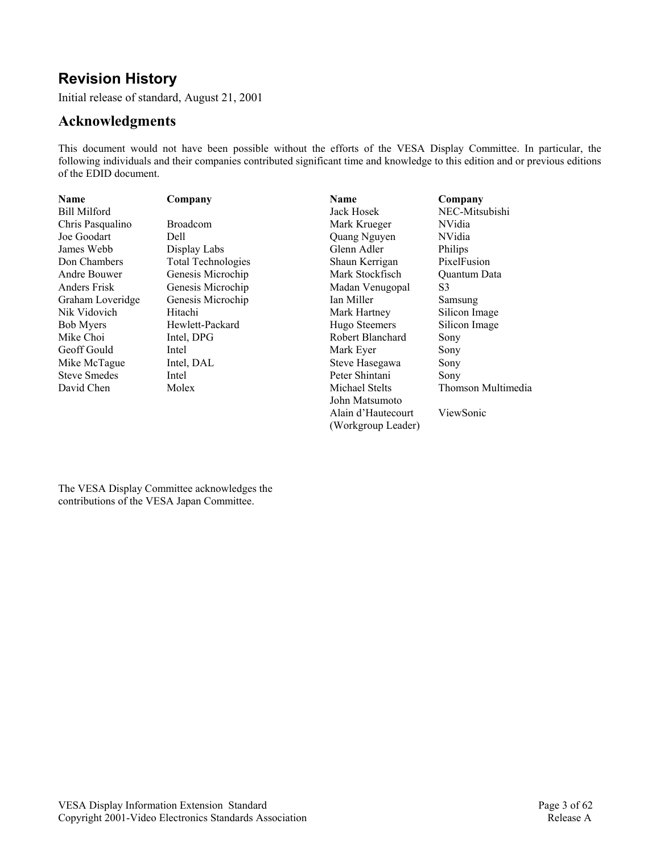# **Revision History**

Initial release of standard, August 21, 2001

## **Acknowledgments**

This document would not have been possible without the efforts of the VESA Display Committee. In particular, the following individuals and their companies contributed significant time and knowledge to this edition and or previous editions of the EDID document.

> Alain d'Hautecourt (Workgroup Leader)

ViewSonic

| <b>Name</b>         | Company                   | <b>Name</b>      | Company             |
|---------------------|---------------------------|------------------|---------------------|
| <b>Bill Milford</b> |                           | Jack Hosek       | NEC-Mitsubishi      |
| Chris Pasqualino    | <b>Broadcom</b>           | Mark Krueger     | NVidia              |
| Joe Goodart         | Dell                      | Quang Nguyen     | NVidia              |
| James Webb          | Display Labs              | Glenn Adler      | Philips             |
| Don Chambers        | <b>Total Technologies</b> | Shaun Kerrigan   | PixelFusion         |
| Andre Bouwer        | Genesis Microchip         | Mark Stockfisch  | <b>Ouantum Data</b> |
| <b>Anders Frisk</b> | Genesis Microchip         | Madan Venugopal  | S3                  |
| Graham Loveridge    | Genesis Microchip         | Ian Miller       | Samsung             |
| Nik Vidovich        | Hitachi                   | Mark Hartney     | Silicon Image       |
| <b>Bob Myers</b>    | Hewlett-Packard           | Hugo Steemers    | Silicon Image       |
| Mike Choi           | Intel, DPG                | Robert Blanchard | Sony                |
| Geoff Gould         | Intel                     | Mark Eyer        | Sony                |
| Mike McTague        | Intel, DAL                | Steve Hasegawa   | Sony                |
| <b>Steve Smedes</b> | Intel                     | Peter Shintani   | Sony                |
| David Chen          | Molex                     | Michael Stelts   | Thomson Multimedia  |
|                     |                           | John Matsumoto   |                     |

The VESA Display Committee acknowledges the contributions of the VESA Japan Committee.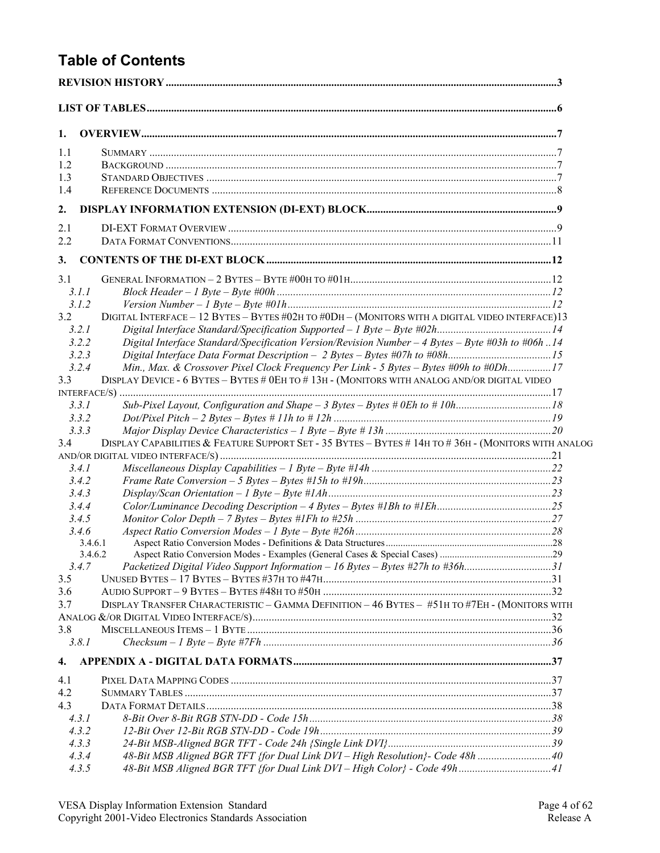# **Table of Contents**

| 1.             |                                                                                                      |  |
|----------------|------------------------------------------------------------------------------------------------------|--|
| 1.1            |                                                                                                      |  |
| 1.2            |                                                                                                      |  |
| 1.3            |                                                                                                      |  |
| 1.4            |                                                                                                      |  |
| 2.             |                                                                                                      |  |
| 2.1            |                                                                                                      |  |
| 2.2            |                                                                                                      |  |
| 3.             |                                                                                                      |  |
| 3.1            |                                                                                                      |  |
| 3.1.1          |                                                                                                      |  |
| 3.1.2          |                                                                                                      |  |
| 3.2            | DIGITAL INTERFACE - 12 BYTES - BYTES #02H TO #0DH - (MONITORS WITH A DIGITAL VIDEO INTERFACE)13      |  |
| 3.2.1          |                                                                                                      |  |
| 3.2.2          | Digital Interface Standard/Specification Version/Revision Number $-4$ Bytes $-$ Byte #03h to #06h 14 |  |
| 3.2.3          |                                                                                                      |  |
| 3.2.4          | Min., Max. & Crossover Pixel Clock Frequency Per Link - 5 Bytes - Bytes #09h to #0Dh17               |  |
| 3.3            | DISPLAY DEVICE - 6 BYTES - BYTES # 0EH TO # 13H - (MONITORS WITH ANALOG AND/OR DIGITAL VIDEO         |  |
|                |                                                                                                      |  |
| 3.3.1<br>3.3.2 |                                                                                                      |  |
| 3.3.3          |                                                                                                      |  |
| 3.4            | DISPLAY CAPABILITIES & FEATURE SUPPORT SET - 35 BYTES - BYTES # 14H TO #36H - (MONITORS WITH ANALOG  |  |
|                |                                                                                                      |  |
| 3.4.1          |                                                                                                      |  |
| 3.4.2          |                                                                                                      |  |
| 3.4.3          |                                                                                                      |  |
| 3.4.4          |                                                                                                      |  |
| 3.4.5          |                                                                                                      |  |
| 3.4.6          |                                                                                                      |  |
| 3.4.6.1        |                                                                                                      |  |
| 3.4.6.2        |                                                                                                      |  |
| 3.4.7          | Packetized Digital Video Support Information - 16 Bytes - Bytes #27h to #36h31                       |  |
| 3.5<br>3.6     |                                                                                                      |  |
| 3.7            | DISPLAY TRANSFER CHARACTERISTIC - GAMMA DEFINITION - 46 BYTES - #51H TO #7EH - (MONITORS WITH        |  |
|                |                                                                                                      |  |
| 3.8            |                                                                                                      |  |
| 3.8.1          |                                                                                                      |  |
| 4.             |                                                                                                      |  |
| 4.1            |                                                                                                      |  |
| 4.2            |                                                                                                      |  |
| 4.3            |                                                                                                      |  |
| 4.3.1          |                                                                                                      |  |
| 4.3.2          |                                                                                                      |  |
| 4.3.3          |                                                                                                      |  |
| 4.3.4          | 48-Bit MSB Aligned BGR TFT {for Dual Link DVI - High Resolution}- Code 48h  40                       |  |
| 4.3.5          |                                                                                                      |  |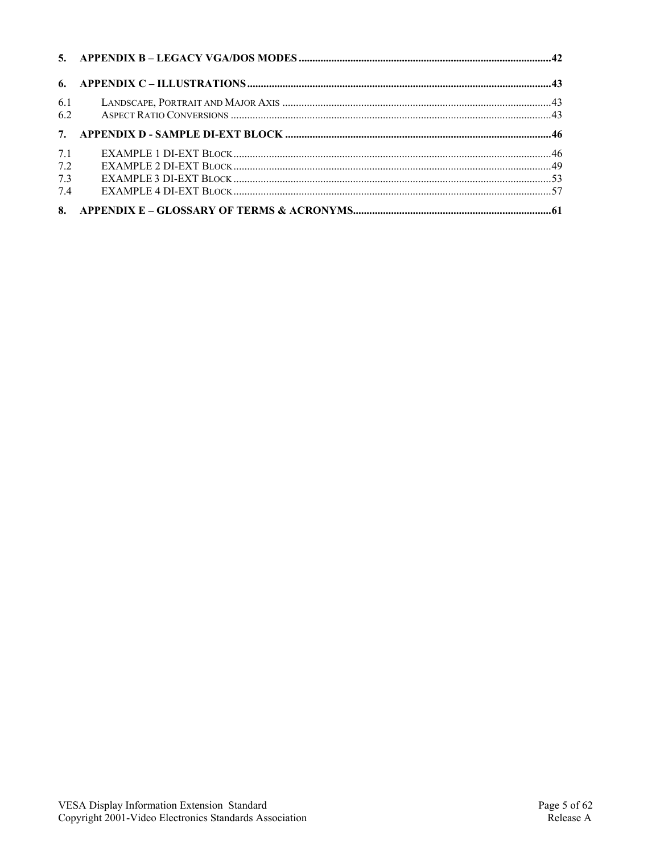| 6.1<br>6.2 |  |
|------------|--|
|            |  |
| 7.1        |  |
| 7.2        |  |
| 7.3        |  |
| 74         |  |
|            |  |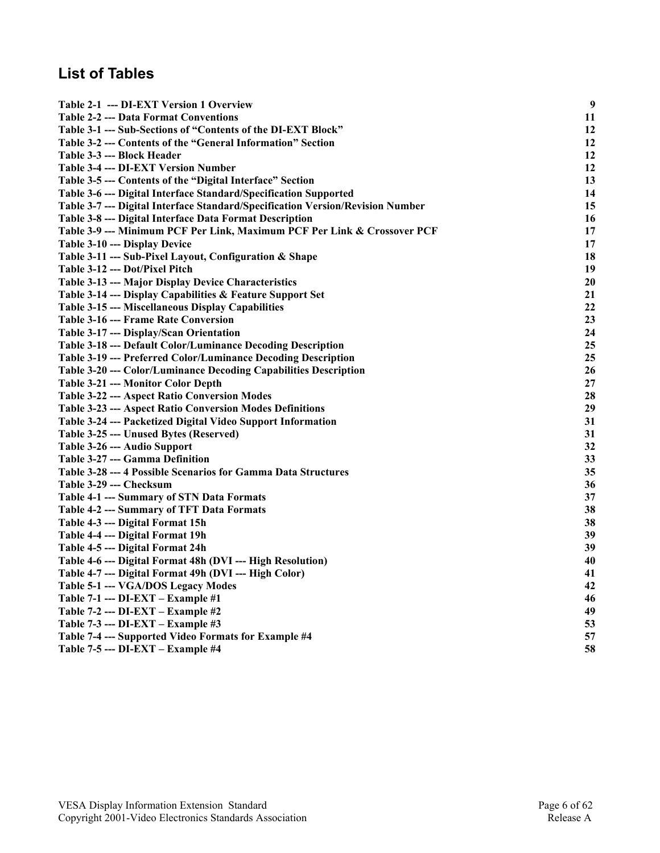# **List of Tables**

| Table 2-1 --- DI-EXT Version 1 Overview                                        | $\boldsymbol{9}$ |
|--------------------------------------------------------------------------------|------------------|
| <b>Table 2-2 --- Data Format Conventions</b>                                   | 11               |
| Table 3-1 --- Sub-Sections of "Contents of the DI-EXT Block"                   | 12               |
| Table 3-2 --- Contents of the "General Information" Section                    | 12               |
| Table 3-3 --- Block Header                                                     | 12               |
| <b>Table 3-4 --- DI-EXT Version Number</b>                                     | 12               |
| Table 3-5 --- Contents of the "Digital Interface" Section                      | 13               |
| Table 3-6 --- Digital Interface Standard/Specification Supported               | 14               |
| Table 3-7 --- Digital Interface Standard/Specification Version/Revision Number | 15               |
| Table 3-8 --- Digital Interface Data Format Description                        | 16               |
| Table 3-9 --- Minimum PCF Per Link, Maximum PCF Per Link & Crossover PCF       | 17               |
| Table 3-10 --- Display Device                                                  | 17               |
| Table 3-11 --- Sub-Pixel Layout, Configuration & Shape                         | 18               |
| Table 3-12 --- Dot/Pixel Pitch                                                 | 19               |
| Table 3-13 --- Major Display Device Characteristics                            | 20               |
| Table 3-14 --- Display Capabilities & Feature Support Set                      | 21               |
| Table 3-15 --- Miscellaneous Display Capabilities                              | 22               |
| <b>Table 3-16 --- Frame Rate Conversion</b>                                    | 23               |
| Table 3-17 --- Display/Scan Orientation                                        | 24               |
| Table 3-18 --- Default Color/Luminance Decoding Description                    | 25               |
| Table 3-19 --- Preferred Color/Luminance Decoding Description                  | 25               |
| Table 3-20 --- Color/Luminance Decoding Capabilities Description               | 26               |
| Table 3-21 --- Monitor Color Depth                                             | 27               |
| <b>Table 3-22 --- Aspect Ratio Conversion Modes</b>                            | 28               |
| <b>Table 3-23 --- Aspect Ratio Conversion Modes Definitions</b>                | 29               |
| Table 3-24 --- Packetized Digital Video Support Information                    | 31               |
| Table 3-25 --- Unused Bytes (Reserved)                                         | 31               |
| Table 3-26 --- Audio Support                                                   | 32               |
| Table 3-27 --- Gamma Definition                                                | 33               |
| Table 3-28 --- 4 Possible Scenarios for Gamma Data Structures                  | 35               |
| Table 3-29 --- Checksum                                                        | 36               |
| Table 4-1 --- Summary of STN Data Formats                                      | 37               |
| Table 4-2 --- Summary of TFT Data Formats                                      | 38               |
| Table 4-3 --- Digital Format 15h                                               | 38               |
| Table 4-4 --- Digital Format 19h                                               | 39               |
| Table 4-5 --- Digital Format 24h                                               | 39               |
| Table 4-6 --- Digital Format 48h (DVI --- High Resolution)                     | 40               |
| Table 4-7 --- Digital Format 49h (DVI --- High Color)                          | 41               |
| Table 5-1 --- VGA/DOS Legacy Modes                                             | 42               |
| Table 7-1 --- DI-EXT – Example #1                                              | 46               |
| Table 7-2 --- DI-EXT – Example #2                                              | 49               |
| Table 7-3 --- DI-EXT - Example #3                                              | 53               |
| Table 7-4 --- Supported Video Formats for Example #4                           | 57               |
| Table 7-5 --- DI-EXT – Example #4                                              | 58               |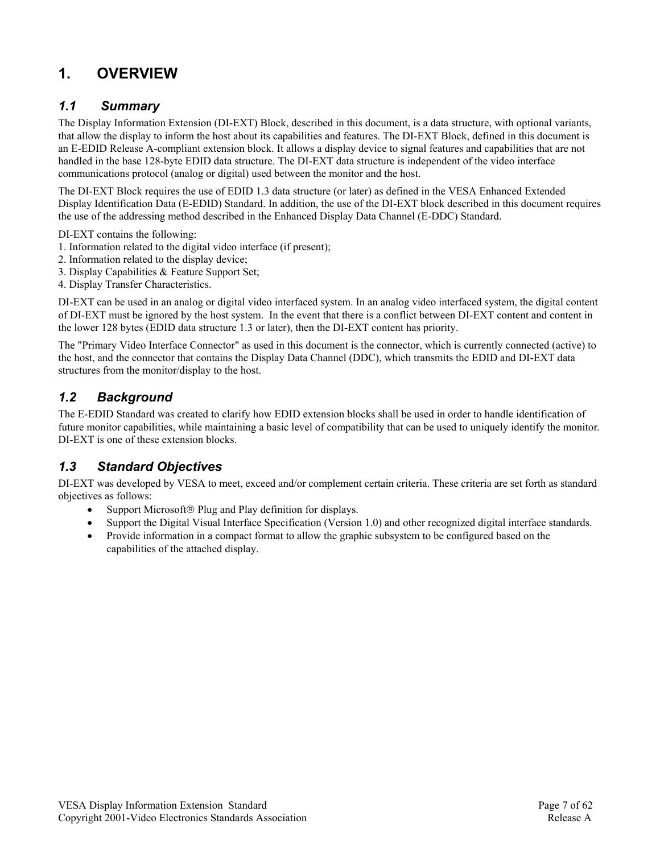## **1. OVERVIEW**

### *1.1 Summary*

The Display Information Extension (DI-EXT) Block, described in this document, is a data structure, with optional variants, that allow the display to inform the host about its capabilities and features. The DI-EXT Block, defined in this document is an E-EDID Release A-compliant extension block. It allows a display device to signal features and capabilities that are not handled in the base 128-byte EDID data structure. The DI-EXT data structure is independent of the video interface communications protocol (analog or digital) used between the monitor and the host.

The DI-EXT Block requires the use of EDID 1.3 data structure (or later) as defined in the VESA Enhanced Extended Display Identification Data (E-EDID) Standard. In addition, the use of the DI-EXT block described in this document requires the use of the addressing method described in the Enhanced Display Data Channel (E-DDC) Standard.

DI-EXT contains the following:

- 1. Information related to the digital video interface (if present);
- 2. Information related to the display device;
- 3. Display Capabilities & Feature Support Set;
- 4. Display Transfer Characteristics.

DI-EXT can be used in an analog or digital video interfaced system. In an analog video interfaced system, the digital content of DI-EXT must be ignored by the host system. In the event that there is a conflict between DI-EXT content and content in the lower 128 bytes (EDID data structure 1.3 or later), then the DI-EXT content has priority.

The "Primary Video Interface Connector" as used in this document is the connector, which is currently connected (active) to the host, and the connector that contains the Display Data Channel (DDC), which transmits the EDID and DI-EXT data structures from the monitor/display to the host.

### *1.2 Background*

The E-EDID Standard was created to clarify how EDID extension blocks shall be used in order to handle identification of future monitor capabilities, while maintaining a basic level of compatibility that can be used to uniquely identify the monitor. DI-EXT is one of these extension blocks.

## *1.3 Standard Objectives*

DI-EXT was developed by VESA to meet, exceed and/or complement certain criteria. These criteria are set forth as standard objectives as follows:

- Support Microsoft<sup>®</sup> Plug and Play definition for displays.
- Support the Digital Visual Interface Specification (Version 1.0) and other recognized digital interface standards.
- Provide information in a compact format to allow the graphic subsystem to be configured based on the capabilities of the attached display.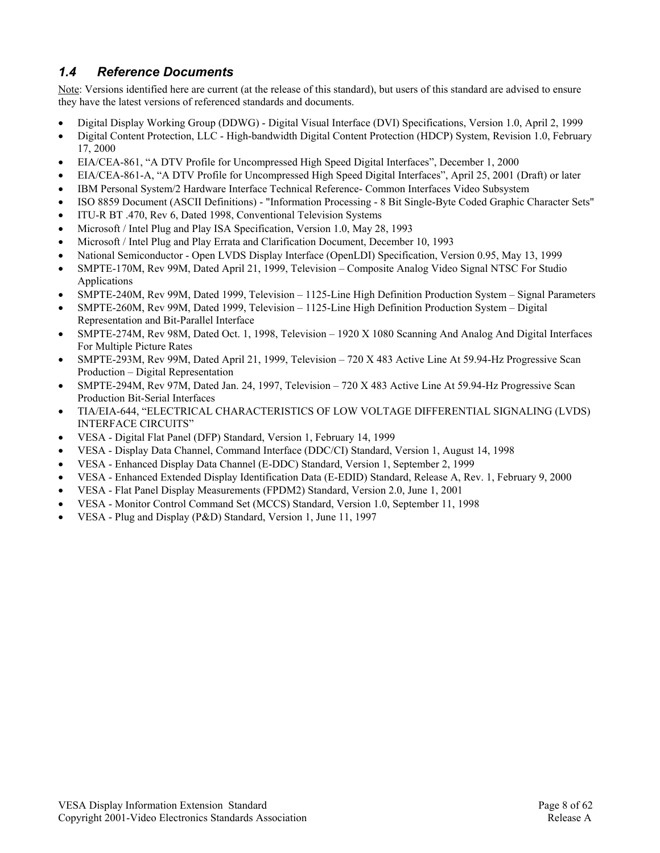## *1.4 Reference Documents*

Note: Versions identified here are current (at the release of this standard), but users of this standard are advised to ensure they have the latest versions of referenced standards and documents.

- Digital Display Working Group (DDWG) Digital Visual Interface (DVI) Specifications, Version 1.0, April 2, 1999
- Digital Content Protection, LLC High-bandwidth Digital Content Protection (HDCP) System, Revision 1.0, February 17, 2000
- EIA/CEA-861, "A DTV Profile for Uncompressed High Speed Digital Interfaces", December 1, 2000
- EIA/CEA-861-A, "A DTV Profile for Uncompressed High Speed Digital Interfaces", April 25, 2001 (Draft) or later
- IBM Personal System/2 Hardware Interface Technical Reference- Common Interfaces Video Subsystem
- ISO 8859 Document (ASCII Definitions) "Information Processing 8 Bit Single-Byte Coded Graphic Character Sets"
- ITU-R BT .470, Rev 6, Dated 1998, Conventional Television Systems
- Microsoft / Intel Plug and Play ISA Specification, Version 1.0, May 28, 1993
- Microsoft / Intel Plug and Play Errata and Clarification Document, December 10, 1993
- National Semiconductor Open LVDS Display Interface (OpenLDI) Specification, Version 0.95, May 13, 1999
- SMPTE-170M, Rev 99M, Dated April 21, 1999, Television Composite Analog Video Signal NTSC For Studio Applications
- SMPTE-240M, Rev 99M, Dated 1999, Television 1125-Line High Definition Production System Signal Parameters
- SMPTE-260M, Rev 99M, Dated 1999, Television 1125-Line High Definition Production System Digital Representation and Bit-Parallel Interface
- SMPTE-274M, Rev 98M, Dated Oct. 1, 1998, Television 1920 X 1080 Scanning And Analog And Digital Interfaces For Multiple Picture Rates
- SMPTE-293M, Rev 99M, Dated April 21, 1999, Television 720 X 483 Active Line At 59.94-Hz Progressive Scan Production – Digital Representation
- SMPTE-294M, Rev 97M, Dated Jan. 24, 1997, Television 720 X 483 Active Line At 59.94-Hz Progressive Scan Production Bit-Serial Interfaces
- TIA/EIA-644, "ELECTRICAL CHARACTERISTICS OF LOW VOLTAGE DIFFERENTIAL SIGNALING (LVDS) INTERFACE CIRCUITS"
- VESA Digital Flat Panel (DFP) Standard, Version 1, February 14, 1999
- VESA Display Data Channel, Command Interface (DDC/CI) Standard, Version 1, August 14, 1998
- VESA Enhanced Display Data Channel (E-DDC) Standard, Version 1, September 2, 1999
- VESA Enhanced Extended Display Identification Data (E-EDID) Standard, Release A, Rev. 1, February 9, 2000
- VESA Flat Panel Display Measurements (FPDM2) Standard, Version 2.0, June 1, 2001
- VESA Monitor Control Command Set (MCCS) Standard, Version 1.0, September 11, 1998
- VESA Plug and Display (P&D) Standard, Version 1, June 11, 1997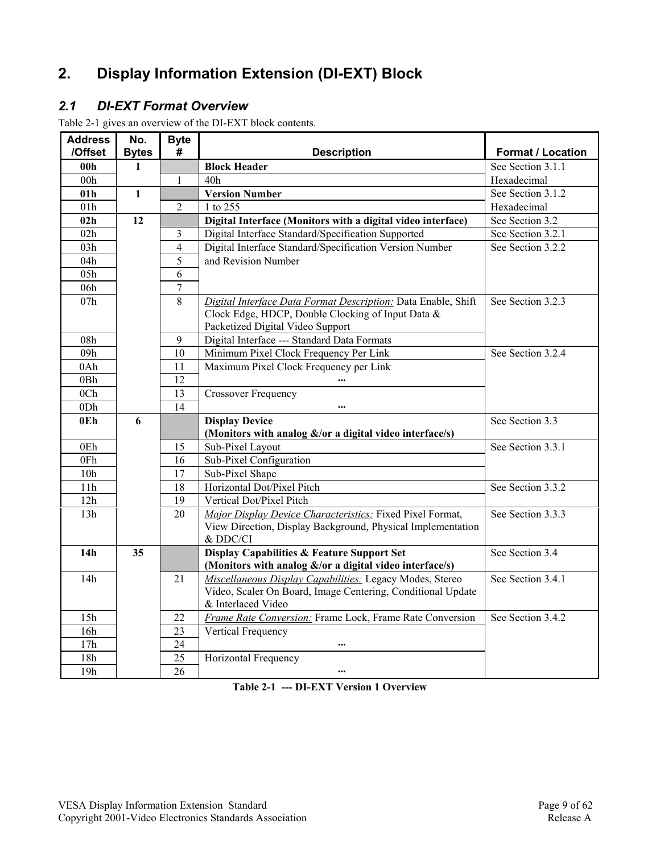# **2. Display Information Extension (DI-EXT) Block**

## *2.1 DI-EXT Format Overview*

Table 2-1 gives an overview of the DI-EXT block contents.

| <b>Address</b>  | No.          | <b>Byte</b>     |                                                               |                   |
|-----------------|--------------|-----------------|---------------------------------------------------------------|-------------------|
| /Offset         | <b>Bytes</b> | #               | <b>Description</b>                                            | Format / Location |
| 00 <sub>h</sub> | $\mathbf{1}$ |                 | <b>Block Header</b>                                           | See Section 3.1.1 |
| 00h             |              | 1               | 40h                                                           | Hexadecimal       |
| 01h             | $\mathbf{1}$ |                 | <b>Version Number</b>                                         | See Section 3.1.2 |
| 01h             |              | $\overline{2}$  | 1 to 255                                                      | Hexadecimal       |
| 02h             | 12           |                 | Digital Interface (Monitors with a digital video interface)   | See Section 3.2   |
| 02h             |              | 3               | Digital Interface Standard/Specification Supported            | See Section 3.2.1 |
| 03h             |              | 4               | Digital Interface Standard/Specification Version Number       | See Section 3.2.2 |
| 04h             |              | 5               | and Revision Number                                           |                   |
| 05h             |              | 6               |                                                               |                   |
| 06h             |              | 7               |                                                               |                   |
| 07h             |              | 8               | Digital Interface Data Format Description: Data Enable, Shift | See Section 3.2.3 |
|                 |              |                 | Clock Edge, HDCP, Double Clocking of Input Data &             |                   |
|                 |              |                 | Packetized Digital Video Support                              |                   |
| 08h             |              | 9               | Digital Interface --- Standard Data Formats                   |                   |
| 09h             |              | 10              | Minimum Pixel Clock Frequency Per Link                        | See Section 3.2.4 |
| 0Ah             |              | 11              | Maximum Pixel Clock Frequency per Link                        |                   |
| 0Bh             |              | $\overline{12}$ |                                                               |                   |
| 0Ch             |              | 13              | <b>Crossover Frequency</b>                                    |                   |
| 0Dh             |              | 14              |                                                               |                   |
| 0E <sub>h</sub> | 6            |                 | <b>Display Device</b>                                         | See Section 3.3   |
|                 |              |                 | (Monitors with analog &/or a digital video interface/s)       |                   |
| 0Eh             |              | 15              | Sub-Pixel Layout                                              | See Section 3.3.1 |
| 0Fh             |              | 16              | Sub-Pixel Configuration                                       |                   |
| 10 <sub>h</sub> |              | 17              | Sub-Pixel Shape                                               |                   |
| 11h             |              | 18              | Horizontal Dot/Pixel Pitch                                    | See Section 3.3.2 |
| 12h             |              | 19              | Vertical Dot/Pixel Pitch                                      |                   |
| 13h             |              | 20              | Major Display Device Characteristics: Fixed Pixel Format,     | See Section 3.3.3 |
|                 |              |                 | View Direction, Display Background, Physical Implementation   |                   |
|                 |              |                 | & DDC/CI                                                      |                   |
| 14 <sub>h</sub> | 35           |                 | <b>Display Capabilities &amp; Feature Support Set</b>         | See Section 3.4   |
|                 |              |                 | (Monitors with analog $\&$ /or a digital video interface/s)   |                   |
| 14h             |              | 21              | Miscellaneous Display Capabilities: Legacy Modes, Stereo      | See Section 3.4.1 |
|                 |              |                 | Video, Scaler On Board, Image Centering, Conditional Update   |                   |
|                 |              |                 | & Interlaced Video                                            |                   |
| 15h             |              | 22              | Frame Rate Conversion: Frame Lock, Frame Rate Conversion      | See Section 3.4.2 |
| 16h             |              | 23              | Vertical Frequency                                            |                   |
| 17h             |              | 24              |                                                               |                   |
| 18h             |              | 25              | Horizontal Frequency                                          |                   |
| 19h             |              | 26              |                                                               |                   |

**Table 2-1 --- DI-EXT Version 1 Overview**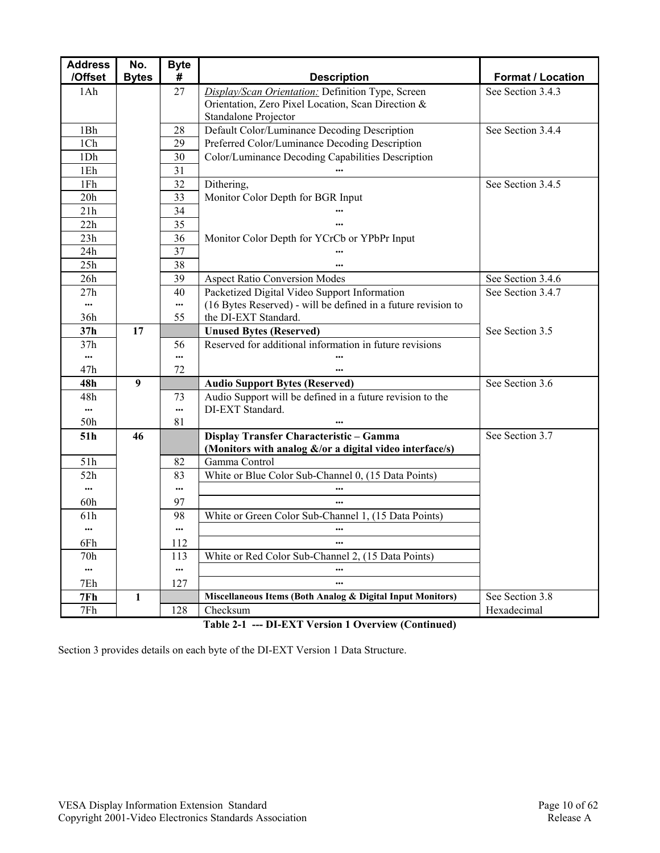| <b>Address</b>  | No.          | <b>Byte</b>     |                                                                               |                          |
|-----------------|--------------|-----------------|-------------------------------------------------------------------------------|--------------------------|
| /Offset         | <b>Bytes</b> | #               | <b>Description</b>                                                            | <b>Format / Location</b> |
| 1Ah             |              | 27              | Display/Scan Orientation: Definition Type, Screen                             | See Section 3.4.3        |
|                 |              |                 | Orientation, Zero Pixel Location, Scan Direction &                            |                          |
|                 |              |                 | Standalone Projector                                                          |                          |
| 1Bh             |              | 28              | Default Color/Luminance Decoding Description                                  | See Section 3.4.4        |
| 1Ch             |              | 29              | Preferred Color/Luminance Decoding Description                                |                          |
| 1Dh             |              | 30              | Color/Luminance Decoding Capabilities Description                             |                          |
| 1Eh             |              | 31              |                                                                               |                          |
| $1\mathrm{Fh}$  |              | 32              | Dithering,                                                                    | See Section 3.4.5        |
| 20h             |              | 33              | Monitor Color Depth for BGR Input                                             |                          |
| 21h             |              | 34              |                                                                               |                          |
| 22h             |              | $\overline{35}$ |                                                                               |                          |
| 23h             |              | 36              | Monitor Color Depth for YCrCb or YPbPr Input                                  |                          |
| 24h             |              | 37              |                                                                               |                          |
| 25h             |              | 38              |                                                                               |                          |
| 26h             |              | 39              | <b>Aspect Ratio Conversion Modes</b>                                          | See Section 3.4.6        |
| 27h             |              | 40              | Packetized Digital Video Support Information                                  | See Section 3.4.7        |
| $\cdots$        |              | $\cdots$        | (16 Bytes Reserved) - will be defined in a future revision to                 |                          |
| 36h             |              | 55              | the DI-EXT Standard.                                                          |                          |
| 37h             | 17           |                 | <b>Unused Bytes (Reserved)</b>                                                | See Section 3.5          |
| 37h             |              | 56              | Reserved for additional information in future revisions                       |                          |
|                 |              | $\cdots$        |                                                                               |                          |
| 47h             |              | 72              |                                                                               | See Section 3.6          |
| 48h             | 9            |                 | <b>Audio Support Bytes (Reserved)</b>                                         |                          |
| 48h<br>$\cdots$ |              | 73<br>$\cdots$  | Audio Support will be defined in a future revision to the<br>DI-EXT Standard. |                          |
| 50h             |              | 81              |                                                                               |                          |
| 51h             | 46           |                 | Display Transfer Characteristic - Gamma                                       | See Section 3.7          |
|                 |              |                 | (Monitors with analog &/or a digital video interface/s)                       |                          |
| 51h             |              | 82              | Gamma Control                                                                 |                          |
| 52h             |              | 83              | White or Blue Color Sub-Channel 0, (15 Data Points)                           |                          |
|                 |              | $\cdots$        |                                                                               |                          |
| 60h             |              | 97              |                                                                               |                          |
| 61h             |              | 98              | White or Green Color Sub-Channel 1, (15 Data Points)                          |                          |
|                 |              | $\cdots$        | $\ddotsc$                                                                     |                          |
| 6Fh             |              | 112             |                                                                               |                          |
| 70h             |              | 113             | White or Red Color Sub-Channel 2, (15 Data Points)                            |                          |
| $\cdots$        |              | $\cdots$        |                                                                               |                          |
| 7Eh             |              | 127             | $\ddotsc$                                                                     |                          |
| 7Fh             | 1            |                 | Miscellaneous Items (Both Analog & Digital Input Monitors)                    | See Section 3.8          |
| 7Fh             |              | 128             | Checksum                                                                      | Hexadecimal              |

**Table 2-1 --- DI-EXT Version 1 Overview (Continued)** 

Section 3 provides details on each byte of the DI-EXT Version 1 Data Structure.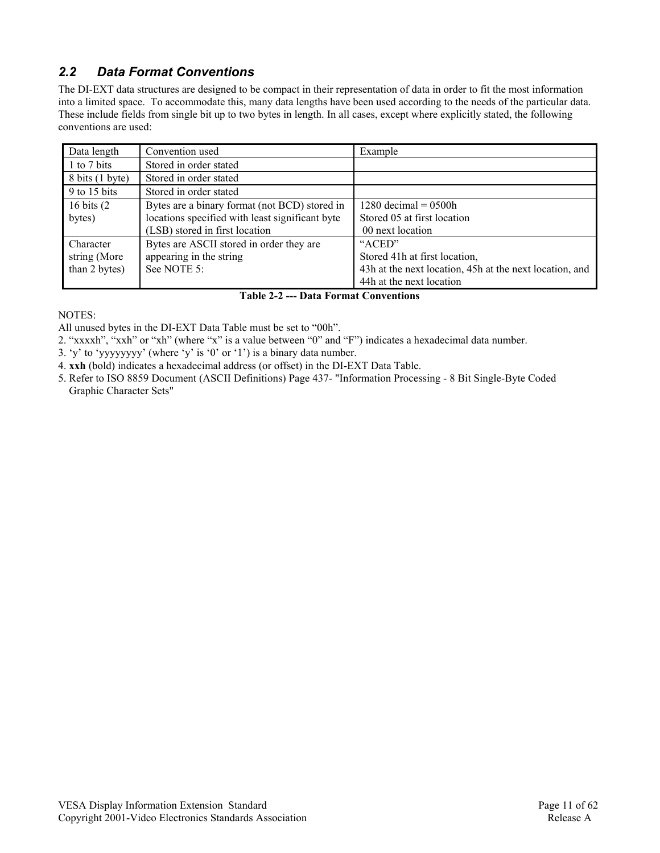## *2.2 Data Format Conventions*

The DI-EXT data structures are designed to be compact in their representation of data in order to fit the most information into a limited space. To accommodate this, many data lengths have been used according to the needs of the particular data. These include fields from single bit up to two bytes in length. In all cases, except where explicitly stated, the following conventions are used:

| Data length     | Convention used                                 | Example                                                 |
|-----------------|-------------------------------------------------|---------------------------------------------------------|
| 1 to 7 bits     | Stored in order stated                          |                                                         |
| 8 bits (1 byte) | Stored in order stated                          |                                                         |
| 9 to 15 bits    | Stored in order stated                          |                                                         |
| 16 bits $(2)$   | Bytes are a binary format (not BCD) stored in   | 1280 decimal = $0500h$                                  |
| bytes)          | locations specified with least significant byte | Stored 05 at first location                             |
|                 | (LSB) stored in first location                  | 00 next location                                        |
| Character       | Bytes are ASCII stored in order they are        | "ACED"                                                  |
| string (More    | appearing in the string                         | Stored 41h at first location,                           |
| than 2 bytes)   | See NOTE 5:                                     | 43h at the next location, 45h at the next location, and |
|                 |                                                 | 44h at the next location                                |

#### **Table 2-2 --- Data Format Conventions**

NOTES:

All unused bytes in the DI-EXT Data Table must be set to "00h".

- 2. "xxxxh", "xxh" or "xh" (where "x" is a value between "0" and "F") indicates a hexadecimal data number.
- 3. 'y' to 'yyyyyyyy' (where 'y' is '0' or '1') is a binary data number.
- 4. **xxh** (bold) indicates a hexadecimal address (or offset) in the DI-EXT Data Table.
- 5. Refer to ISO 8859 Document (ASCII Definitions) Page 437- "Information Processing 8 Bit Single-Byte Coded Graphic Character Sets"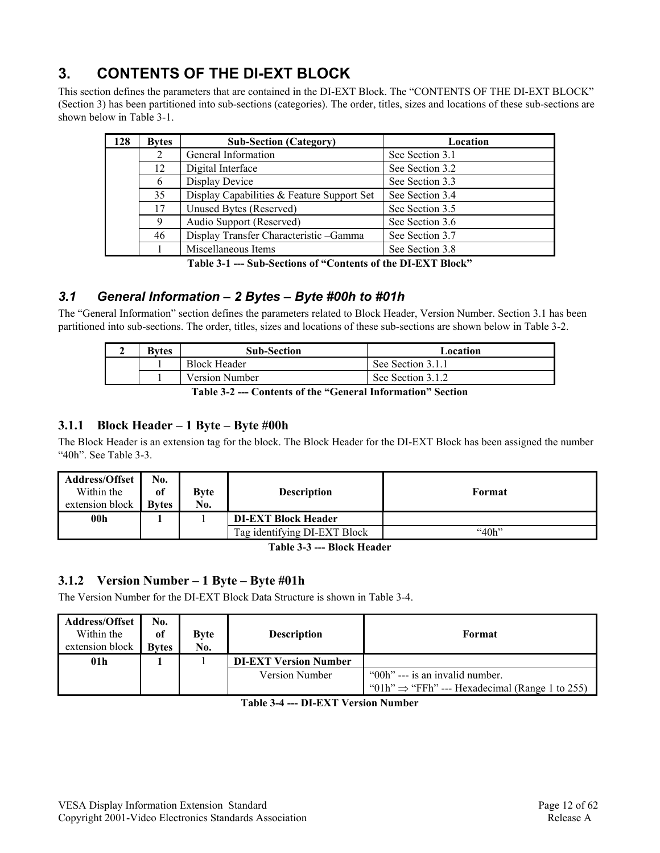## **3. CONTENTS OF THE DI-EXT BLOCK**

This section defines the parameters that are contained in the DI-EXT Block. The "CONTENTS OF THE DI-EXT BLOCK" (Section 3) has been partitioned into sub-sections (categories). The order, titles, sizes and locations of these sub-sections are shown below in Table 3-1.

| 128                           | <b>Bytes</b>                                     | <b>Sub-Section (Category)</b>          | Location        |
|-------------------------------|--------------------------------------------------|----------------------------------------|-----------------|
|                               | 2                                                | General Information                    | See Section 3.1 |
|                               | 12                                               | Digital Interface                      | See Section 3.2 |
| Display Device<br>6           |                                                  | See Section 3.3                        |                 |
|                               | 35<br>Display Capabilities & Feature Support Set |                                        | See Section 3.4 |
|                               | 17<br>Unused Bytes (Reserved)                    |                                        | See Section 3.5 |
| 9<br>Audio Support (Reserved) |                                                  | See Section 3.6                        |                 |
| 46                            |                                                  | Display Transfer Characteristic -Gamma | See Section 3.7 |
|                               |                                                  | Miscellaneous Items                    | See Section 3.8 |

**Table 3-1 --- Sub-Sections of "Contents of the DI-EXT Block"** 

## *3.1 General Information – 2 Bytes – Byte #00h to #01h*

The "General Information" section defines the parameters related to Block Header, Version Number. Section 3.1 has been partitioned into sub-sections. The order, titles, sizes and locations of these sub-sections are shown below in Table 3-2.

| <b>Bytes</b> | <b>Sub-Section</b>  | Location          |
|--------------|---------------------|-------------------|
|              | <b>Block Header</b> | See Section 3.1.1 |
|              | Version Number      | See Section 3.1.2 |
|              | ------              |                   |

**Table 3-2 --- Contents of the "General Information" Section** 

#### **3.1.1 Block Header – 1 Byte – Byte #00h**

The Block Header is an extension tag for the block. The Block Header for the DI-EXT Block has been assigned the number "40h". See Table 3-3.

| <b>Address/Offset</b><br>Within the<br>extension block | $\bf{N0.}$<br><sub>of</sub><br><b>Bytes</b> | <b>Byte</b><br>No. | <b>Description</b>           | Format    |
|--------------------------------------------------------|---------------------------------------------|--------------------|------------------------------|-----------|
| 00h                                                    |                                             |                    | <b>DI-EXT Block Header</b>   |           |
|                                                        |                                             |                    | Tag identifying DI-EXT Block | " $40h$ " |

**Table 3-3 --- Block Header** 

#### **3.1.2 Version Number – 1 Byte – Byte #01h**

The Version Number for the DI-EXT Block Data Structure is shown in Table 3-4.

| <b>Address/Offset</b><br>Within the<br>extension block | No.<br><sub>of</sub><br><b>Bytes</b> | <b>Byte</b><br>No. | <b>Description</b>           | Format                                                                                        |
|--------------------------------------------------------|--------------------------------------|--------------------|------------------------------|-----------------------------------------------------------------------------------------------|
| 01 <sub>h</sub>                                        |                                      |                    | <b>DI-EXT Version Number</b> |                                                                                               |
|                                                        |                                      |                    | <b>Version Number</b>        | "00h" --- is an invalid number.<br>"01h" $\Rightarrow$ "FFh" --- Hexadecimal (Range 1 to 255) |

**Table 3-4 --- DI-EXT Version Number**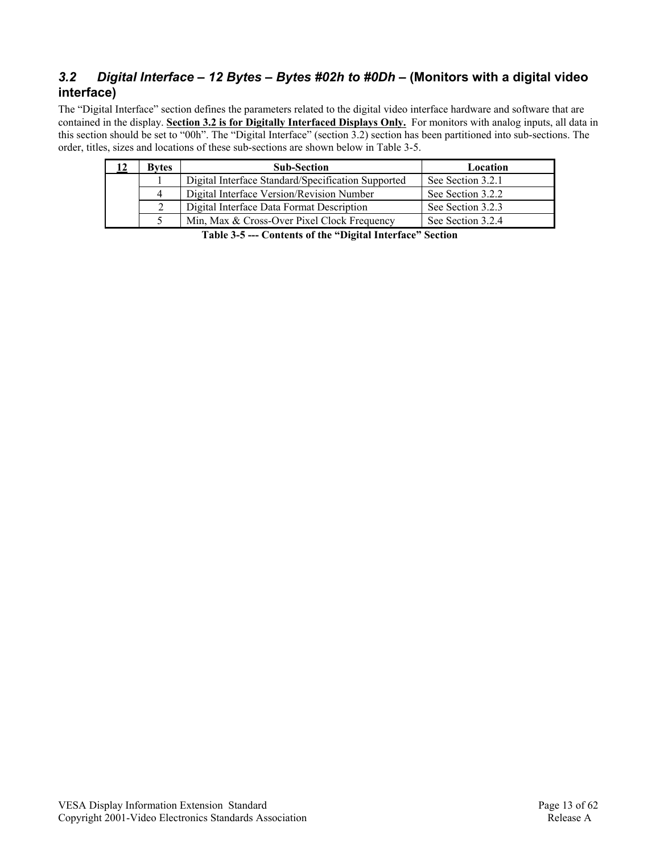## *3.2 Digital Interface – 12 Bytes – Bytes #02h to #0Dh –* **(Monitors with a digital video interface)**

The "Digital Interface" section defines the parameters related to the digital video interface hardware and software that are contained in the display. **Section 3.2 is for Digitally Interfaced Displays Only.** For monitors with analog inputs, all data in this section should be set to "00h". The "Digital Interface" (section 3.2) section has been partitioned into sub-sections. The order, titles, sizes and locations of these sub-sections are shown below in Table 3-5.

| <b>Bytes</b>                                       | <b>Sub-Section</b>                          | Location          |
|----------------------------------------------------|---------------------------------------------|-------------------|
| Digital Interface Standard/Specification Supported |                                             | See Section 3.2.1 |
| Digital Interface Version/Revision Number<br>4     |                                             | See Section 3.2.2 |
| Digital Interface Data Format Description          |                                             | See Section 3.2.3 |
|                                                    | Min, Max & Cross-Over Pixel Clock Frequency | See Section 3.2.4 |

**Table 3-5 --- Contents of the "Digital Interface" Section**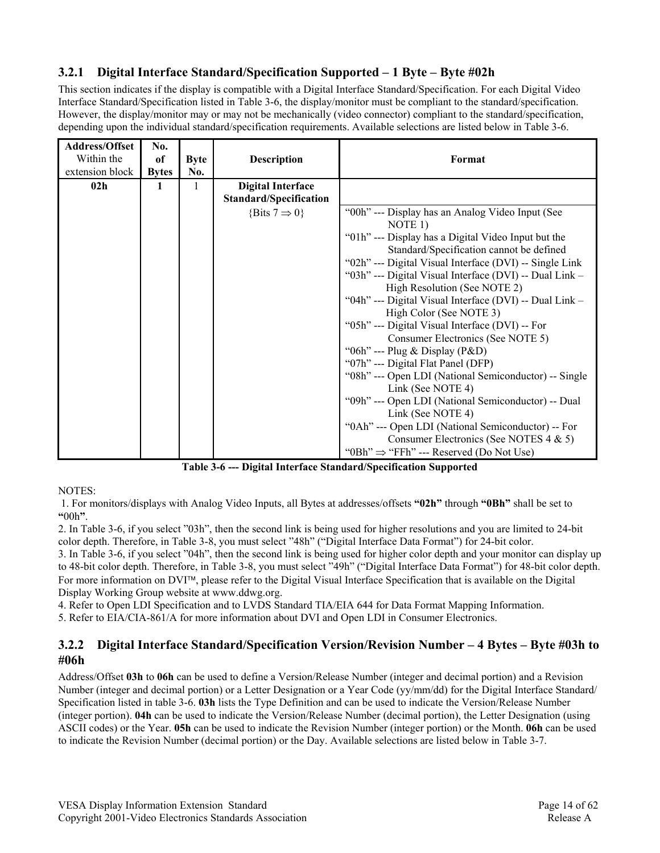### **3.2.1 Digital Interface Standard/Specification Supported – 1 Byte – Byte #02h**

This section indicates if the display is compatible with a Digital Interface Standard/Specification. For each Digital Video Interface Standard/Specification listed in Table 3-6, the display/monitor must be compliant to the standard/specification. However, the display/monitor may or may not be mechanically (video connector) compliant to the standard/specification, depending upon the individual standard/specification requirements. Available selections are listed below in Table 3-6.

| Address/Offset  | No.          |             |                               |                                                         |
|-----------------|--------------|-------------|-------------------------------|---------------------------------------------------------|
| Within the      | of           | <b>Byte</b> | <b>Description</b>            | Format                                                  |
| extension block | <b>Bytes</b> | No.         |                               |                                                         |
| 02 <sub>h</sub> |              |             | <b>Digital Interface</b>      |                                                         |
|                 |              |             | <b>Standard/Specification</b> |                                                         |
|                 |              |             | {Bits $7 \Rightarrow 0$ }     | "00h" --- Display has an Analog Video Input (See        |
|                 |              |             |                               | NOTE 1)                                                 |
|                 |              |             |                               | "01h" --- Display has a Digital Video Input but the     |
|                 |              |             |                               | Standard/Specification cannot be defined                |
|                 |              |             |                               | "02h" --- Digital Visual Interface (DVI) -- Single Link |
|                 |              |             |                               | "03h" --- Digital Visual Interface (DVI) -- Dual Link - |
|                 |              |             |                               | High Resolution (See NOTE 2)                            |
|                 |              |             |                               | "04h" --- Digital Visual Interface (DVI) -- Dual Link - |
|                 |              |             |                               | High Color (See NOTE 3)                                 |
|                 |              |             |                               | "05h" --- Digital Visual Interface (DVI) -- For         |
|                 |              |             |                               | Consumer Electronics (See NOTE 5)                       |
|                 |              |             |                               | "06h" --- Plug & Display (P&D)                          |
|                 |              |             |                               | "07h" --- Digital Flat Panel (DFP)                      |
|                 |              |             |                               | "08h" --- Open LDI (National Semiconductor) -- Single   |
|                 |              |             |                               | Link (See NOTE 4)                                       |
|                 |              |             |                               | "09h" --- Open LDI (National Semiconductor) -- Dual     |
|                 |              |             |                               | Link (See NOTE 4)                                       |
|                 |              |             |                               | "0Ah" --- Open LDI (National Semiconductor) -- For      |
|                 |              |             |                               | Consumer Electronics (See NOTES $4 \& 5$ )              |
|                 |              |             |                               | "0Bh" $\Rightarrow$ "FFh" --- Reserved (Do Not Use)     |

**Table 3-6 --- Digital Interface Standard/Specification Supported** 

NOTES:

 1. For monitors/displays with Analog Video Inputs, all Bytes at addresses/offsets **"02h"** through **"0Bh"** shall be set to **"**00h**"**.

2. In Table 3-6, if you select "03h", then the second link is being used for higher resolutions and you are limited to 24-bit color depth. Therefore, in Table 3-8, you must select "48h" ("Digital Interface Data Format") for 24-bit color.

3. In Table 3-6, if you select "04h", then the second link is being used for higher color depth and your monitor can display up to 48-bit color depth. Therefore, in Table 3-8, you must select "49h" ("Digital Interface Data Format") for 48-bit color depth. For more information on DVI<sup>™</sup>, please refer to the Digital Visual Interface Specification that is available on the Digital Display Working Group website at www.ddwg.org.

4. Refer to Open LDI Specification and to LVDS Standard TIA/EIA 644 for Data Format Mapping Information.

5. Refer to EIA/CIA-861/A for more information about DVI and Open LDI in Consumer Electronics.

#### **3.2.2 Digital Interface Standard/Specification Version/Revision Number – 4 Bytes – Byte #03h to #06h**

Address/Offset **03h** to **06h** can be used to define a Version/Release Number (integer and decimal portion) and a Revision Number (integer and decimal portion) or a Letter Designation or a Year Code (yy/mm/dd) for the Digital Interface Standard/ Specification listed in table 3-6. **03h** lists the Type Definition and can be used to indicate the Version/Release Number (integer portion). **04h** can be used to indicate the Version/Release Number (decimal portion), the Letter Designation (using ASCII codes) or the Year. **05h** can be used to indicate the Revision Number (integer portion) or the Month. **06h** can be used to indicate the Revision Number (decimal portion) or the Day. Available selections are listed below in Table 3-7.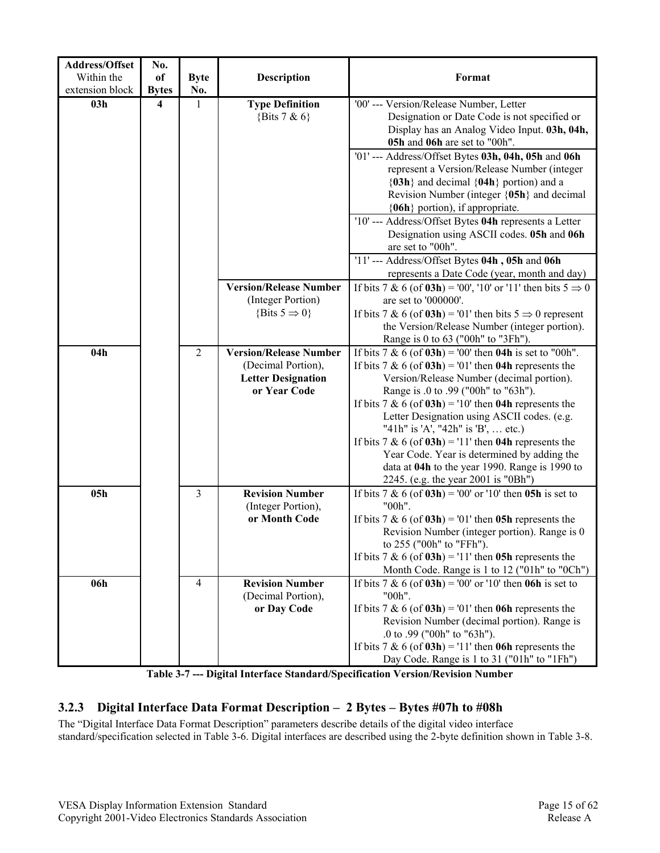| Address/Offset  | No.                     |                |                               |                                                                                                         |
|-----------------|-------------------------|----------------|-------------------------------|---------------------------------------------------------------------------------------------------------|
| Within the      | of                      | <b>Byte</b>    | <b>Description</b>            | Format                                                                                                  |
| extension block | <b>Bytes</b>            | No.            |                               |                                                                                                         |
| 03h             | $\overline{\mathbf{4}}$ | $\mathbf{1}$   | <b>Type Definition</b>        | '00' --- Version/Release Number, Letter                                                                 |
|                 |                         |                | {Bits $7 & 6$ }               | Designation or Date Code is not specified or                                                            |
|                 |                         |                |                               | Display has an Analog Video Input. 03h, 04h,                                                            |
|                 |                         |                |                               | 05h and 06h are set to "00h".                                                                           |
|                 |                         |                |                               | '01' --- Address/Offset Bytes 03h, 04h, 05h and 06h                                                     |
|                 |                         |                |                               | represent a Version/Release Number (integer                                                             |
|                 |                         |                |                               | ${03h}$ and decimal ${04h}$ portion) and a                                                              |
|                 |                         |                |                               | Revision Number (integer {05h} and decimal                                                              |
|                 |                         |                |                               | {06h} portion), if appropriate.                                                                         |
|                 |                         |                |                               | '10' --- Address/Offset Bytes 04h represents a Letter                                                   |
|                 |                         |                |                               | Designation using ASCII codes. 05h and 06h                                                              |
|                 |                         |                |                               | are set to "00h".                                                                                       |
|                 |                         |                |                               | '11'--- Address/Offset Bytes 04h, 05h and 06h                                                           |
|                 |                         |                |                               | represents a Date Code (year, month and day)                                                            |
|                 |                         |                | <b>Version/Release Number</b> | If bits 7 & 6 (of 03h) = '00', '10' or '11' then bits $5 \implies 0$                                    |
|                 |                         |                | (Integer Portion)             | are set to '000000'.                                                                                    |
|                 |                         |                | {Bits $5 \Rightarrow 0$ }     | If bits 7 & 6 (of <b>03h</b> ) = '01' then bits $5 \implies 0$ represent                                |
|                 |                         |                |                               | the Version/Release Number (integer portion).                                                           |
|                 |                         |                |                               | Range is 0 to 63 ("00h" to "3Fh").                                                                      |
| 04h             |                         | $\overline{2}$ | <b>Version/Release Number</b> | If bits $7 & 6$ (of $03h$ ) = '00' then $04h$ is set to "00h".                                          |
|                 |                         |                | (Decimal Portion),            | If bits 7 & 6 (of $03h$ ) = '01' then 04h represents the                                                |
|                 |                         |                | <b>Letter Designation</b>     | Version/Release Number (decimal portion).                                                               |
|                 |                         |                | or Year Code                  | Range is .0 to .99 ("00h" to "63h").                                                                    |
|                 |                         |                |                               | If bits 7 & 6 (of $03h$ ) = '10' then 04h represents the<br>Letter Designation using ASCII codes. (e.g. |
|                 |                         |                |                               | "41h" is 'A', "42h" is 'B',  etc.)                                                                      |
|                 |                         |                |                               | If bits 7 & 6 (of $03h$ ) = '11' then 04h represents the                                                |
|                 |                         |                |                               | Year Code. Year is determined by adding the                                                             |
|                 |                         |                |                               | data at 04h to the year 1990. Range is 1990 to                                                          |
|                 |                         |                |                               | 2245. (e.g. the year 2001 is "0Bh")                                                                     |
| 05h             |                         | $\overline{3}$ | <b>Revision Number</b>        | If bits 7 & 6 (of $03h$ ) = '00' or '10' then 05h is set to                                             |
|                 |                         |                | (Integer Portion),            | "00h".                                                                                                  |
|                 |                         |                | or Month Code                 | If bits 7 & 6 (of $03h$ ) = '01' then 05h represents the                                                |
|                 |                         |                |                               | Revision Number (integer portion). Range is 0                                                           |
|                 |                         |                |                               | to 255 ("00h" to "FFh").                                                                                |
|                 |                         |                |                               | If bits 7 & 6 (of $03h$ ) = '11' then 05h represents the                                                |
|                 |                         |                |                               | Month Code. Range is 1 to 12 ("01h" to "0Ch")                                                           |
| 06h             |                         | $\overline{4}$ | <b>Revision Number</b>        | If bits 7 & 6 (of $03h$ ) = '00' or '10' then 06h is set to                                             |
|                 |                         |                | (Decimal Portion),            | "00h".                                                                                                  |
|                 |                         |                | or Day Code                   | If bits 7 & 6 (of $03h$ ) = '01' then 06h represents the                                                |
|                 |                         |                |                               | Revision Number (decimal portion). Range is                                                             |
|                 |                         |                |                               | .0 to .99 ("00h" to "63h").                                                                             |
|                 |                         |                |                               | If bits 7 & 6 (of $03h$ ) = '11' then 06h represents the                                                |
|                 |                         |                |                               | Day Code. Range is 1 to 31 ("01h" to "1Fh")                                                             |

**Table 3-7 --- Digital Interface Standard/Specification Version/Revision Number**

## **3.2.3 Digital Interface Data Format Description – 2 Bytes – Bytes #07h to #08h**

The "Digital Interface Data Format Description" parameters describe details of the digital video interface standard/specification selected in Table 3-6. Digital interfaces are described using the 2-byte definition shown in Table 3-8.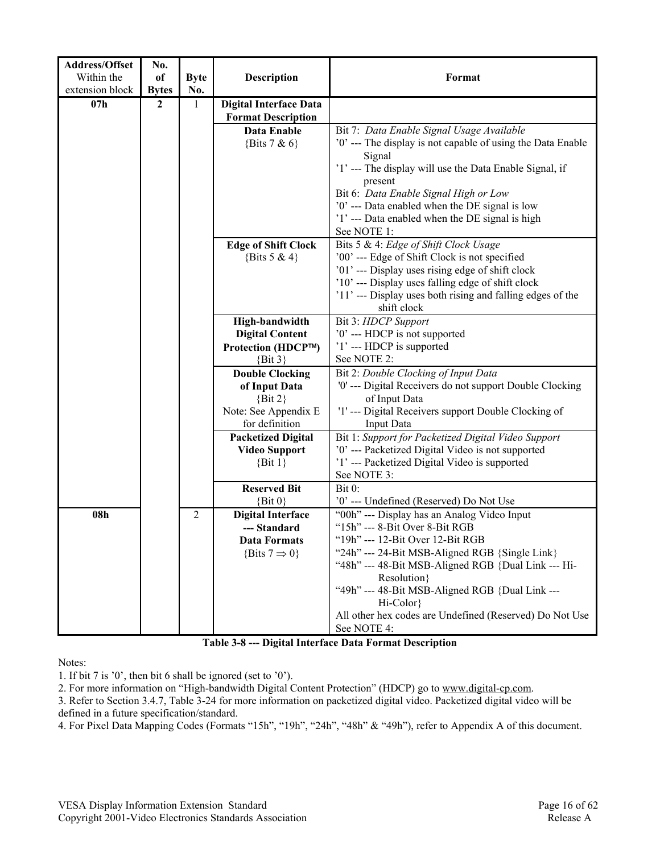| Address/Offset  | No.            |             |                            |                                                                                                   |
|-----------------|----------------|-------------|----------------------------|---------------------------------------------------------------------------------------------------|
| Within the      | of             | <b>Byte</b> | <b>Description</b>         | Format                                                                                            |
| extension block | <b>Bytes</b>   | No.         |                            |                                                                                                   |
| 07h             | $\overline{2}$ | 1           | Digital Interface Data     |                                                                                                   |
|                 |                |             | <b>Format Description</b>  |                                                                                                   |
|                 |                |             | Data Enable                | Bit 7: Data Enable Signal Usage Available                                                         |
|                 |                |             | {Bits $7 & 6$ }            | '0' --- The display is not capable of using the Data Enable                                       |
|                 |                |             |                            | Signal                                                                                            |
|                 |                |             |                            | '1' --- The display will use the Data Enable Signal, if                                           |
|                 |                |             |                            | present                                                                                           |
|                 |                |             |                            | Bit 6: Data Enable Signal High or Low                                                             |
|                 |                |             |                            | '0' --- Data enabled when the DE signal is low                                                    |
|                 |                |             |                            | '1' --- Data enabled when the DE signal is high                                                   |
|                 |                |             |                            | See NOTE 1:                                                                                       |
|                 |                |             | <b>Edge of Shift Clock</b> | Bits 5 & 4: Edge of Shift Clock Usage                                                             |
|                 |                |             | {Bits 5 & 4}               | '00' --- Edge of Shift Clock is not specified<br>'01' --- Display uses rising edge of shift clock |
|                 |                |             |                            | '10' --- Display uses falling edge of shift clock                                                 |
|                 |                |             |                            | '11' --- Display uses both rising and falling edges of the                                        |
|                 |                |             |                            | shift clock                                                                                       |
|                 |                |             | High-bandwidth             | Bit 3: HDCP Support                                                                               |
|                 |                |             | <b>Digital Content</b>     | '0' --- HDCP is not supported                                                                     |
|                 |                |             | Protection (HDCP™)         | '1'--- HDCP is supported                                                                          |
|                 |                |             | $\{Bit\ 3\}$               | See NOTE 2:                                                                                       |
|                 |                |             | <b>Double Clocking</b>     | Bit 2: Double Clocking of Input Data                                                              |
|                 |                |             | of Input Data              | '0' --- Digital Receivers do not support Double Clocking                                          |
|                 |                |             | $\{Bit\ 2\}$               | of Input Data                                                                                     |
|                 |                |             | Note: See Appendix E       | '1' --- Digital Receivers support Double Clocking of                                              |
|                 |                |             | for definition             | <b>Input Data</b>                                                                                 |
|                 |                |             | <b>Packetized Digital</b>  | Bit 1: Support for Packetized Digital Video Support                                               |
|                 |                |             | <b>Video Support</b>       | '0' --- Packetized Digital Video is not supported                                                 |
|                 |                |             | $\{Bit 1\}$                | '1' --- Packetized Digital Video is supported<br>See NOTE 3:                                      |
|                 |                |             | <b>Reserved Bit</b>        | Bit 0:                                                                                            |
|                 |                |             | $\{Bit\ 0\}$               | '0' --- Undefined (Reserved) Do Not Use                                                           |
| 08h             |                | 2           | <b>Digital Interface</b>   | "00h" --- Display has an Analog Video Input                                                       |
|                 |                |             | --- Standard               | "15h" --- 8-Bit Over 8-Bit RGB                                                                    |
|                 |                |             | Data Formats               | "19h" --- 12-Bit Over 12-Bit RGB                                                                  |
|                 |                |             | {Bits $7 \Rightarrow 0$ }  | "24h" --- 24-Bit MSB-Aligned RGB {Single Link}                                                    |
|                 |                |             |                            | "48h" --- 48-Bit MSB-Aligned RGB {Dual Link --- Hi-                                               |
|                 |                |             |                            | Resolution}                                                                                       |
|                 |                |             |                            | "49h" --- 48-Bit MSB-Aligned RGB {Dual Link ---                                                   |
|                 |                |             |                            | Hi-Color}                                                                                         |
|                 |                |             |                            | All other hex codes are Undefined (Reserved) Do Not Use                                           |
|                 |                |             |                            | See NOTE 4:                                                                                       |

**Table 3-8 --- Digital Interface Data Format Description** 

Notes:

1. If bit 7 is '0', then bit 6 shall be ignored (set to '0').

2. For more information on "High-bandwidth Digital Content Protection" (HDCP) go to www.digital-cp.com.

3. Refer to Section 3.4.7, Table 3-24 for more information on packetized digital video. Packetized digital video will be defined in a future specification/standard.

4. For Pixel Data Mapping Codes (Formats "15h", "19h", "24h", "48h" & "49h"), refer to Appendix A of this document.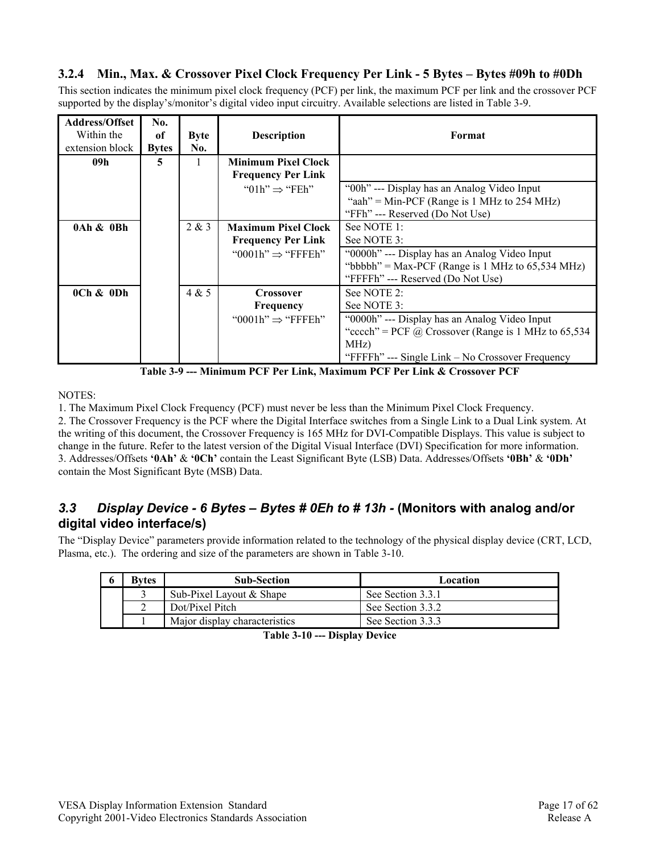#### **3.2.4 Min., Max. & Crossover Pixel Clock Frequency Per Link - 5 Bytes – Bytes #09h to #0Dh**

This section indicates the minimum pixel clock frequency (PCF) per link, the maximum PCF per link and the crossover PCF supported by the display's/monitor's digital video input circuitry. Available selections are listed in Table 3-9.

| <b>Address/Offset</b><br>Within the<br>extension block | No.<br>of<br><b>Bytes</b> | <b>Byte</b><br>No. | <b>Description</b>                                      | Format                                                      |
|--------------------------------------------------------|---------------------------|--------------------|---------------------------------------------------------|-------------------------------------------------------------|
| 09h                                                    | 5                         |                    | <b>Minimum Pixel Clock</b><br><b>Frequency Per Link</b> |                                                             |
|                                                        |                           |                    | " $01h$ " $\Rightarrow$ "FEh"                           | "00h" --- Display has an Analog Video Input                 |
|                                                        |                           |                    |                                                         | "aah" = Min-PCF (Range is 1 MHz to 254 MHz)                 |
|                                                        |                           |                    |                                                         | "FFh" --- Reserved (Do Not Use)                             |
| 0Ah & 0Bh                                              |                           | 2 & 3              | <b>Maximum Pixel Clock</b>                              | See NOTE 1:                                                 |
|                                                        |                           |                    | <b>Frequency Per Link</b>                               | See NOTE 3:                                                 |
|                                                        |                           |                    | "0001h" $\Rightarrow$ "FFFEh"                           | "0000h" --- Display has an Analog Video Input               |
|                                                        |                           |                    |                                                         | "bbbbh" = Max-PCF (Range is 1 MHz to $65,534$ MHz)          |
|                                                        |                           |                    |                                                         | "FFFFh" --- Reserved (Do Not Use)                           |
| $0$ Ch $\&$ 0Dh                                        |                           | 4 & 5              | <b>Crossover</b>                                        | See NOTE 2:                                                 |
|                                                        |                           |                    | Frequency                                               | See NOTE 3:                                                 |
|                                                        |                           |                    | "0001h" $\Rightarrow$ "FFFEh"                           | "0000h" --- Display has an Analog Video Input               |
|                                                        |                           |                    |                                                         | "cccch" = PCF $\omega$ Crossover (Range is 1 MHz to 65,534) |
|                                                        |                           |                    |                                                         | MHz)                                                        |
|                                                        |                           |                    |                                                         | "FFFFh" --- Single Link – No Crossover Frequency            |

**Table 3-9 --- Minimum PCF Per Link, Maximum PCF Per Link & Crossover PCF** 

NOTES:

1. The Maximum Pixel Clock Frequency (PCF) must never be less than the Minimum Pixel Clock Frequency.

2. The Crossover Frequency is the PCF where the Digital Interface switches from a Single Link to a Dual Link system. At the writing of this document, the Crossover Frequency is 165 MHz for DVI-Compatible Displays. This value is subject to change in the future. Refer to the latest version of the Digital Visual Interface (DVI) Specification for more information. 3. Addresses/Offsets **'0Ah'** & **'0Ch'** contain the Least Significant Byte (LSB) Data. Addresses/Offsets **'0Bh'** & **'0Dh'** contain the Most Significant Byte (MSB) Data.

## *3.3 Display Device - 6 Bytes – Bytes # 0Eh to # 13h -* **(Monitors with analog and/or digital video interface/s)**

The "Display Device" parameters provide information related to the technology of the physical display device (CRT, LCD, Plasma, etc.). The ordering and size of the parameters are shown in Table 3-10.

| Bvtes | <b>Sub-Section</b>            | Location          |
|-------|-------------------------------|-------------------|
|       | Sub-Pixel Layout & Shape      | See Section 3.3.1 |
|       | Dot/Pixel Pitch               | See Section 3.3.2 |
|       | Major display characteristics | See Section 3.3.3 |

**Table 3-10 --- Display Device**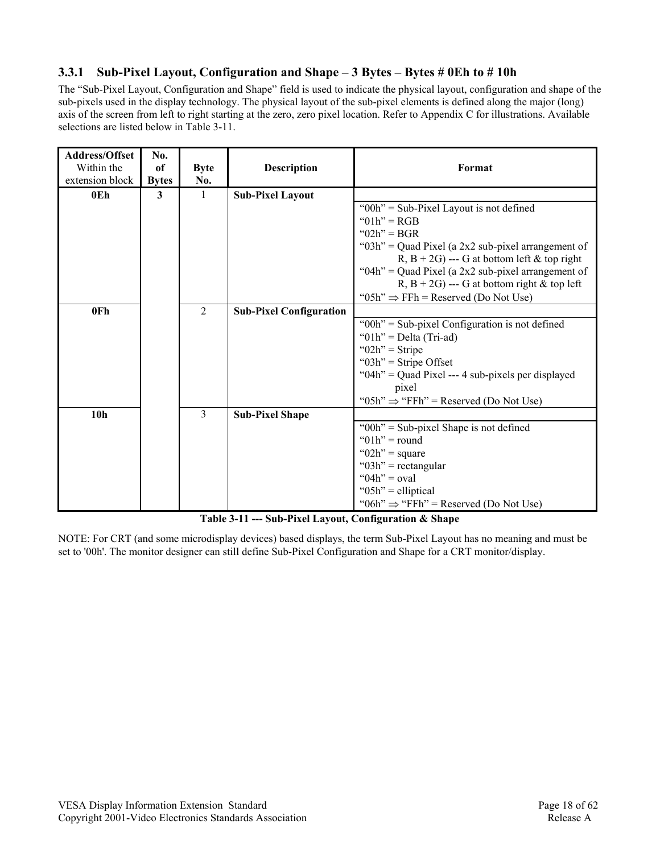#### **3.3.1 Sub-Pixel Layout, Configuration and Shape – 3 Bytes – Bytes # 0Eh to # 10h**

The "Sub-Pixel Layout, Configuration and Shape" field is used to indicate the physical layout, configuration and shape of the sub-pixels used in the display technology. The physical layout of the sub-pixel elements is defined along the major (long) axis of the screen from left to right starting at the zero, zero pixel location. Refer to Appendix C for illustrations. Available selections are listed below in Table 3-11.

| <b>Address/Offset</b> | No.          |             |                                |                                                       |
|-----------------------|--------------|-------------|--------------------------------|-------------------------------------------------------|
| Within the            | of           | <b>Byte</b> | <b>Description</b>             | Format                                                |
| extension block       | <b>Bytes</b> | No.         |                                |                                                       |
| 0E <sub>h</sub>       | 3            | 1           | <b>Sub-Pixel Layout</b>        |                                                       |
|                       |              |             |                                | "00h" = Sub-Pixel Layout is not defined               |
|                       |              |             |                                | " $01h$ " = RGB                                       |
|                       |              |             |                                | " $02h$ " = BGR                                       |
|                       |              |             |                                | "03h" = Quad Pixel (a 2x2 sub-pixel arrangement of    |
|                       |              |             |                                | R, B + 2G) --- G at bottom left & top right           |
|                       |              |             |                                | "04h" = Quad Pixel (a $2x2$ sub-pixel arrangement of  |
|                       |              |             |                                | R, $B + 2G$ ) --- G at bottom right & top left        |
|                       |              |             |                                | "05h" $\Rightarrow$ FFh = Reserved (Do Not Use)       |
| 0Fh                   |              | 2           | <b>Sub-Pixel Configuration</b> |                                                       |
|                       |              |             |                                | " $00h$ " = Sub-pixel Configuration is not defined    |
|                       |              |             |                                | " $01h$ " = Delta (Tri-ad)                            |
|                       |              |             |                                | " $02h$ " = Stripe                                    |
|                       |              |             |                                | " $03h$ " = Stripe Offset                             |
|                       |              |             |                                | " $04h$ " = Quad Pixel --- 4 sub-pixels per displayed |
|                       |              |             |                                | pixel                                                 |
|                       |              |             |                                | "05h" $\Rightarrow$ "FFh" = Reserved (Do Not Use)     |
| 10 <sub>h</sub>       |              | 3           | <b>Sub-Pixel Shape</b>         |                                                       |
|                       |              |             |                                | " $00h$ " = Sub-pixel Shape is not defined            |
|                       |              |             |                                | " $01h$ " = round                                     |
|                       |              |             |                                | " $02h$ " = square                                    |
|                       |              |             |                                | " $03h$ " = rectangular                               |
|                       |              |             |                                | " $04h$ " = oval                                      |
|                       |              |             |                                | " $05h$ " = elliptical                                |
|                       |              |             |                                | "06h" $\Rightarrow$ "FFh" = Reserved (Do Not Use)     |

**Table 3-11 --- Sub-Pixel Layout, Configuration & Shape** 

NOTE: For CRT (and some microdisplay devices) based displays, the term Sub-Pixel Layout has no meaning and must be set to '00h'. The monitor designer can still define Sub-Pixel Configuration and Shape for a CRT monitor/display.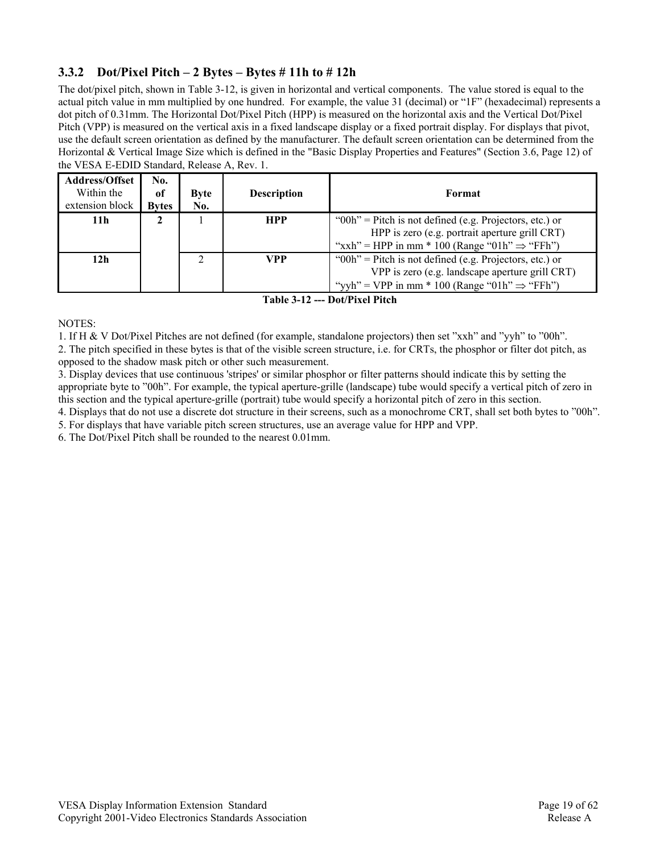#### **3.3.2 Dot/Pixel Pitch – 2 Bytes – Bytes # 11h to # 12h**

The dot/pixel pitch, shown in Table 3-12, is given in horizontal and vertical components. The value stored is equal to the actual pitch value in mm multiplied by one hundred. For example, the value 31 (decimal) or "1F" (hexadecimal) represents a dot pitch of 0.31mm. The Horizontal Dot/Pixel Pitch (HPP) is measured on the horizontal axis and the Vertical Dot/Pixel Pitch (VPP) is measured on the vertical axis in a fixed landscape display or a fixed portrait display. For displays that pivot, use the default screen orientation as defined by the manufacturer. The default screen orientation can be determined from the Horizontal & Vertical Image Size which is defined in the "Basic Display Properties and Features" (Section 3.6, Page 12) of the VESA E-EDID Standard, Release A, Rev. 1.

| <b>Address/Offset</b><br>Within the<br>extension block | No.<br><sub>of</sub><br><b>Bytes</b> | <b>Byte</b><br>No. | <b>Description</b> | Format                                                                                                                                                                      |
|--------------------------------------------------------|--------------------------------------|--------------------|--------------------|-----------------------------------------------------------------------------------------------------------------------------------------------------------------------------|
| 11 <sub>h</sub>                                        |                                      |                    | <b>HPP</b>         | " $00h$ " = Pitch is not defined (e.g. Projectors, etc.) or<br>HPP is zero (e.g. portrait aperture grill CRT)<br>"xxh" = HPP in mm * 100 (Range "01h" $\Rightarrow$ "FFh")  |
| 12 <sub>h</sub>                                        |                                      | C.                 | VPP                | " $00h$ " = Pitch is not defined (e.g. Projectors, etc.) or<br>VPP is zero (e.g. landscape aperture grill CRT)<br>"yyh" = VPP in mm * 100 (Range "01h" $\Rightarrow$ "FFh") |

**Table 3-12 --- Dot/Pixel Pitch** 

NOTES:

1. If H & V Dot/Pixel Pitches are not defined (for example, standalone projectors) then set "xxh" and "yyh" to "00h".

2. The pitch specified in these bytes is that of the visible screen structure, i.e. for CRTs, the phosphor or filter dot pitch, as opposed to the shadow mask pitch or other such measurement.

3. Display devices that use continuous 'stripes' or similar phosphor or filter patterns should indicate this by setting the appropriate byte to "00h". For example, the typical aperture-grille (landscape) tube would specify a vertical pitch of zero in this section and the typical aperture-grille (portrait) tube would specify a horizontal pitch of zero in this section.

4. Displays that do not use a discrete dot structure in their screens, such as a monochrome CRT, shall set both bytes to "00h".

5. For displays that have variable pitch screen structures, use an average value for HPP and VPP.

6. The Dot/Pixel Pitch shall be rounded to the nearest 0.01mm.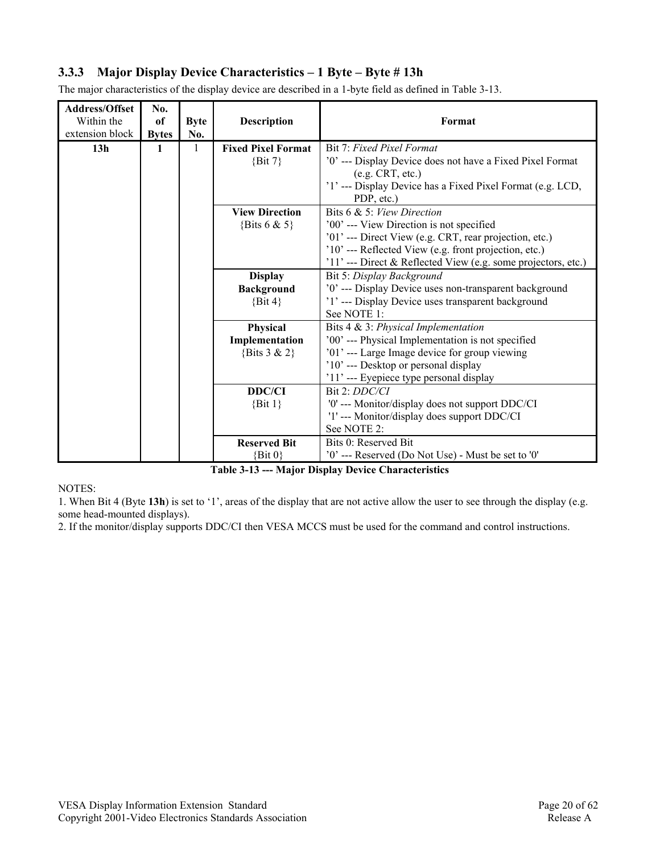#### **3.3.3 Major Display Device Characteristics – 1 Byte – Byte # 13h**

| <b>Address/Offset</b><br>Within the<br>extension block | No.<br>of<br><b>Bytes</b> | <b>Byte</b><br>No. | <b>Description</b>        | Format                                                        |
|--------------------------------------------------------|---------------------------|--------------------|---------------------------|---------------------------------------------------------------|
| 13 <sub>h</sub>                                        | 1                         |                    | <b>Fixed Pixel Format</b> | Bit 7: Fixed Pixel Format                                     |
|                                                        |                           |                    | $\{Bit\ 7\}$              | '0' --- Display Device does not have a Fixed Pixel Format     |
|                                                        |                           |                    |                           | (e.g. CRT, etc.)                                              |
|                                                        |                           |                    |                           | '1' --- Display Device has a Fixed Pixel Format (e.g. LCD,    |
|                                                        |                           |                    |                           | PDP, etc.)                                                    |
|                                                        |                           |                    | <b>View Direction</b>     | Bits 6 & 5: View Direction                                    |
|                                                        |                           |                    | {Bits $6 & 5$ }           | '00' --- View Direction is not specified                      |
|                                                        |                           |                    |                           | '01' --- Direct View (e.g. CRT, rear projection, etc.)        |
|                                                        |                           |                    |                           | '10' --- Reflected View (e.g. front projection, etc.)         |
|                                                        |                           |                    |                           | '11' --- Direct & Reflected View (e.g. some projectors, etc.) |
|                                                        |                           |                    | <b>Display</b>            | Bit 5: Display Background                                     |
|                                                        |                           |                    | <b>Background</b>         | '0' --- Display Device uses non-transparent background        |
|                                                        |                           |                    | $\{Bit\,4\}$              | '1' --- Display Device uses transparent background            |
|                                                        |                           |                    |                           | See NOTE 1:                                                   |
|                                                        |                           |                    | Physical                  | Bits 4 & 3: Physical Implementation                           |
|                                                        |                           |                    | Implementation            | '00' --- Physical Implementation is not specified             |
|                                                        |                           |                    | {Bits $3 & 2$ }           | '01' --- Large Image device for group viewing                 |
|                                                        |                           |                    |                           | '10' --- Desktop or personal display                          |
|                                                        |                           |                    |                           | '11' --- Eyepiece type personal display                       |
|                                                        |                           |                    | <b>DDC/CI</b>             | Bit 2: DDC/CI                                                 |
|                                                        |                           |                    | $\{Bit\ 1\}$              | '0' --- Monitor/display does not support DDC/CI               |
|                                                        |                           |                    |                           | '1'--- Monitor/display does support DDC/CI<br>See NOTE 2:     |
|                                                        |                           |                    |                           | Bits 0: Reserved Bit                                          |
|                                                        |                           |                    | <b>Reserved Bit</b>       |                                                               |
|                                                        |                           |                    | $\{Bit\ 0\}$              | '0' --- Reserved (Do Not Use) - Must be set to '0'            |

The major characteristics of the display device are described in a 1-byte field as defined in Table 3-13.

**Table 3-13 --- Major Display Device Characteristics** 

NOTES:

1. When Bit 4 (Byte **13h**) is set to '1', areas of the display that are not active allow the user to see through the display (e.g. some head-mounted displays).

2. If the monitor/display supports DDC/CI then VESA MCCS must be used for the command and control instructions.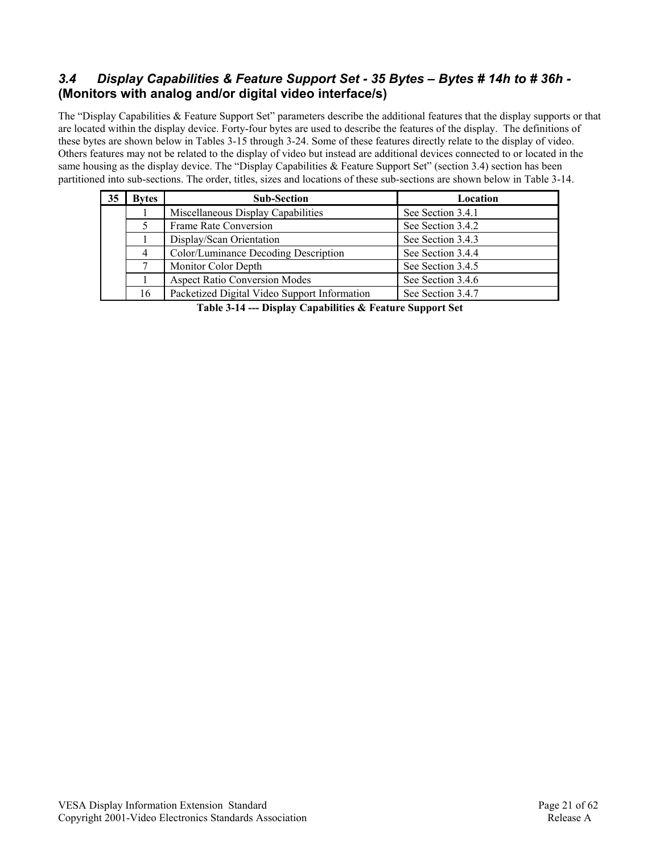## *3.4 Display Capabilities & Feature Support Set - 35 Bytes – Bytes # 14h to # 36h -*  **(Monitors with analog and/or digital video interface/s)**

The "Display Capabilities & Feature Support Set" parameters describe the additional features that the display supports or that are located within the display device. Forty-four bytes are used to describe the features of the display. The definitions of these bytes are shown below in Tables 3-15 through 3-24. Some of these features directly relate to the display of video. Others features may not be related to the display of video but instead are additional devices connected to or located in the same housing as the display device. The "Display Capabilities & Feature Support Set" (section 3.4) section has been partitioned into sub-sections. The order, titles, sizes and locations of these sub-sections are shown below in Table 3-14.

| 35 | <b>Bytes</b>   | <b>Sub-Section</b><br>Location               |                   |  |  |  |  |  |  |
|----|----------------|----------------------------------------------|-------------------|--|--|--|--|--|--|
|    |                | Miscellaneous Display Capabilities           | See Section 3.4.1 |  |  |  |  |  |  |
|    |                | See Section 3.4.2<br>Frame Rate Conversion   |                   |  |  |  |  |  |  |
|    |                | Display/Scan Orientation                     | See Section 3.4.3 |  |  |  |  |  |  |
|    | $\overline{4}$ | Color/Luminance Decoding Description         | See Section 3.4.4 |  |  |  |  |  |  |
|    |                | Monitor Color Depth                          | See Section 3.4.5 |  |  |  |  |  |  |
|    |                | <b>Aspect Ratio Conversion Modes</b>         | See Section 3.4.6 |  |  |  |  |  |  |
|    | 16             | Packetized Digital Video Support Information | See Section 3.4.7 |  |  |  |  |  |  |

**Table 3-14 --- Display Capabilities & Feature Support Set**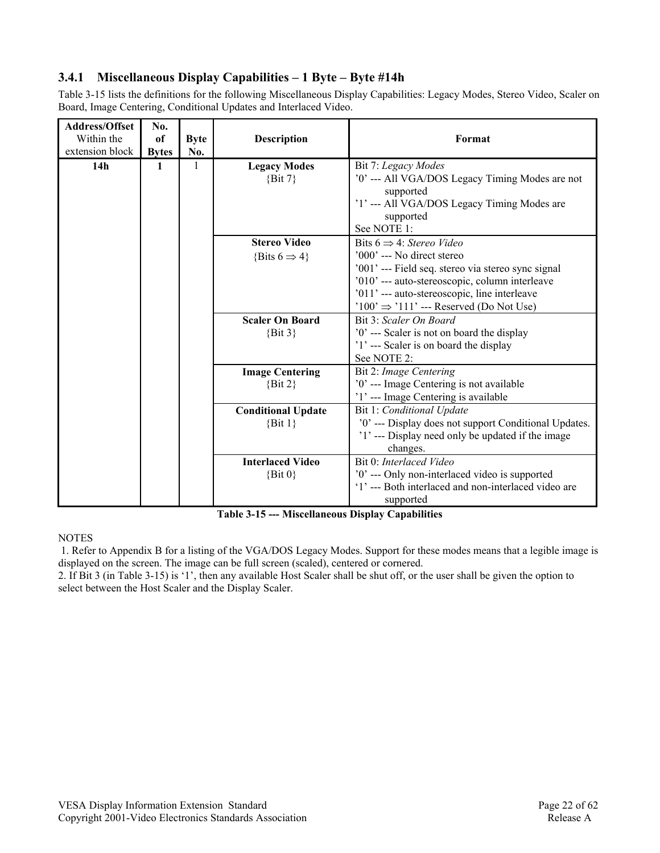## **3.4.1 Miscellaneous Display Capabilities – 1 Byte – Byte #14h**

Table 3-15 lists the definitions for the following Miscellaneous Display Capabilities: Legacy Modes, Stereo Video, Scaler on Board, Image Centering, Conditional Updates and Interlaced Video.

| <b>Address/Offset</b> | No.          |              |                           |                                                       |
|-----------------------|--------------|--------------|---------------------------|-------------------------------------------------------|
| Within the            | of           | <b>Byte</b>  | <b>Description</b>        | Format                                                |
| extension block       | <b>Bytes</b> | No.          |                           |                                                       |
| 14h                   | 1            | $\mathbf{1}$ | <b>Legacy Modes</b>       | Bit 7: Legacy Modes                                   |
|                       |              |              | $\{Bit\ 7\}$              | '0' --- All VGA/DOS Legacy Timing Modes are not       |
|                       |              |              |                           | supported                                             |
|                       |              |              |                           | '1' --- All VGA/DOS Legacy Timing Modes are           |
|                       |              |              |                           | supported                                             |
|                       |              |              |                           | See NOTE 1:                                           |
|                       |              |              | <b>Stereo Video</b>       | Bits $6 \Rightarrow 4$ : Stereo Video                 |
|                       |              |              | {Bits $6 \Rightarrow 4$ } | $'000'$ --- No direct stereo                          |
|                       |              |              |                           | '001' --- Field seq. stereo via stereo sync signal    |
|                       |              |              |                           | '010' --- auto-stereoscopic, column interleave        |
|                       |              |              |                           | '011' --- auto-stereoscopic, line interleave          |
|                       |              |              |                           | $'100' \Rightarrow '111' --$ Reserved (Do Not Use)    |
|                       |              |              | <b>Scaler On Board</b>    | Bit 3: Scaler On Board                                |
|                       |              |              | $\{Bit\ 3\}$              | '0' --- Scaler is not on board the display            |
|                       |              |              |                           | '1' --- Scaler is on board the display                |
|                       |              |              |                           | See NOTE 2:                                           |
|                       |              |              | <b>Image Centering</b>    | Bit 2: Image Centering                                |
|                       |              |              | $\{Bit\ 2\}$              | '0' --- Image Centering is not available              |
|                       |              |              |                           | '1' --- Image Centering is available                  |
|                       |              |              | <b>Conditional Update</b> | Bit 1: Conditional Update                             |
|                       |              |              | $\{Bit\ 1\}$              | '0' --- Display does not support Conditional Updates. |
|                       |              |              |                           | '1' --- Display need only be updated if the image     |
|                       |              |              |                           | changes.                                              |
|                       |              |              | <b>Interlaced Video</b>   | Bit 0: Interlaced Video                               |
|                       |              |              | $\{Bit\ 0\}$              | '0' --- Only non-interlaced video is supported        |
|                       |              |              |                           | '1' --- Both interlaced and non-interlaced video are  |
|                       |              |              |                           | supported                                             |

**Table 3-15 --- Miscellaneous Display Capabilities** 

#### **NOTES**

 1. Refer to Appendix B for a listing of the VGA/DOS Legacy Modes. Support for these modes means that a legible image is displayed on the screen. The image can be full screen (scaled), centered or cornered.

2. If Bit 3 (in Table 3-15) is '1', then any available Host Scaler shall be shut off, or the user shall be given the option to select between the Host Scaler and the Display Scaler.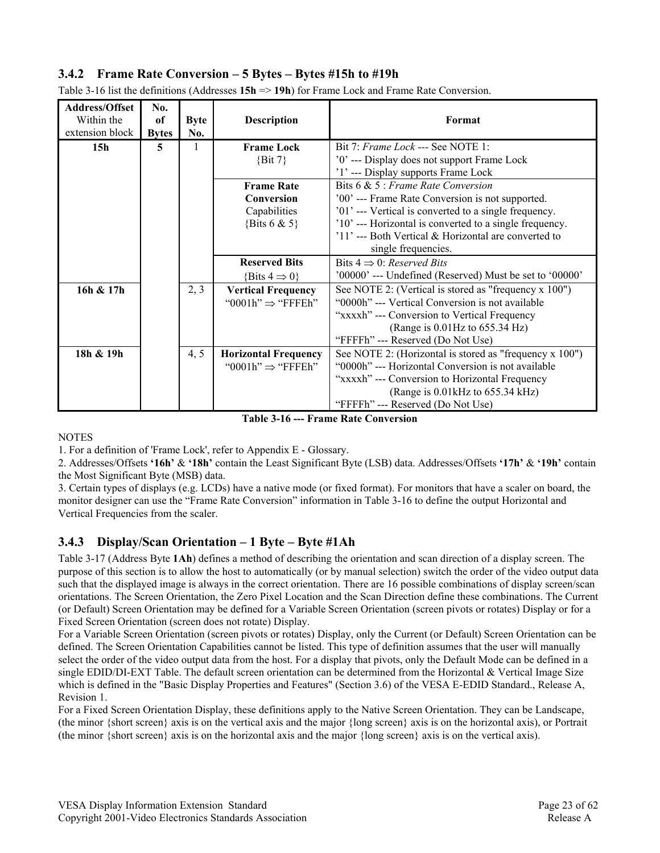### **3.4.2 Frame Rate Conversion – 5 Bytes – Bytes #15h to #19h**

| Address/Offset<br>Within the<br>extension block | No.<br><sub>of</sub><br><b>Bytes</b> | <b>Byte</b><br>No. | <b>Description</b>            | Format                                                                             |
|-------------------------------------------------|--------------------------------------|--------------------|-------------------------------|------------------------------------------------------------------------------------|
| 15 <sub>h</sub>                                 | 5                                    |                    | <b>Frame Lock</b>             | Bit 7: <i>Frame Lock</i> --- See NOTE 1:                                           |
|                                                 |                                      |                    | $\{Bit\ 7\}$                  | '0' --- Display does not support Frame Lock<br>'1' --- Display supports Frame Lock |
|                                                 |                                      |                    | <b>Frame Rate</b>             | Bits $6 & 5$ : Frame Rate Conversion                                               |
|                                                 |                                      |                    | Conversion                    | '00' --- Frame Rate Conversion is not supported.                                   |
|                                                 |                                      |                    | Capabilities                  | '01' --- Vertical is converted to a single frequency.                              |
|                                                 |                                      |                    | {Bits 6 & 5}                  | '10' --- Horizontal is converted to a single frequency.                            |
|                                                 |                                      |                    |                               | $'11'$ --- Both Vertical & Horizontal are converted to                             |
|                                                 |                                      |                    |                               | single frequencies.                                                                |
|                                                 |                                      |                    | <b>Reserved Bits</b>          | Bits $4 \Rightarrow 0$ : Reserved Bits                                             |
|                                                 |                                      |                    | {Bits $4 \Rightarrow 0$ }     | '00000' --- Undefined (Reserved) Must be set to '00000'                            |
| 16h & 17h                                       |                                      | 2, 3               | <b>Vertical Frequency</b>     | See NOTE 2: (Vertical is stored as "frequency x 100")                              |
|                                                 |                                      |                    | "0001h" $\Rightarrow$ "FFFEh" | "0000h" --- Vertical Conversion is not available                                   |
|                                                 |                                      |                    |                               | "xxxxh" --- Conversion to Vertical Frequency                                       |
|                                                 |                                      |                    |                               | (Range is $0.01$ Hz to $655.34$ Hz)                                                |
|                                                 |                                      |                    |                               | "FFFFh" --- Reserved (Do Not Use)                                                  |
| 18h & 19h                                       |                                      | 4, 5               | <b>Horizontal Frequency</b>   | See NOTE 2: (Horizontal is stored as "frequency x 100")                            |
|                                                 |                                      |                    | "0001h" $\Rightarrow$ "FFFEh" | "0000h" --- Horizontal Conversion is not available                                 |
|                                                 |                                      |                    |                               | "xxxxh" --- Conversion to Horizontal Frequency                                     |
|                                                 |                                      |                    |                               | (Range is 0.01 kHz to 655.34 kHz)                                                  |
|                                                 |                                      |                    |                               | "FFFFh" --- Reserved (Do Not Use)                                                  |

Table 3-16 list the definitions (Addresses **15h** => **19h**) for Frame Lock and Frame Rate Conversion.

**Table 3-16 --- Frame Rate Conversion** 

**NOTES** 

1. For a definition of 'Frame Lock', refer to Appendix E - Glossary.

2. Addresses/Offsets **'16h'** & **'18h'** contain the Least Significant Byte (LSB) data. Addresses/Offsets **'17h'** & **'19h'** contain the Most Significant Byte (MSB) data.

3. Certain types of displays (e.g. LCDs) have a native mode (or fixed format). For monitors that have a scaler on board, the monitor designer can use the "Frame Rate Conversion" information in Table 3-16 to define the output Horizontal and Vertical Frequencies from the scaler.

#### **3.4.3 Display/Scan Orientation – 1 Byte – Byte #1Ah**

Table 3-17 (Address Byte **1Ah**) defines a method of describing the orientation and scan direction of a display screen. The purpose of this section is to allow the host to automatically (or by manual selection) switch the order of the video output data such that the displayed image is always in the correct orientation. There are 16 possible combinations of display screen/scan orientations. The Screen Orientation, the Zero Pixel Location and the Scan Direction define these combinations. The Current (or Default) Screen Orientation may be defined for a Variable Screen Orientation (screen pivots or rotates) Display or for a Fixed Screen Orientation (screen does not rotate) Display.

For a Variable Screen Orientation (screen pivots or rotates) Display, only the Current (or Default) Screen Orientation can be defined. The Screen Orientation Capabilities cannot be listed. This type of definition assumes that the user will manually select the order of the video output data from the host. For a display that pivots, only the Default Mode can be defined in a single EDID/DI-EXT Table. The default screen orientation can be determined from the Horizontal  $\&$  Vertical Image Size which is defined in the "Basic Display Properties and Features" (Section 3.6) of the VESA E-EDID Standard., Release A, Revision 1.

For a Fixed Screen Orientation Display, these definitions apply to the Native Screen Orientation. They can be Landscape, (the minor {short screen} axis is on the vertical axis and the major {long screen} axis is on the horizontal axis), or Portrait (the minor {short screen} axis is on the horizontal axis and the major {long screen} axis is on the vertical axis).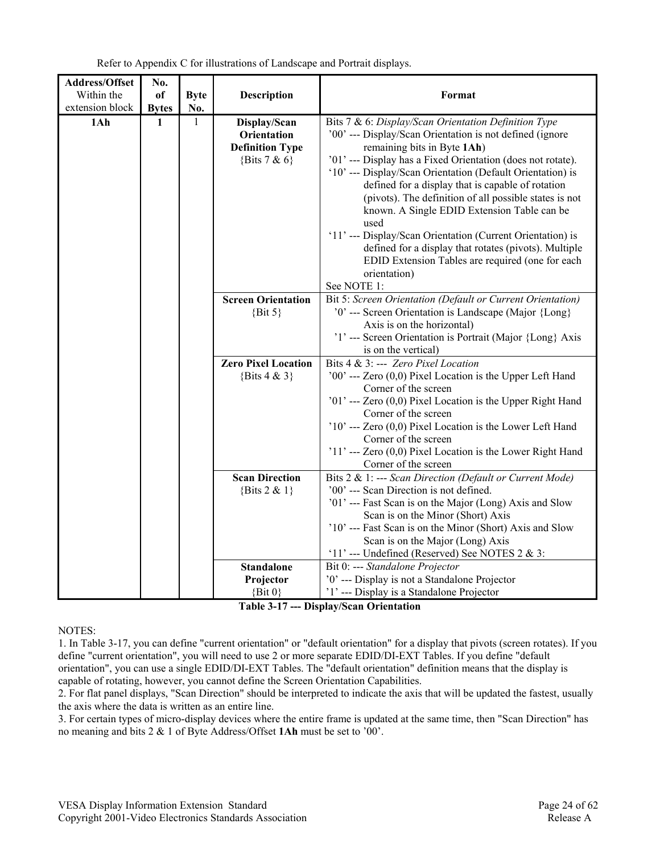| Address/Offset  | No.          |              |                                                                          |                                                                                                                                                                                                                                                                                                                                                                                                                                                                                                                                                                                                                                                              |
|-----------------|--------------|--------------|--------------------------------------------------------------------------|--------------------------------------------------------------------------------------------------------------------------------------------------------------------------------------------------------------------------------------------------------------------------------------------------------------------------------------------------------------------------------------------------------------------------------------------------------------------------------------------------------------------------------------------------------------------------------------------------------------------------------------------------------------|
| Within the      | of           | <b>Byte</b>  | <b>Description</b>                                                       | Format                                                                                                                                                                                                                                                                                                                                                                                                                                                                                                                                                                                                                                                       |
| extension block | <b>Bytes</b> | No.          |                                                                          |                                                                                                                                                                                                                                                                                                                                                                                                                                                                                                                                                                                                                                                              |
| 1Ah             | 1            | $\mathbf{1}$ | Display/Scan<br>Orientation<br><b>Definition Type</b><br>{Bits $7 & 6$ } | Bits 7 & 6: Display/Scan Orientation Definition Type<br>'00' --- Display/Scan Orientation is not defined (ignore<br>remaining bits in Byte 1Ah)<br>'01' --- Display has a Fixed Orientation (does not rotate).<br>'10' --- Display/Scan Orientation (Default Orientation) is<br>defined for a display that is capable of rotation<br>(pivots). The definition of all possible states is not<br>known. A Single EDID Extension Table can be<br>used<br>'11' --- Display/Scan Orientation (Current Orientation) is<br>defined for a display that rotates (pivots). Multiple<br>EDID Extension Tables are required (one for each<br>orientation)<br>See NOTE 1: |
|                 |              |              | <b>Screen Orientation</b><br>$\{Bit\ 5\}$                                | Bit 5: Screen Orientation (Default or Current Orientation)<br>'0' --- Screen Orientation is Landscape (Major {Long}<br>Axis is on the horizontal)<br>'1' --- Screen Orientation is Portrait (Major {Long} Axis<br>is on the vertical)                                                                                                                                                                                                                                                                                                                                                                                                                        |
|                 |              |              | <b>Zero Pixel Location</b><br>{Bits $4 & 3$ }                            | Bits 4 & 3: --- Zero Pixel Location<br>'00' --- Zero $(0,0)$ Pixel Location is the Upper Left Hand<br>Corner of the screen<br>'01' --- Zero (0,0) Pixel Location is the Upper Right Hand<br>Corner of the screen<br>$'10'$ --- Zero (0,0) Pixel Location is the Lower Left Hand<br>Corner of the screen<br>$'11'$ --- Zero $(0,0)$ Pixel Location is the Lower Right Hand<br>Corner of the screen                                                                                                                                                                                                                                                            |
|                 |              |              | <b>Scan Direction</b><br>{Bits $2 & 1$ }<br><b>Standalone</b>            | Bits 2 & 1: --- Scan Direction (Default or Current Mode)<br>'00' --- Scan Direction is not defined.<br>'01' --- Fast Scan is on the Major (Long) Axis and Slow<br>Scan is on the Minor (Short) Axis<br>'10' --- Fast Scan is on the Minor (Short) Axis and Slow<br>Scan is on the Major (Long) Axis<br>'11' --- Undefined (Reserved) See NOTES $2 & 3$ :<br>Bit 0: --- Standalone Projector                                                                                                                                                                                                                                                                  |
|                 |              |              | Projector                                                                | '0' --- Display is not a Standalone Projector                                                                                                                                                                                                                                                                                                                                                                                                                                                                                                                                                                                                                |
|                 |              |              | $\{Bit\ 0\}$                                                             | '1' --- Display is a Standalone Projector                                                                                                                                                                                                                                                                                                                                                                                                                                                                                                                                                                                                                    |

Refer to Appendix C for illustrations of Landscape and Portrait displays.

**Table 3-17 --- Display/Scan Orientation** 

NOTES:

1. In Table 3-17, you can define "current orientation" or "default orientation" for a display that pivots (screen rotates). If you define "current orientation", you will need to use 2 or more separate EDID/DI-EXT Tables. If you define "default orientation", you can use a single EDID/DI-EXT Tables. The "default orientation" definition means that the display is capable of rotating, however, you cannot define the Screen Orientation Capabilities.

2. For flat panel displays, "Scan Direction" should be interpreted to indicate the axis that will be updated the fastest, usually the axis where the data is written as an entire line.

3. For certain types of micro-display devices where the entire frame is updated at the same time, then "Scan Direction" has no meaning and bits 2 & 1 of Byte Address/Offset **1Ah** must be set to '00'.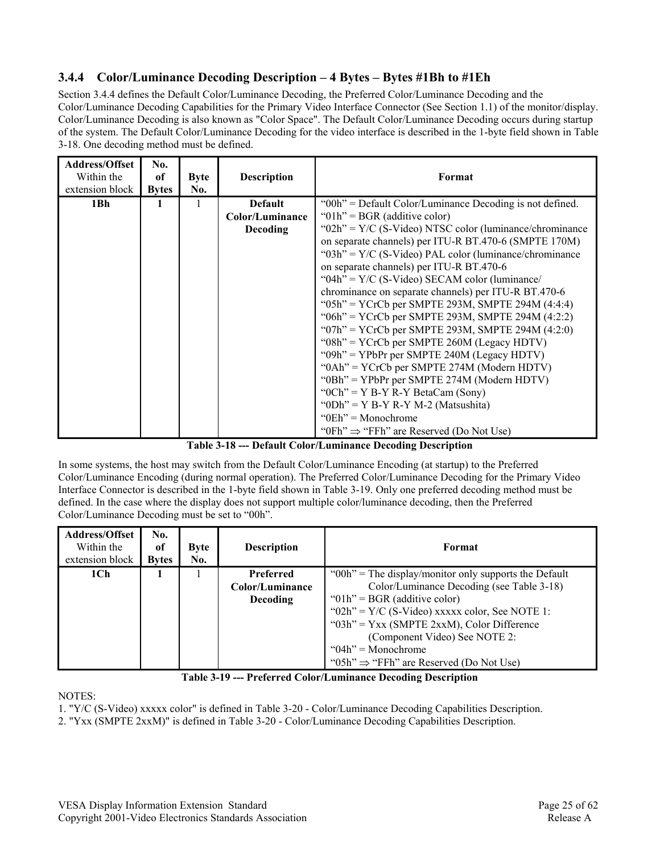### **3.4.4 Color/Luminance Decoding Description – 4 Bytes – Bytes #1Bh to #1Eh**

Section 3.4.4 defines the Default Color/Luminance Decoding, the Preferred Color/Luminance Decoding and the Color/Luminance Decoding Capabilities for the Primary Video Interface Connector (See Section 1.1) of the monitor/display. Color/Luminance Decoding is also known as "Color Space". The Default Color/Luminance Decoding occurs during startup of the system. The Default Color/Luminance Decoding for the video interface is described in the 1-byte field shown in Table 3-18. One decoding method must be defined.

| Address/Offset<br>Within the<br>extension block | No.<br>of<br><b>Bytes</b> | <b>Byte</b><br>No. | <b>Description</b> | Format                                                      |
|-------------------------------------------------|---------------------------|--------------------|--------------------|-------------------------------------------------------------|
| 1Bh                                             | 1                         | 1                  | <b>Default</b>     | "00h" = Default Color/Luminance Decoding is not defined.    |
|                                                 |                           |                    | Color/Luminance    | " $01h$ " = BGR (additive color)                            |
|                                                 |                           |                    | <b>Decoding</b>    | " $02h$ " = Y/C (S-Video) NTSC color (luminance/chrominance |
|                                                 |                           |                    |                    | on separate channels) per ITU-R BT.470-6 (SMPTE 170M)       |
|                                                 |                           |                    |                    | " $03h$ " = Y/C (S-Video) PAL color (luminance/chrominance  |
|                                                 |                           |                    |                    | on separate channels) per ITU-R BT.470-6                    |
|                                                 |                           |                    |                    | " $04h$ " = Y/C (S-Video) SECAM color (luminance/           |
|                                                 |                           |                    |                    | chrominance on separate channels) per ITU-R BT.470-6        |
|                                                 |                           |                    |                    | "05h" = YCrCb per SMPTE 293M, SMPTE 294M $(4:4:4)$          |
|                                                 |                           |                    |                    | "06h" = YCrCb per SMPTE 293M, SMPTE 294M $(4:2:2)$          |
|                                                 |                           |                    |                    | "07h" = YCrCb per SMPTE 293M, SMPTE 294M $(4:2:0)$          |
|                                                 |                           |                    |                    | " $08h$ " = YCrCb per SMPTE 260M (Legacy HDTV)              |
|                                                 |                           |                    |                    | " $09h$ " = YPbPr per SMPTE 240M (Legacy HDTV)              |
|                                                 |                           |                    |                    | " $0Ah$ " = YCrCb per SMPTE 274M (Modern HDTV)              |
|                                                 |                           |                    |                    | "0Bh" = YPbPr per SMPTE 274M (Modern HDTV)                  |
|                                                 |                           |                    |                    | " $OCh$ " = Y B-Y R-Y BetaCam (Sony)                        |
|                                                 |                           |                    |                    | "0Dh" = $Y B-Y R-Y M-2$ (Matsushita)                        |
|                                                 |                           |                    |                    | $"0Eh" = Monochrome$                                        |
|                                                 |                           |                    |                    | "0Fh" $\Rightarrow$ "FFh" are Reserved (Do Not Use)         |

**Table 3-18 --- Default Color/Luminance Decoding Description** 

In some systems, the host may switch from the Default Color/Luminance Encoding (at startup) to the Preferred Color/Luminance Encoding (during normal operation). The Preferred Color/Luminance Decoding for the Primary Video Interface Connector is described in the 1-byte field shown in Table 3-19. Only one preferred decoding method must be defined. In the case where the display does not support multiple color/luminance decoding, then the Preferred Color/Luminance Decoding must be set to "00h".

| <b>Address/Offset</b><br>Within the<br>extension block | No.<br>of<br><b>Bytes</b> | <b>Byte</b><br>No. | <b>Description</b> | Format                                                    |
|--------------------------------------------------------|---------------------------|--------------------|--------------------|-----------------------------------------------------------|
| 1 <sub>ch</sub>                                        |                           |                    | Preferred          | " $00h$ " = The display/monitor only supports the Default |
|                                                        |                           |                    | Color/Luminance    | Color/Luminance Decoding (see Table 3-18)                 |
|                                                        |                           |                    | <b>Decoding</b>    | " $01h$ " = BGR (additive color)                          |
|                                                        |                           |                    |                    | " $02h$ " = Y/C (S-Video) xxxxx color, See NOTE 1:        |
|                                                        |                           |                    |                    | " $03h$ " = Yxx (SMPTE 2xxM), Color Difference            |
|                                                        |                           |                    |                    | (Component Video) See NOTE 2:                             |
|                                                        |                           |                    |                    | " $04h$ " = Monochrome                                    |
|                                                        |                           |                    |                    | "05h" $\Rightarrow$ "FFh" are Reserved (Do Not Use)       |



NOTES:

1. "Y/C (S-Video) xxxxx color" is defined in Table 3-20 - Color/Luminance Decoding Capabilities Description.

2. "Yxx (SMPTE 2xxM)" is defined in Table 3-20 - Color/Luminance Decoding Capabilities Description.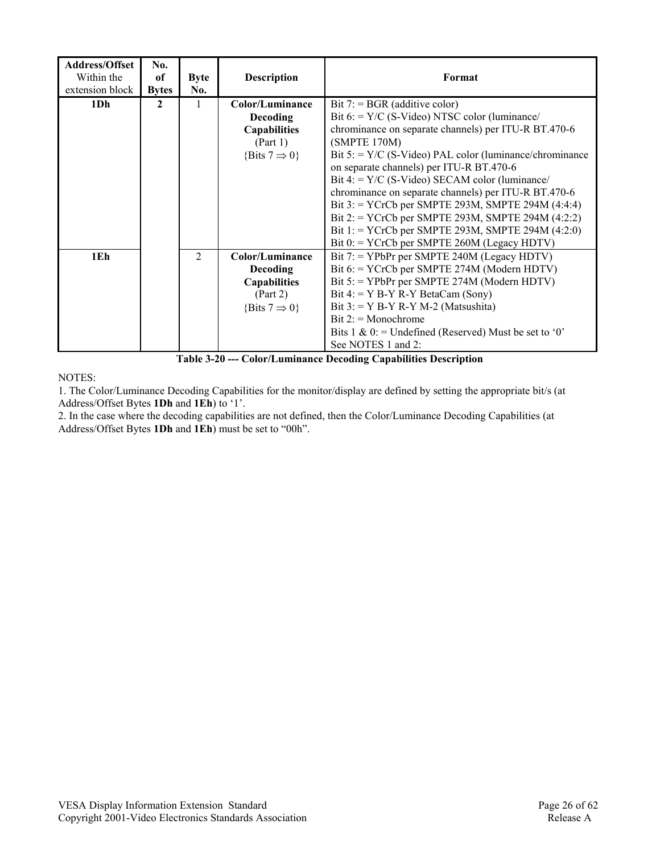| <b>Address/Offset</b><br>Within the<br>extension block | No.<br><sub>of</sub><br><b>Bytes</b> | <b>Byte</b><br>No. | <b>Description</b>                                                                                 | Format                                                                                                                                                                                                                                                                                                                                                                                                                                                                                                                                                                                                 |
|--------------------------------------------------------|--------------------------------------|--------------------|----------------------------------------------------------------------------------------------------|--------------------------------------------------------------------------------------------------------------------------------------------------------------------------------------------------------------------------------------------------------------------------------------------------------------------------------------------------------------------------------------------------------------------------------------------------------------------------------------------------------------------------------------------------------------------------------------------------------|
| 1Dh                                                    | 2                                    | 1                  | Color/Luminance<br>Decoding<br><b>Capabilities</b><br>(Part 1)<br>{Bits $7 \Rightarrow 0$ }        | Bit $7 = BGR$ (additive color)<br>Bit $6 = Y/C$ (S-Video) NTSC color (luminance/<br>chrominance on separate channels) per ITU-R BT.470-6<br>(SMPTE 170M)<br>Bit $5 = Y/C$ (S-Video) PAL color (luminance/chrominance<br>on separate channels) per ITU-R BT.470-6<br>Bit 4: = $Y/C$ (S-Video) SECAM color (luminance/<br>chrominance on separate channels) per ITU-R BT.470-6<br>Bit $3$ : = YCrCb per SMPTE 293M, SMPTE 294M $(4:4:4)$<br>Bit 2: = YCrCb per SMPTE 293M, SMPTE 294M $(4:2:2)$<br>Bit 1: = YCrCb per SMPTE 293M, SMPTE 294M $(4:2:0)$<br>Bit $0$ : = YCrCb per SMPTE 260M (Legacy HDTV) |
| 1Eh                                                    |                                      | $\overline{2}$     | Color/Luminance<br><b>Decoding</b><br><b>Capabilities</b><br>(Part 2)<br>{Bits $7 \Rightarrow 0$ } | Bit $7$ : = YPbPr per SMPTE 240M (Legacy HDTV)<br>Bit 6: = YCrCb per SMPTE 274M (Modern HDTV)<br>Bit $5$ : = YPbPr per SMPTE 274M (Modern HDTV)<br>Bit 4: = $Y B-Y R-Y BetaCam (Sony)$<br>Bit $3:$ = Y B-Y R-Y M-2 (Matsushita)<br>$Bit 2: = Monochrome$<br>Bits 1 & 0: = Undefined (Reserved) Must be set to '0'<br>See NOTES 1 and 2:                                                                                                                                                                                                                                                                |

**Table 3-20 --- Color/Luminance Decoding Capabilities Description** 

NOTES:

1. The Color/Luminance Decoding Capabilities for the monitor/display are defined by setting the appropriate bit/s (at Address/Offset Bytes **1Dh** and **1Eh**) to '1'.

2. In the case where the decoding capabilities are not defined, then the Color/Luminance Decoding Capabilities (at Address/Offset Bytes **1Dh** and **1Eh**) must be set to "00h".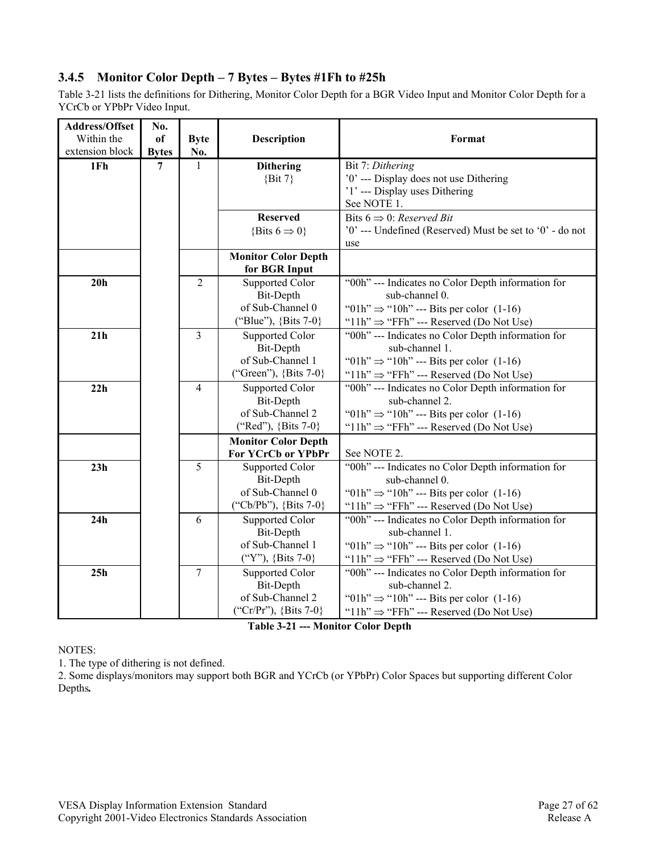## **3.4.5 Monitor Color Depth – 7 Bytes – Bytes #1Fh to #25h**

Table 3-21 lists the definitions for Dithering, Monitor Color Depth for a BGR Video Input and Monitor Color Depth for a YCrCb or YPbPr Video Input.

| Address/Offset  | No.          |                |                                                                                  |                                                                                                                                                                                        |
|-----------------|--------------|----------------|----------------------------------------------------------------------------------|----------------------------------------------------------------------------------------------------------------------------------------------------------------------------------------|
| Within the      | of           | <b>Byte</b>    | <b>Description</b>                                                               | Format                                                                                                                                                                                 |
| extension block | <b>Bytes</b> | No.            |                                                                                  |                                                                                                                                                                                        |
| 1Fh             | 7            | $\mathbf{1}$   | <b>Dithering</b><br>$\{Bit\ 7\}$                                                 | Bit 7: Dithering<br>'0' --- Display does not use Dithering<br>'1' --- Display uses Dithering<br>See NOTE 1.                                                                            |
|                 |              |                | <b>Reserved</b><br>{Bits $6 \Rightarrow 0$ }                                     | Bits $6 \Rightarrow 0$ : Reserved Bit<br>'0' --- Undefined (Reserved) Must be set to '0' - do not<br>use                                                                               |
|                 |              |                | <b>Monitor Color Depth</b><br>for BGR Input                                      |                                                                                                                                                                                        |
| 20 <sub>h</sub> |              | $\overline{2}$ | Supported Color<br>Bit-Depth<br>of Sub-Channel 0<br>("Blue"), {Bits 7-0}         | "00h" --- Indicates no Color Depth information for<br>sub-channel 0.<br>"01h" $\Rightarrow$ "10h" --- Bits per color (1-16)<br>" $11h$ " $\Rightarrow$ "FFh" --- Reserved (Do Not Use) |
| 21h             |              | $\overline{3}$ | <b>Supported Color</b><br>Bit-Depth<br>of Sub-Channel 1<br>("Green"), {Bits 7-0} | "00h" --- Indicates no Color Depth information for<br>sub-channel 1.<br>"01h" $\Rightarrow$ "10h" --- Bits per color (1-16)<br>" $11h$ " $\Rightarrow$ "FFh" --- Reserved (Do Not Use) |
| 22h             |              | $\overline{4}$ | <b>Supported Color</b><br>Bit-Depth<br>of Sub-Channel 2<br>("Red"), {Bits 7-0}   | "00h" --- Indicates no Color Depth information for<br>sub-channel 2.<br>"01h" $\Rightarrow$ "10h" --- Bits per color (1-16)<br>" $11h$ " $\Rightarrow$ "FFh" --- Reserved (Do Not Use) |
|                 |              |                | <b>Monitor Color Depth</b><br>For YCrCb or YPbPr                                 | See NOTE 2.                                                                                                                                                                            |
| 23h             |              | 5              | Supported Color<br>Bit-Depth<br>of Sub-Channel 0<br>("Cb/Pb"), {Bits 7-0}        | "00h" --- Indicates no Color Depth information for<br>sub-channel 0.<br>"01h" $\Rightarrow$ "10h" --- Bits per color (1-16)<br>" $11h$ " $\Rightarrow$ "FFh" --- Reserved (Do Not Use) |
| 24h             |              | 6              | <b>Supported Color</b><br>Bit-Depth<br>of Sub-Channel 1<br>("Y"), {Bits 7-0}     | "00h" --- Indicates no Color Depth information for<br>sub-channel 1.<br>"01h" $\Rightarrow$ "10h" --- Bits per color (1-16)<br>" $11h$ " $\Rightarrow$ "FFh" --- Reserved (Do Not Use) |
| 25h             |              | $\overline{7}$ | <b>Supported Color</b><br>Bit-Depth<br>of Sub-Channel 2<br>("Cr/Pr"), {Bits 7-0} | "00h" --- Indicates no Color Depth information for<br>sub-channel 2.<br>"01h" $\Rightarrow$ "10h" --- Bits per color (1-16)<br>" $11h$ " $\Rightarrow$ "FFh" --- Reserved (Do Not Use) |

**Table 3-21 --- Monitor Color Depth** 

#### NOTES:

1. The type of dithering is not defined.

2. Some displays/monitors may support both BGR and YCrCb (or YPbPr) Color Spaces but supporting different Color Depths*.*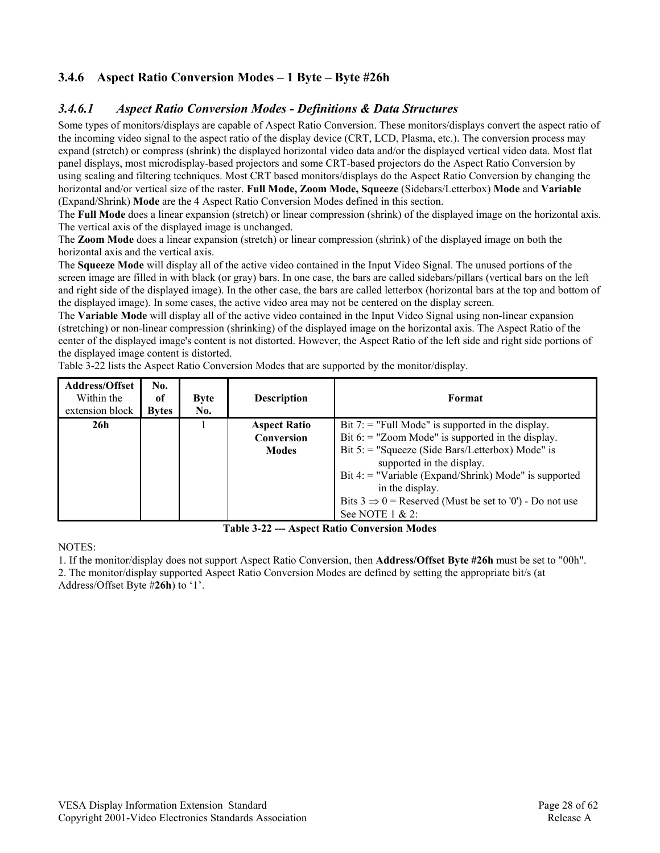## **3.4.6 Aspect Ratio Conversion Modes – 1 Byte – Byte #26h**

#### *3.4.6.1 Aspect Ratio Conversion Modes - Definitions & Data Structures*

Some types of monitors/displays are capable of Aspect Ratio Conversion. These monitors/displays convert the aspect ratio of the incoming video signal to the aspect ratio of the display device (CRT, LCD, Plasma, etc.). The conversion process may expand (stretch) or compress (shrink) the displayed horizontal video data and/or the displayed vertical video data. Most flat panel displays, most microdisplay-based projectors and some CRT-based projectors do the Aspect Ratio Conversion by using scaling and filtering techniques. Most CRT based monitors/displays do the Aspect Ratio Conversion by changing the horizontal and/or vertical size of the raster. **Full Mode, Zoom Mode, Squeeze** (Sidebars/Letterbox) **Mode** and **Variable**  (Expand/Shrink) **Mode** are the 4 Aspect Ratio Conversion Modes defined in this section.

The **Full Mode** does a linear expansion (stretch) or linear compression (shrink) of the displayed image on the horizontal axis. The vertical axis of the displayed image is unchanged.

The **Zoom Mode** does a linear expansion (stretch) or linear compression (shrink) of the displayed image on both the horizontal axis and the vertical axis.

The **Squeeze Mode** will display all of the active video contained in the Input Video Signal. The unused portions of the screen image are filled in with black (or gray) bars. In one case, the bars are called sidebars/pillars (vertical bars on the left and right side of the displayed image). In the other case, the bars are called letterbox (horizontal bars at the top and bottom of the displayed image). In some cases, the active video area may not be centered on the display screen.

The **Variable Mode** will display all of the active video contained in the Input Video Signal using non-linear expansion (stretching) or non-linear compression (shrinking) of the displayed image on the horizontal axis. The Aspect Ratio of the center of the displayed image's content is not distorted. However, the Aspect Ratio of the left side and right side portions of the displayed image content is distorted.

| <b>Address/Offset</b><br>Within the<br>extension block | No.<br>оf<br><b>Bytes</b> | <b>Byte</b><br>No. | <b>Description</b>                                | Format                                                                                                                                                                                                                                                                                                                                                                    |
|--------------------------------------------------------|---------------------------|--------------------|---------------------------------------------------|---------------------------------------------------------------------------------------------------------------------------------------------------------------------------------------------------------------------------------------------------------------------------------------------------------------------------------------------------------------------------|
| 26h                                                    |                           |                    | <b>Aspect Ratio</b><br>Conversion<br><b>Modes</b> | Bit $7$ : = "Full Mode" is supported in the display.<br>Bit $6$ : = "Zoom Mode" is supported in the display.<br>Bit $5$ : = "Squeeze (Side Bars/Letterbox) Mode" is<br>supported in the display.<br>Bit 4: $=$ "Variable (Expand/Shrink) Mode" is supported<br>in the display.<br>Bits $3 \implies 0$ = Reserved (Must be set to '0') - Do not use<br>See NOTE $1 \& 2$ : |

Table 3-22 lists the Aspect Ratio Conversion Modes that are supported by the monitor/display.

**Table 3-22 --- Aspect Ratio Conversion Modes** 

NOTES:

1. If the monitor/display does not support Aspect Ratio Conversion, then **Address/Offset Byte #26h** must be set to "00h".

2. The monitor/display supported Aspect Ratio Conversion Modes are defined by setting the appropriate bit/s (at Address/Offset Byte #**26h**) to '1'.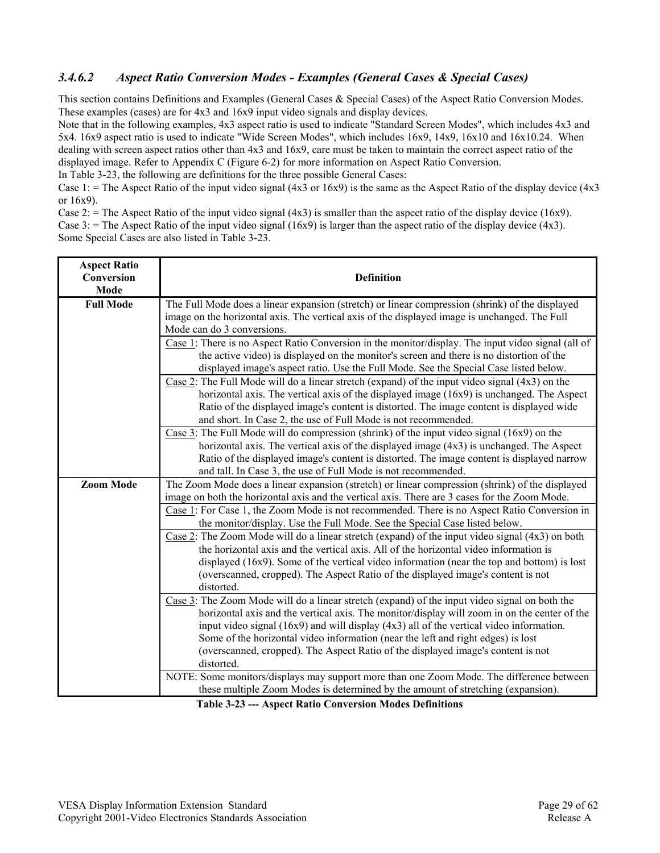#### *3.4.6.2 Aspect Ratio Conversion Modes - Examples (General Cases & Special Cases)*

This section contains Definitions and Examples (General Cases & Special Cases) of the Aspect Ratio Conversion Modes. These examples (cases) are for 4x3 and 16x9 input video signals and display devices.

Note that in the following examples, 4x3 aspect ratio is used to indicate "Standard Screen Modes", which includes 4x3 and 5x4. 16x9 aspect ratio is used to indicate "Wide Screen Modes", which includes 16x9, 14x9, 16x10 and 16x10.24. When dealing with screen aspect ratios other than 4x3 and 16x9, care must be taken to maintain the correct aspect ratio of the displayed image. Refer to Appendix C (Figure 6-2) for more information on Aspect Ratio Conversion.

In Table 3-23, the following are definitions for the three possible General Cases:

Case 1: = The Aspect Ratio of the input video signal  $(4x3 \text{ or } 16x9)$  is the same as the Aspect Ratio of the display device  $(4x3$ or 16x9).

Case 2: = The Aspect Ratio of the input video signal  $(4x3)$  is smaller than the aspect ratio of the display device (16x9). Case 3: = The Aspect Ratio of the input video signal  $(16x9)$  is larger than the aspect ratio of the display device  $(4x3)$ . Some Special Cases are also listed in Table 3-23.

| <b>Aspect Ratio</b><br>Conversion<br>Mode | <b>Definition</b>                                                                                                                                                                                                                                                                                                                                                                                                                                                                                              |
|-------------------------------------------|----------------------------------------------------------------------------------------------------------------------------------------------------------------------------------------------------------------------------------------------------------------------------------------------------------------------------------------------------------------------------------------------------------------------------------------------------------------------------------------------------------------|
| <b>Full Mode</b>                          | The Full Mode does a linear expansion (stretch) or linear compression (shrink) of the displayed<br>image on the horizontal axis. The vertical axis of the displayed image is unchanged. The Full<br>Mode can do 3 conversions.                                                                                                                                                                                                                                                                                 |
|                                           | Case 1: There is no Aspect Ratio Conversion in the monitor/display. The input video signal (all of<br>the active video) is displayed on the monitor's screen and there is no distortion of the<br>displayed image's aspect ratio. Use the Full Mode. See the Special Case listed below.                                                                                                                                                                                                                        |
|                                           | Case 2: The Full Mode will do a linear stretch (expand) of the input video signal $(4x3)$ on the<br>horizontal axis. The vertical axis of the displayed image (16x9) is unchanged. The Aspect<br>Ratio of the displayed image's content is distorted. The image content is displayed wide<br>and short. In Case 2, the use of Full Mode is not recommended.                                                                                                                                                    |
|                                           | Case 3: The Full Mode will do compression (shrink) of the input video signal $(16x9)$ on the<br>horizontal axis. The vertical axis of the displayed image (4x3) is unchanged. The Aspect<br>Ratio of the displayed image's content is distorted. The image content is displayed narrow<br>and tall. In Case 3, the use of Full Mode is not recommended.                                                                                                                                                        |
| <b>Zoom Mode</b>                          | The Zoom Mode does a linear expansion (stretch) or linear compression (shrink) of the displayed<br>image on both the horizontal axis and the vertical axis. There are 3 cases for the Zoom Mode.                                                                                                                                                                                                                                                                                                               |
|                                           | Case 1: For Case 1, the Zoom Mode is not recommended. There is no Aspect Ratio Conversion in<br>the monitor/display. Use the Full Mode. See the Special Case listed below.                                                                                                                                                                                                                                                                                                                                     |
|                                           | Case 2: The Zoom Mode will do a linear stretch (expand) of the input video signal (4x3) on both<br>the horizontal axis and the vertical axis. All of the horizontal video information is<br>displayed $(16x9)$ . Some of the vertical video information (near the top and bottom) is lost<br>(overscanned, cropped). The Aspect Ratio of the displayed image's content is not<br>distorted.                                                                                                                    |
|                                           | $\frac{\text{Case 3}}{\text{Case 3}}$ : The Zoom Mode will do a linear stretch (expand) of the input video signal on both the<br>horizontal axis and the vertical axis. The monitor/display will zoom in on the center of the<br>input video signal (16x9) and will display (4x3) all of the vertical video information.<br>Some of the horizontal video information (near the left and right edges) is lost<br>(overscanned, cropped). The Aspect Ratio of the displayed image's content is not<br>distorted. |
|                                           | NOTE: Some monitors/displays may support more than one Zoom Mode. The difference between<br>these multiple Zoom Modes is determined by the amount of stretching (expansion).<br>Takle 2.22 Agreed Date Convention Modes Definition                                                                                                                                                                                                                                                                             |

**Table 3-23 --- Aspect Ratio Conversion Modes Definitions**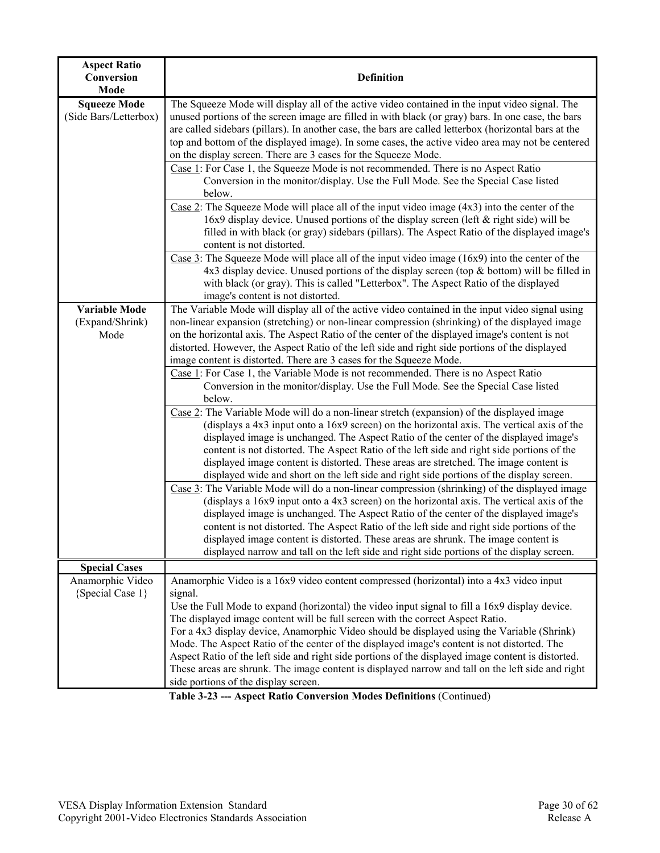| <b>Aspect Ratio</b><br>Conversion<br>Mode       | <b>Definition</b>                                                                                                                                                                                                                                                                                                                                                                                                                                                                                                                                                                                         |
|-------------------------------------------------|-----------------------------------------------------------------------------------------------------------------------------------------------------------------------------------------------------------------------------------------------------------------------------------------------------------------------------------------------------------------------------------------------------------------------------------------------------------------------------------------------------------------------------------------------------------------------------------------------------------|
| <b>Squeeze Mode</b><br>(Side Bars/Letterbox)    | The Squeeze Mode will display all of the active video contained in the input video signal. The<br>unused portions of the screen image are filled in with black (or gray) bars. In one case, the bars<br>are called sidebars (pillars). In another case, the bars are called letterbox (horizontal bars at the<br>top and bottom of the displayed image). In some cases, the active video area may not be centered<br>on the display screen. There are 3 cases for the Squeeze Mode.                                                                                                                       |
|                                                 | Case 1: For Case 1, the Squeeze Mode is not recommended. There is no Aspect Ratio<br>Conversion in the monitor/display. Use the Full Mode. See the Special Case listed<br>below.                                                                                                                                                                                                                                                                                                                                                                                                                          |
|                                                 | Case 2: The Squeeze Mode will place all of the input video image $(4x3)$ into the center of the<br>16x9 display device. Unused portions of the display screen (left & right side) will be<br>filled in with black (or gray) sidebars (pillars). The Aspect Ratio of the displayed image's<br>content is not distorted.                                                                                                                                                                                                                                                                                    |
|                                                 | Case 3: The Squeeze Mode will place all of the input video image $(16x9)$ into the center of the<br>$4x3$ display device. Unused portions of the display screen (top & bottom) will be filled in<br>with black (or gray). This is called "Letterbox". The Aspect Ratio of the displayed<br>image's content is not distorted.                                                                                                                                                                                                                                                                              |
| <b>Variable Mode</b><br>(Expand/Shrink)<br>Mode | The Variable Mode will display all of the active video contained in the input video signal using<br>non-linear expansion (stretching) or non-linear compression (shrinking) of the displayed image<br>on the horizontal axis. The Aspect Ratio of the center of the displayed image's content is not<br>distorted. However, the Aspect Ratio of the left side and right side portions of the displayed<br>image content is distorted. There are 3 cases for the Squeeze Mode.                                                                                                                             |
|                                                 | Case 1: For Case 1, the Variable Mode is not recommended. There is no Aspect Ratio<br>Conversion in the monitor/display. Use the Full Mode. See the Special Case listed<br>below.                                                                                                                                                                                                                                                                                                                                                                                                                         |
|                                                 | Case 2: The Variable Mode will do a non-linear stretch (expansion) of the displayed image<br>(displays a $4x3$ input onto a $16x9$ screen) on the horizontal axis. The vertical axis of the<br>displayed image is unchanged. The Aspect Ratio of the center of the displayed image's<br>content is not distorted. The Aspect Ratio of the left side and right side portions of the<br>displayed image content is distorted. These areas are stretched. The image content is<br>displayed wide and short on the left side and right side portions of the display screen.                                   |
|                                                 | $\frac{\text{Case 3}}{\text{Case 3}}$ : The Variable Mode will do a non-linear compression (shrinking) of the displayed image<br>(displays a $16x9$ input onto a $4x3$ screen) on the horizontal axis. The vertical axis of the<br>displayed image is unchanged. The Aspect Ratio of the center of the displayed image's<br>content is not distorted. The Aspect Ratio of the left side and right side portions of the<br>displayed image content is distorted. These areas are shrunk. The image content is<br>displayed narrow and tall on the left side and right side portions of the display screen. |
| <b>Special Cases</b>                            |                                                                                                                                                                                                                                                                                                                                                                                                                                                                                                                                                                                                           |
| Anamorphic Video<br>{Special Case 1}            | Anamorphic Video is a 16x9 video content compressed (horizontal) into a 4x3 video input<br>signal.<br>Use the Full Mode to expand (horizontal) the video input signal to fill a 16x9 display device.                                                                                                                                                                                                                                                                                                                                                                                                      |
|                                                 | The displayed image content will be full screen with the correct Aspect Ratio.<br>For a 4x3 display device, Anamorphic Video should be displayed using the Variable (Shrink)<br>Mode. The Aspect Ratio of the center of the displayed image's content is not distorted. The<br>Aspect Ratio of the left side and right side portions of the displayed image content is distorted.<br>These areas are shrunk. The image content is displayed narrow and tall on the left side and right<br>side portions of the display screen.                                                                            |

**Table 3-23 --- Aspect Ratio Conversion Modes Definitions** (Continued)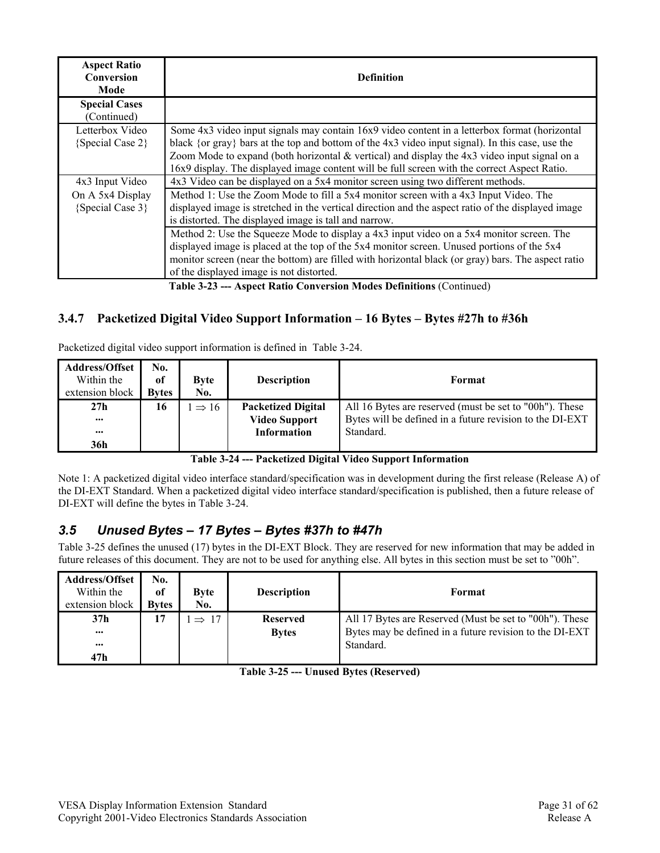| <b>Aspect Ratio</b><br>Conversion<br>Mode | <b>Definition</b>                                                                                                                                                                                                                                                                                                                                                                                     |
|-------------------------------------------|-------------------------------------------------------------------------------------------------------------------------------------------------------------------------------------------------------------------------------------------------------------------------------------------------------------------------------------------------------------------------------------------------------|
| <b>Special Cases</b><br>(Continued)       |                                                                                                                                                                                                                                                                                                                                                                                                       |
| Letterbox Video<br>$\{Special Case 2\}$   | Some 4x3 video input signals may contain 16x9 video content in a letterbox format (horizontal<br>black {or gray} bars at the top and bottom of the $4x3$ video input signal). In this case, use the<br>Zoom Mode to expand (both horizontal $&$ vertical) and display the 4x3 video input signal on a<br>16x9 display. The displayed image content will be full screen with the correct Aspect Ratio. |
| 4x3 Input Video                           | 4x3 Video can be displayed on a 5x4 monitor screen using two different methods.                                                                                                                                                                                                                                                                                                                       |
| On A 5x4 Display<br>$\{Special Case 3\}$  | Method 1: Use the Zoom Mode to fill a 5x4 monitor screen with a 4x3 Input Video. The<br>displayed image is stretched in the vertical direction and the aspect ratio of the displayed image<br>is distorted. The displayed image is tall and narrow.                                                                                                                                                   |
|                                           | Method 2: Use the Squeeze Mode to display a 4x3 input video on a 5x4 monitor screen. The<br>displayed image is placed at the top of the 5x4 monitor screen. Unused portions of the 5x4<br>monitor screen (near the bottom) are filled with horizontal black (or gray) bars. The aspect ratio<br>of the displayed image is not distorted.                                                              |

**Table 3-23 --- Aspect Ratio Conversion Modes Definitions** (Continued)

### **3.4.7 Packetized Digital Video Support Information – 16 Bytes – Bytes #27h to #36h**

Packetized digital video support information is defined in Table 3-24.

| <b>Address/Offset</b><br>Within the<br>extension block | No.<br>of<br><b>Bytes</b> | <b>Byte</b><br>No. | <b>Description</b>                                | Format                                                                                                              |
|--------------------------------------------------------|---------------------------|--------------------|---------------------------------------------------|---------------------------------------------------------------------------------------------------------------------|
| 27 <sub>h</sub><br>$\bullet\bullet\bullet$             | 16                        | $\Rightarrow$ 16   | <b>Packetized Digital</b><br><b>Video Support</b> | All 16 Bytes are reserved (must be set to "00h"). These<br>Bytes will be defined in a future revision to the DI-EXT |
| $\bullet\bullet\bullet$                                |                           |                    | <b>Information</b>                                | Standard.                                                                                                           |
| 36h                                                    |                           |                    |                                                   |                                                                                                                     |

**Table 3-24 --- Packetized Digital Video Support Information** 

Note 1: A packetized digital video interface standard/specification was in development during the first release (Release A) of the DI-EXT Standard. When a packetized digital video interface standard/specification is published, then a future release of DI-EXT will define the bytes in Table 3-24.

#### *3.5 Unused Bytes – 17 Bytes – Bytes #37h to #47h*

Table 3-25 defines the unused (17) bytes in the DI-EXT Block. They are reserved for new information that may be added in future releases of this document. They are not to be used for anything else. All bytes in this section must be set to "00h".

| <b>Address/Offset</b><br>Within the<br>extension block | No.<br>of<br><b>Bytes</b> | <b>Byte</b><br>No. | <b>Description</b> | Format                                                  |
|--------------------------------------------------------|---------------------------|--------------------|--------------------|---------------------------------------------------------|
| 37 <sub>h</sub>                                        | 17                        | $\Rightarrow$ 17   | <b>Reserved</b>    | All 17 Bytes are Reserved (Must be set to "00h"). These |
| $\bullet\bullet\bullet$                                |                           |                    | <b>Bytes</b>       | Bytes may be defined in a future revision to the DI-EXT |
| $\cdots$                                               |                           |                    |                    | Standard.                                               |
| 47h                                                    |                           |                    |                    |                                                         |

**Table 3-25 --- Unused Bytes (Reserved)**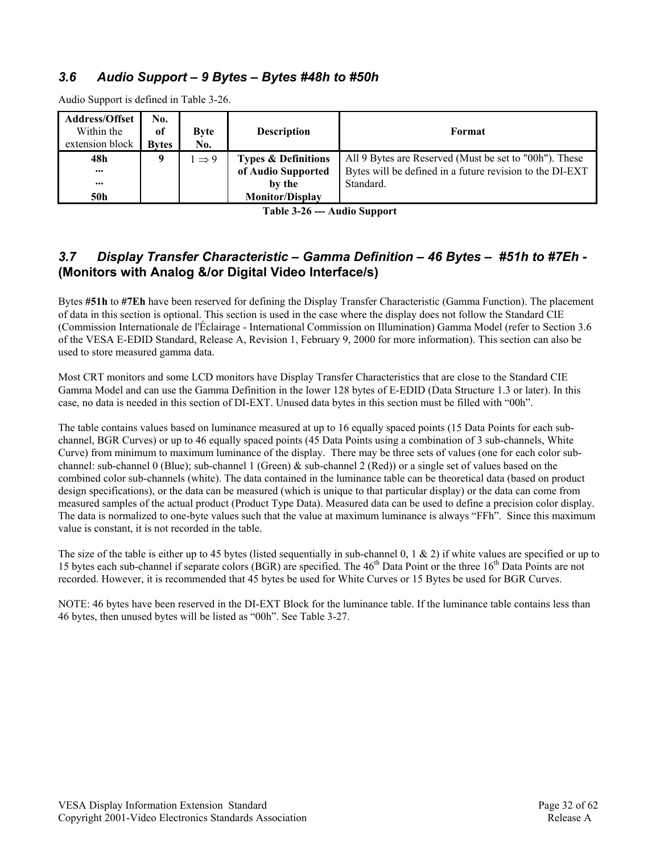### *3.6 Audio Support – 9 Bytes – Bytes #48h to #50h*

| <b>Address/Offset</b><br>Within the<br>extension block | No.<br><sub>of</sub><br><b>Bytes</b> | <b>Byte</b><br>No. | <b>Description</b>                                   | Format                                                                                                             |
|--------------------------------------------------------|--------------------------------------|--------------------|------------------------------------------------------|--------------------------------------------------------------------------------------------------------------------|
| 48h<br>$\cdots$                                        | 9                                    | $\Rightarrow$ 9    | <b>Types &amp; Definitions</b><br>of Audio Supported | All 9 Bytes are Reserved (Must be set to "00h"). These<br>Bytes will be defined in a future revision to the DI-EXT |
| <br>50h                                                |                                      |                    | by the<br><b>Monitor/Display</b>                     | Standard.                                                                                                          |

Audio Support is defined in Table 3-26.

**Table 3-26 --- Audio Support** 

### *3.7 Display Transfer Characteristic – Gamma Definition – 46 Bytes – #51h to #7Eh -*  **(Monitors with Analog &/or Digital Video Interface/s)**

Bytes **#51h** to **#7Eh** have been reserved for defining the Display Transfer Characteristic (Gamma Function). The placement of data in this section is optional. This section is used in the case where the display does not follow the Standard CIE (Commission Internationale de l'Éclairage - International Commission on Illumination) Gamma Model (refer to Section 3.6 of the VESA E-EDID Standard, Release A, Revision 1, February 9, 2000 for more information). This section can also be used to store measured gamma data.

Most CRT monitors and some LCD monitors have Display Transfer Characteristics that are close to the Standard CIE Gamma Model and can use the Gamma Definition in the lower 128 bytes of E-EDID (Data Structure 1.3 or later). In this case, no data is needed in this section of DI-EXT. Unused data bytes in this section must be filled with "00h".

The table contains values based on luminance measured at up to 16 equally spaced points (15 Data Points for each subchannel, BGR Curves) or up to 46 equally spaced points (45 Data Points using a combination of 3 sub-channels, White Curve) from minimum to maximum luminance of the display. There may be three sets of values (one for each color subchannel: sub-channel 0 (Blue); sub-channel 1 (Green) & sub-channel 2 (Red)) or a single set of values based on the combined color sub-channels (white). The data contained in the luminance table can be theoretical data (based on product design specifications), or the data can be measured (which is unique to that particular display) or the data can come from measured samples of the actual product (Product Type Data). Measured data can be used to define a precision color display. The data is normalized to one-byte values such that the value at maximum luminance is always "FFh". Since this maximum value is constant, it is not recorded in the table.

The size of the table is either up to 45 bytes (listed sequentially in sub-channel 0, 1  $\&$  2) if white values are specified or up to 15 bytes each sub-channel if separate colors (BGR) are specified. The  $46<sup>th</sup>$  Data Point or the three  $16<sup>th</sup>$  Data Points are not recorded. However, it is recommended that 45 bytes be used for White Curves or 15 Bytes be used for BGR Curves.

NOTE: 46 bytes have been reserved in the DI-EXT Block for the luminance table. If the luminance table contains less than 46 bytes, then unused bytes will be listed as "00h". See Table 3-27.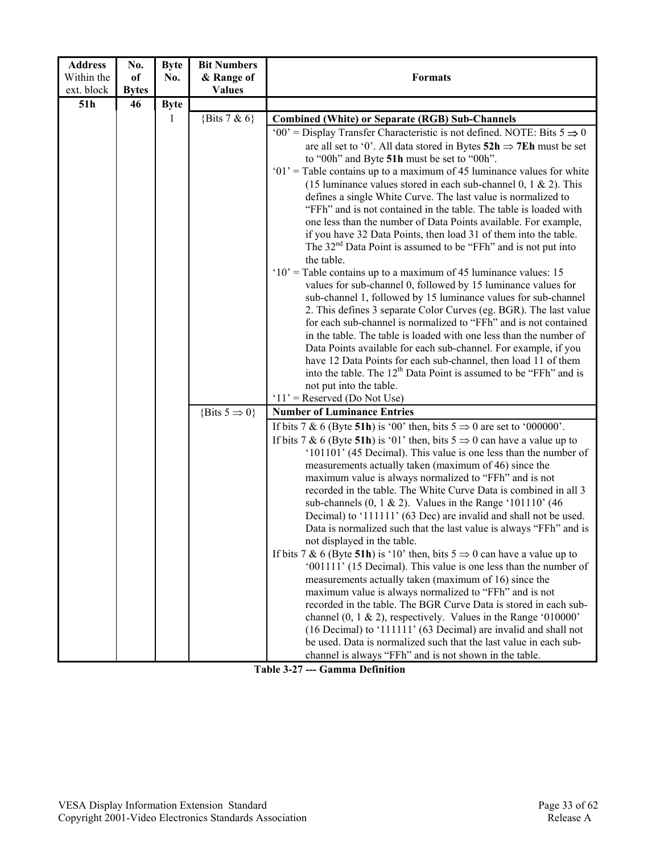| <b>Address</b> | No.          | <b>Byte</b> | <b>Bit Numbers</b>                                                                                                                                                                                                                                                                                                                                                                                                                                                                                                                                                                                                                                                                                                                                                                                                                                                                                                                                                                                                                                                                                                                                                                                                                                                                                                                                                                |                                                                                                                                                                                                                                                                                                                                                                                                                                                                                                                                                                                                                                                                                                                                                                                                                                                                                                                                                                                                                                                                                                                                                                                                                                                                                                            |
|----------------|--------------|-------------|-----------------------------------------------------------------------------------------------------------------------------------------------------------------------------------------------------------------------------------------------------------------------------------------------------------------------------------------------------------------------------------------------------------------------------------------------------------------------------------------------------------------------------------------------------------------------------------------------------------------------------------------------------------------------------------------------------------------------------------------------------------------------------------------------------------------------------------------------------------------------------------------------------------------------------------------------------------------------------------------------------------------------------------------------------------------------------------------------------------------------------------------------------------------------------------------------------------------------------------------------------------------------------------------------------------------------------------------------------------------------------------|------------------------------------------------------------------------------------------------------------------------------------------------------------------------------------------------------------------------------------------------------------------------------------------------------------------------------------------------------------------------------------------------------------------------------------------------------------------------------------------------------------------------------------------------------------------------------------------------------------------------------------------------------------------------------------------------------------------------------------------------------------------------------------------------------------------------------------------------------------------------------------------------------------------------------------------------------------------------------------------------------------------------------------------------------------------------------------------------------------------------------------------------------------------------------------------------------------------------------------------------------------------------------------------------------------|
| Within the     | of           | No.         | & Range of                                                                                                                                                                                                                                                                                                                                                                                                                                                                                                                                                                                                                                                                                                                                                                                                                                                                                                                                                                                                                                                                                                                                                                                                                                                                                                                                                                        | <b>Formats</b>                                                                                                                                                                                                                                                                                                                                                                                                                                                                                                                                                                                                                                                                                                                                                                                                                                                                                                                                                                                                                                                                                                                                                                                                                                                                                             |
| ext. block     | <b>Bytes</b> |             | <b>Values</b>                                                                                                                                                                                                                                                                                                                                                                                                                                                                                                                                                                                                                                                                                                                                                                                                                                                                                                                                                                                                                                                                                                                                                                                                                                                                                                                                                                     |                                                                                                                                                                                                                                                                                                                                                                                                                                                                                                                                                                                                                                                                                                                                                                                                                                                                                                                                                                                                                                                                                                                                                                                                                                                                                                            |
| 51h            | 46           | <b>Byte</b> |                                                                                                                                                                                                                                                                                                                                                                                                                                                                                                                                                                                                                                                                                                                                                                                                                                                                                                                                                                                                                                                                                                                                                                                                                                                                                                                                                                                   |                                                                                                                                                                                                                                                                                                                                                                                                                                                                                                                                                                                                                                                                                                                                                                                                                                                                                                                                                                                                                                                                                                                                                                                                                                                                                                            |
|                |              | 1           | {Bits $7 & 6$ }                                                                                                                                                                                                                                                                                                                                                                                                                                                                                                                                                                                                                                                                                                                                                                                                                                                                                                                                                                                                                                                                                                                                                                                                                                                                                                                                                                   | <b>Combined (White) or Separate (RGB) Sub-Channels</b>                                                                                                                                                                                                                                                                                                                                                                                                                                                                                                                                                                                                                                                                                                                                                                                                                                                                                                                                                                                                                                                                                                                                                                                                                                                     |
|                |              |             | '00' = Display Transfer Characteristic is not defined. NOTE: Bits $5 \Rightarrow 0$<br>are all set to '0'. All data stored in Bytes $52h \Rightarrow 7Eh$ must be set<br>to "00h" and Byte 51h must be set to "00h".<br>$01'$ = Table contains up to a maximum of 45 luminance values for white<br>(15 luminance values stored in each sub-channel 0, 1 $\&$ 2). This<br>defines a single White Curve. The last value is normalized to<br>"FFh" and is not contained in the table. The table is loaded with<br>one less than the number of Data Points available. For example,<br>if you have 32 Data Points, then load 31 of them into the table.<br>The $32nd$ Data Point is assumed to be "FFh" and is not put into<br>the table.<br>$10'$ = Table contains up to a maximum of 45 luminance values: 15<br>values for sub-channel 0, followed by 15 luminance values for<br>sub-channel 1, followed by 15 luminance values for sub-channel<br>2. This defines 3 separate Color Curves (eg. BGR). The last value<br>for each sub-channel is normalized to "FFh" and is not contained<br>in the table. The table is loaded with one less than the number of<br>Data Points available for each sub-channel. For example, if you<br>have 12 Data Points for each sub-channel, then load 11 of them<br>into the table. The 12 <sup>th</sup> Data Point is assumed to be "FFh" and is |                                                                                                                                                                                                                                                                                                                                                                                                                                                                                                                                                                                                                                                                                                                                                                                                                                                                                                                                                                                                                                                                                                                                                                                                                                                                                                            |
|                |              |             |                                                                                                                                                                                                                                                                                                                                                                                                                                                                                                                                                                                                                                                                                                                                                                                                                                                                                                                                                                                                                                                                                                                                                                                                                                                                                                                                                                                   | not put into the table.                                                                                                                                                                                                                                                                                                                                                                                                                                                                                                                                                                                                                                                                                                                                                                                                                                                                                                                                                                                                                                                                                                                                                                                                                                                                                    |
|                |              |             |                                                                                                                                                                                                                                                                                                                                                                                                                                                                                                                                                                                                                                                                                                                                                                                                                                                                                                                                                                                                                                                                                                                                                                                                                                                                                                                                                                                   | $11'$ = Reserved (Do Not Use)                                                                                                                                                                                                                                                                                                                                                                                                                                                                                                                                                                                                                                                                                                                                                                                                                                                                                                                                                                                                                                                                                                                                                                                                                                                                              |
|                |              |             | {Bits $5 \Rightarrow 0$ }                                                                                                                                                                                                                                                                                                                                                                                                                                                                                                                                                                                                                                                                                                                                                                                                                                                                                                                                                                                                                                                                                                                                                                                                                                                                                                                                                         | <b>Number of Luminance Entries</b>                                                                                                                                                                                                                                                                                                                                                                                                                                                                                                                                                                                                                                                                                                                                                                                                                                                                                                                                                                                                                                                                                                                                                                                                                                                                         |
|                |              |             |                                                                                                                                                                                                                                                                                                                                                                                                                                                                                                                                                                                                                                                                                                                                                                                                                                                                                                                                                                                                                                                                                                                                                                                                                                                                                                                                                                                   | If bits 7 & 6 (Byte 51h) is '00' then, bits $5 \Rightarrow 0$ are set to '000000'.<br>If bits 7 & 6 (Byte 51h) is '01' then, bits $5 \Rightarrow 0$ can have a value up to<br>'101101' (45 Decimal). This value is one less than the number of<br>measurements actually taken (maximum of 46) since the<br>maximum value is always normalized to "FFh" and is not<br>recorded in the table. The White Curve Data is combined in all 3<br>sub-channels $(0, 1 & 2)$ . Values in the Range '101110' (46)<br>Decimal) to '111111' (63 Dec) are invalid and shall not be used.<br>Data is normalized such that the last value is always "FFh" and is<br>not displayed in the table.<br>If bits 7 & 6 (Byte 51h) is '10' then, bits $5 \Rightarrow 0$ can have a value up to<br>'001111' (15 Decimal). This value is one less than the number of<br>measurements actually taken (maximum of 16) since the<br>maximum value is always normalized to "FFh" and is not<br>recorded in the table. The BGR Curve Data is stored in each sub-<br>channel $(0, 1 \& 2)$ , respectively. Values in the Range '010000'<br>(16 Decimal) to '111111' (63 Decimal) are invalid and shall not<br>be used. Data is normalized such that the last value in each sub-<br>channel is always "FFh" and is not shown in the table. |

**Table 3-27 --- Gamma Definition**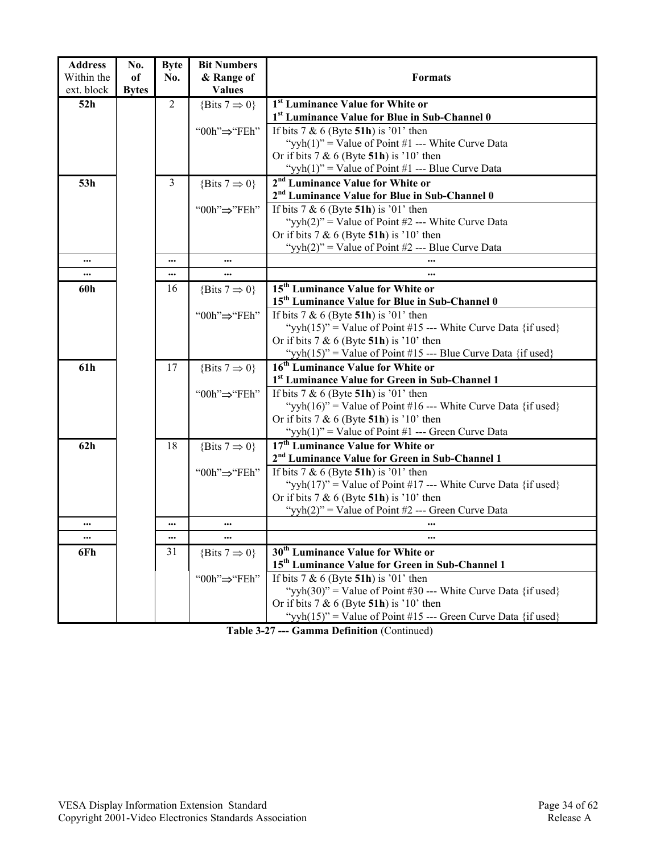| <b>Address</b> | No.          | <b>Byte</b>    | <b>Bit Numbers</b>        |                                                                                                 |
|----------------|--------------|----------------|---------------------------|-------------------------------------------------------------------------------------------------|
| Within the     | of           | No.            | & Range of                | <b>Formats</b>                                                                                  |
| ext. block     | <b>Bytes</b> |                | <b>Values</b>             |                                                                                                 |
| 52h            |              | $\overline{2}$ | {Bits $7 \Rightarrow 0$ } | <sup>1st</sup> Luminance Value for White or                                                     |
|                |              |                |                           | 1st Luminance Value for Blue in Sub-Channel 0                                                   |
|                |              |                | "00h" $\Rightarrow$ "FEh" | If bits $7 & 6$ (Byte 51h) is '01' then                                                         |
|                |              |                |                           | "yyh(1)" = Value of Point #1 --- White Curve Data                                               |
|                |              |                |                           | Or if bits $7 & 6$ (Byte 51h) is '10' then                                                      |
|                |              |                |                           | "yyh(1)" = Value of Point #1 --- Blue Curve Data                                                |
| 53h            |              | 3              | {Bits $7 \Rightarrow 0$ } | 2 <sup>nd</sup> Luminance Value for White or                                                    |
|                |              |                |                           | 2 <sup>nd</sup> Luminance Value for Blue in Sub-Channel 0                                       |
|                |              |                | "00h" $\Rightarrow$ "FEh" | If bits $7 & 6$ (Byte 51h) is '01' then                                                         |
|                |              |                |                           | "yyh $(2)$ " = Value of Point #2 --- White Curve Data                                           |
|                |              |                |                           | Or if bits $7 & 6$ (Byte 51h) is '10' then                                                      |
|                |              |                |                           | "yyh(2)" = Value of Point #2 --- Blue Curve Data                                                |
|                |              | $\cdots$       | $\cdots$                  |                                                                                                 |
|                |              |                | $\cdots$                  |                                                                                                 |
| 60h            |              | 16             | {Bits $7 \Rightarrow 0$ } | 15 <sup>th</sup> Luminance Value for White or                                                   |
|                |              |                |                           | 15 <sup>th</sup> Luminance Value for Blue in Sub-Channel 0                                      |
|                |              |                | "00h" $\Rightarrow$ "FEh" | If bits $7 & 6$ (Byte 51h) is '01' then                                                         |
|                |              |                |                           | "yyh $(15)$ " = Value of Point #15 --- White Curve Data {if used}                               |
|                |              |                |                           | Or if bits $7 & 6$ (Byte 51h) is '10' then                                                      |
|                |              |                |                           | "yyh $(15)$ " = Value of Point #15 --- Blue Curve Data {if used}                                |
| 61h            |              | 17             | {Bits $7 \Rightarrow 0$ } | 16 <sup>th</sup> Luminance Value for White or                                                   |
|                |              |                |                           | 1 <sup>st</sup> Luminance Value for Green in Sub-Channel 1                                      |
|                |              |                | "00h" $\Rightarrow$ "FEh" | If bits $7 & 6$ (Byte 51h) is '01' then                                                         |
|                |              |                |                           | "yyh $(16)$ " = Value of Point #16 --- White Curve Data {if used}                               |
|                |              |                |                           | Or if bits $7 & 6$ (Byte 51h) is '10' then                                                      |
|                |              |                |                           | "yyh(1)" = Value of Point #1 --- Green Curve Data                                               |
| 62h            |              | 18             | {Bits $7 \Rightarrow 0$ } | 17 <sup>th</sup> Luminance Value for White or                                                   |
|                |              |                |                           | 2 <sup>nd</sup> Luminance Value for Green in Sub-Channel 1                                      |
|                |              |                | "00h" $\Rightarrow$ "FEh" | If bits 7 & 6 (Byte 51h) is '01' then                                                           |
|                |              |                |                           | "vyh(17)" = Value of Point #17 --- White Curve Data {if used}                                   |
|                |              |                |                           | Or if bits $7 & 6$ (Byte 51h) is '10' then<br>"yyh(2)" = Value of Point #2 --- Green Curve Data |
|                |              |                |                           |                                                                                                 |
|                |              | $\cdots$       |                           |                                                                                                 |
|                |              | 31             |                           | 30 <sup>th</sup> Luminance Value for White or                                                   |
| 6Fh            |              |                | {Bits $7 \Rightarrow 0$ } | 15 <sup>th</sup> Luminance Value for Green in Sub-Channel 1                                     |
|                |              |                | "00h"⇒"FEh"               | If bits $7 & 6$ (Byte 51h) is '01' then                                                         |
|                |              |                |                           | "vyh $(30)$ " = Value of Point #30 --- White Curve Data {if used}                               |
|                |              |                |                           | Or if bits $7 & 6$ (Byte 51h) is '10' then                                                      |
|                |              |                |                           | "yyh $(15)$ " = Value of Point #15 --- Green Curve Data {if used}                               |
|                |              |                |                           |                                                                                                 |

**Table 3-27 --- Gamma Definition** (Continued)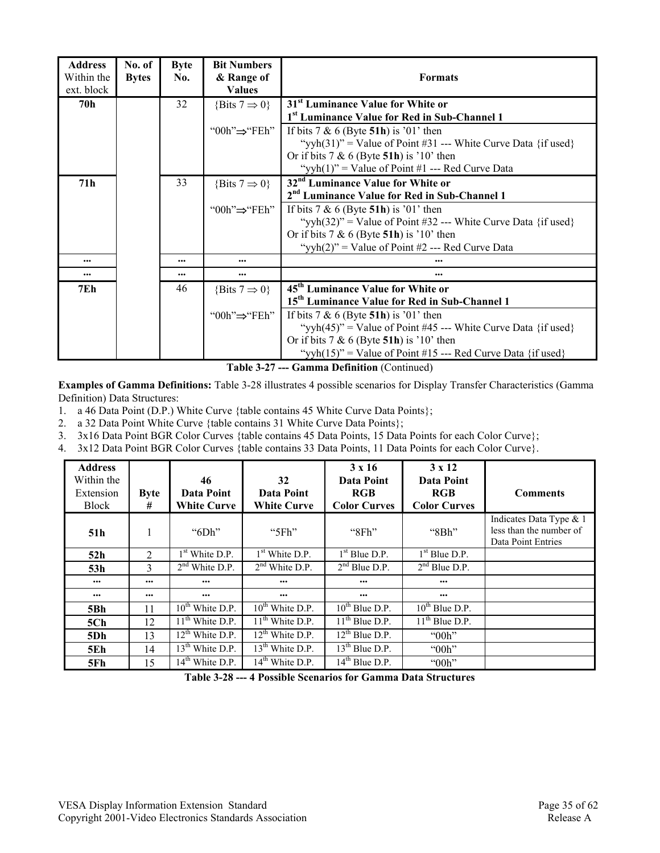| No. of       | <b>Byte</b> | <b>Bit Numbers</b>        |                                                                   |
|--------------|-------------|---------------------------|-------------------------------------------------------------------|
| <b>Bytes</b> | No.         | & Range of                | <b>Formats</b>                                                    |
|              |             | <b>Values</b>             |                                                                   |
|              | 32          | {Bits $7 \Rightarrow 0$ } | 31 <sup>st</sup> Luminance Value for White or                     |
|              |             |                           | 1 <sup>st</sup> Luminance Value for Red in Sub-Channel 1          |
|              |             | "00h" $\Rightarrow$ "FEh" | If bits $7 & 6$ (Byte 51h) is '01' then                           |
|              |             |                           | "yyh $(31)$ " = Value of Point #31 --- White Curve Data {if used} |
|              |             |                           | Or if bits $7 & 6$ (Byte 51h) is '10' then                        |
|              |             |                           | "yyh(1)" = Value of Point #1 --- Red Curve Data                   |
|              | 33          | {Bits $7 \Rightarrow 0$ } | 32 <sup>nd</sup> Luminance Value for White or                     |
|              |             |                           | 2 <sup>nd</sup> Luminance Value for Red in Sub-Channel 1          |
|              |             | "00h"⇒"FEh"               | If bits $7 & 6$ (Byte 51h) is '01' then                           |
|              |             |                           | "yyh $(32)$ " = Value of Point #32 --- White Curve Data {if used} |
|              |             |                           | Or if bits $7 & 6$ (Byte 51h) is '10' then                        |
|              |             |                           | "yyh $(2)$ " = Value of Point #2 --- Red Curve Data               |
|              | $\cdots$    | $\cdots$                  |                                                                   |
|              | $\cdots$    | $\cdots$                  |                                                                   |
|              | 46          | {Bits $7 \Rightarrow 0$ } | 45 <sup>th</sup> Luminance Value for White or                     |
|              |             |                           | 15 <sup>th</sup> Luminance Value for Red in Sub-Channel 1         |
|              |             | "00h" $\Rightarrow$ "FEh" | If bits $7 & 6$ (Byte 51h) is '01' then                           |
|              |             |                           | "yyh $(45)$ " = Value of Point #45 --- White Curve Data {if used} |
|              |             |                           | Or if bits $7 & 6$ (Byte 51h) is '10' then                        |
|              |             |                           | "yyh $(15)$ " = Value of Point #15 --- Red Curve Data {if used}   |
|              |             |                           |                                                                   |

**Table 3-27 --- Gamma Definition** (Continued)

**Examples of Gamma Definitions:** Table 3-28 illustrates 4 possible scenarios for Display Transfer Characteristics (Gamma Definition) Data Structures:

1. a 46 Data Point (D.P.) White Curve {table contains 45 White Curve Data Points};

2. a 32 Data Point White Curve {table contains 31 White Curve Data Points};

3. 3x16 Data Point BGR Color Curves {table contains 45 Data Points, 15 Data Points for each Color Curve};

4. 3x12 Data Point BGR Color Curves {table contains 33 Data Points, 11 Data Points for each Color Curve}.

| <b>Address</b><br>Within the<br>Extension<br><b>Block</b> | <b>Byte</b><br># | 46<br>Data Point<br><b>White Curve</b> | 32<br>Data Point<br><b>White Curve</b> | $3 \times 16$<br>Data Point<br><b>RGB</b><br><b>Color Curves</b> | $3 \times 12$<br>Data Point<br><b>RGB</b><br><b>Color Curves</b> | <b>Comments</b>                                                          |
|-----------------------------------------------------------|------------------|----------------------------------------|----------------------------------------|------------------------------------------------------------------|------------------------------------------------------------------|--------------------------------------------------------------------------|
| 51h                                                       |                  | " $6Dh$ "                              | " $5Fh$ "                              | "8Fh"                                                            | "8Bh"                                                            | Indicates Data Type & 1<br>less than the number of<br>Data Point Entries |
| 52h                                                       | $\mathfrak{D}$   | $1st$ White D.P.                       | 1 <sup>st</sup> White D.P.             | $1st$ Blue D.P.                                                  | $1st$ Blue D.P.                                                  |                                                                          |
| 53h                                                       | 3                | $2nd$ White D.P.                       | $2nd$ White D.P.                       | $2nd$ Blue D.P.                                                  | $2nd$ Blue D.P.                                                  |                                                                          |
|                                                           | $\cdots$         | $\cdots$                               | $\bullet\bullet\bullet$                | $\cdots$                                                         | $\cdots$                                                         |                                                                          |
|                                                           |                  | $\cdots$                               | $\cdots$                               | $\cdots$                                                         | $\cdots$                                                         |                                                                          |
| 5Bh                                                       | 11               | $10^{th}$ White D.P.                   | $10^{th}$ White D.P.                   | $10^{th}$ Blue D.P.                                              | $10^{th}$ Blue D.P.                                              |                                                                          |
| 5Ch                                                       | 12               | $11th$ White D.P.                      | $11th$ White D.P.                      | $11th$ Blue D.P.                                                 | $11th$ Blue D.P.                                                 |                                                                          |
| 5Dh                                                       | 13               | $12^{th}$ White D.P.                   | $12th$ White D.P.                      | $12^{th}$ Blue D.P.                                              | " $00h$ "                                                        |                                                                          |
| <b>5Eh</b>                                                | 14               | $13th$ White D.P.                      | $13th$ White D.P.                      | $\overline{13^{th}$ Blue D.P.                                    | " $00h$ "                                                        |                                                                          |
| 5Fh                                                       | 15               | 14 <sup>th</sup> White D.P.            | $14th$ White D.P.                      | $14th$ Blue D.P.                                                 | "00h"                                                            |                                                                          |

**Table 3-28 --- 4 Possible Scenarios for Gamma Data Structures**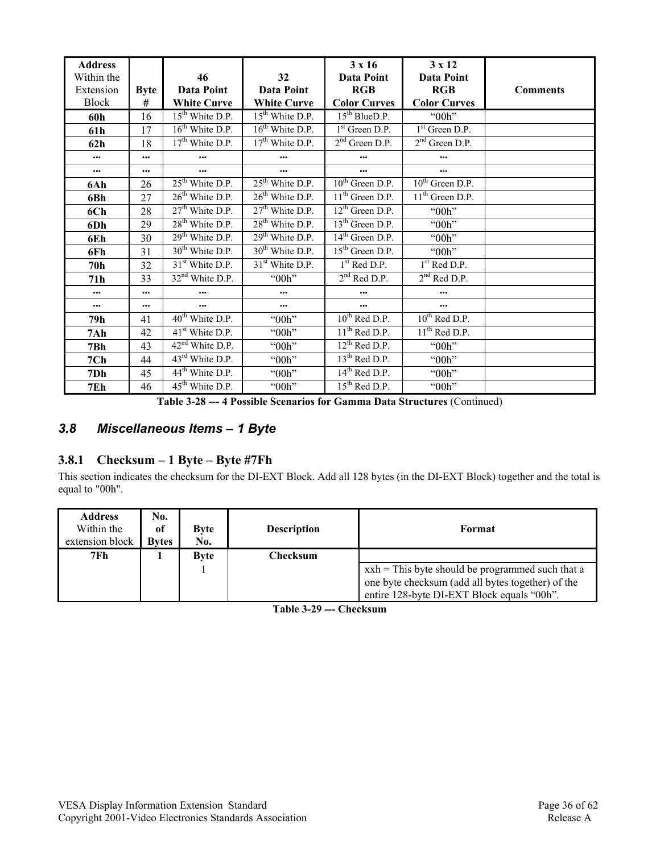| <b>Address</b><br>Within the |             | 46                              | 32                                     | $3 \times 16$<br>Data Point            | 3 x 12<br>Data Point |                 |
|------------------------------|-------------|---------------------------------|----------------------------------------|----------------------------------------|----------------------|-----------------|
| Extension                    | <b>Byte</b> | Data Point                      | Data Point                             | <b>RGB</b>                             | <b>RGB</b>           | <b>Comments</b> |
| <b>Block</b>                 | #           | <b>White Curve</b>              | <b>White Curve</b>                     | <b>Color Curves</b>                    | <b>Color Curves</b>  |                 |
| 60h                          | 16          | 15 <sup>th</sup> White D.P.     | $15th$ White D.P.                      | 15 <sup>th</sup> BlueD.P.              | "00h"                |                 |
| 61h                          | 17          | $16th$ White D.P.               | $\overline{16}^{\text{th}}$ White D.P. | $1st$ Green D.P.                       | $1st$ Green D.P.     |                 |
| 62h                          | 18          | 17 <sup>th</sup> White D.P.     | 17 <sup>th</sup> White D.P.            | $2nd$ Green D.P.                       | $2nd$ Green D.P.     |                 |
| $\cdots$                     | $\cdots$    | $\cdots$                        | $\cdots$                               |                                        |                      |                 |
|                              | $\cdots$    | $\cdots$                        | $\cdots$                               | $\cdots$                               | $\cdots$             |                 |
| 6Ah                          | 26          | $25th$ White D.P.               | $25th$ White D.P.                      | $10th$ Green D.P.                      | $10^{th}$ Green D.P. |                 |
| 6Bh                          | 27          | $26th$ White D.P.               | $26th$ White D.P.                      | $\overline{11^{th}}$ Green D.P.        | $11th$ Green D.P.    |                 |
| 6Ch                          | 28          | $27th$ White D.P.               | $27th$ White D.P.                      | $12th$ Green D.P.                      | "00h"                |                 |
| 6Dh                          | 29          | $28th$ White D.P.               | $28th$ White D.P.                      | $13th$ Green D.P.                      | " $00h$ "            |                 |
| 6Eh                          | 30          | $29th$ White D.P.               | $29th$ White D.P.                      | $\overline{14}^{\text{th}}$ Green D.P. | "00h"                |                 |
| 6Fh                          | 31          | $30th$ White D.P.               | 30 <sup>th</sup> White D.P.            | $15th$ Green D.P.                      | "00h"                |                 |
| 70h                          | 32          | 31 <sup>st</sup> White D.P.     | $31st$ White D.P.                      | $1st$ Red D.P.                         | $1st$ Red D.P.       |                 |
| 71h                          | 33          | $32nd$ White D.P.               | "00h"                                  | $2nd$ Red D.P.                         | $2nd$ Red D.P.       |                 |
| $\cdots$                     | $\cdots$    | $\cdots$                        | $\cdots$                               |                                        |                      |                 |
| $\cdots$                     | $\cdots$    | $\cdots$                        | $\cdots$                               | $\cdots$                               | $\cdots$             |                 |
| 79h                          | 41          | 40 <sup>th</sup> White D.P.     | " $00h$ "                              | $10^{th}$ Red D.P.                     | $10^{th}$ Red D.P.   |                 |
| 7Ah                          | 42          | $41st$ White D.P.               | "00h"                                  | $11th$ Red D.P.                        | $11th$ Red D.P.      |                 |
| 7Bh                          | 43          | $42nd$ White D.P.               | " $00h$ "                              | $12^{th}$ Red D.P.                     | "00h"                |                 |
| 7Ch                          | 44          | 43 <sup>rd</sup> White D.P.     | "00h"                                  | $13th$ Red D.P.                        | "00h"                |                 |
| 7Dh                          | 45          | $\overline{44^{th}}$ White D.P. | "00h"                                  | $14th$ Red D.P.                        | "00h"                |                 |
| 7Eh                          | 46          | 45 <sup>th</sup> White D.P.     | "00h"                                  | $15th$ Red D.P.                        | "00h"                |                 |

**Table 3-28 --- 4 Possible Scenarios for Gamma Data Structures** (Continued)

## *3.8 Miscellaneous Items – 1 Byte*

#### **3.8.1 Checksum – 1 Byte – Byte #7Fh**

This section indicates the checksum for the DI-EXT Block. Add all 128 bytes (in the DI-EXT Block) together and the total is equal to "00h".

| <b>Address</b><br>Within the<br>extension block | No.<br><sub>of</sub><br><b>Bytes</b> | <b>Byte</b><br>No. | <b>Description</b> | Format                                                                                                                                                  |
|-------------------------------------------------|--------------------------------------|--------------------|--------------------|---------------------------------------------------------------------------------------------------------------------------------------------------------|
| 7Fh                                             |                                      | <b>Byte</b>        | Checksum           |                                                                                                                                                         |
|                                                 |                                      |                    |                    | $x x h =$ This byte should be programmed such that a<br>one byte checksum (add all bytes together) of the<br>entire 128-byte DI-EXT Block equals "00h". |

**Table 3-29 --- Checksum**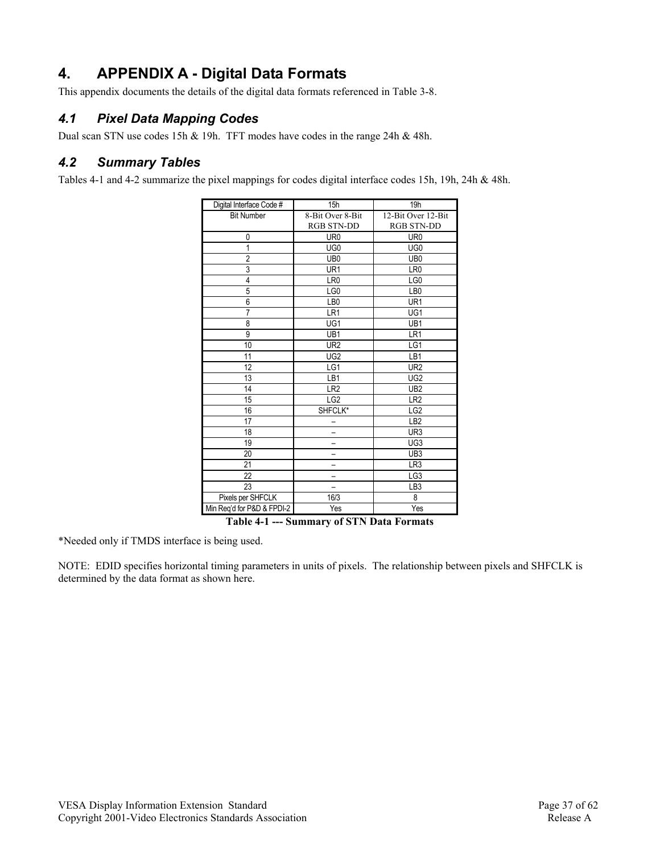## **4. APPENDIX A - Digital Data Formats**

This appendix documents the details of the digital data formats referenced in Table 3-8.

## *4.1 Pixel Data Mapping Codes*

Dual scan STN use codes 15h & 19h. TFT modes have codes in the range 24h & 48h.

#### *4.2 Summary Tables*

Tables 4-1 and 4-2 summarize the pixel mappings for codes digital interface codes 15h, 19h, 24h & 48h.

| Digital Interface Code #   | 15h               | 19 <sub>h</sub>    |
|----------------------------|-------------------|--------------------|
| <b>Bit Number</b>          | 8-Bit Over 8-Bit  | 12-Bit Over 12-Bit |
|                            | <b>RGB STN-DD</b> | <b>RGB STN-DD</b>  |
| 0                          | UR <sub>0</sub>   | UR <sub>0</sub>    |
| 1                          | UG <sub>0</sub>   | UG <sub>0</sub>    |
| $\overline{2}$             | UB <sub>0</sub>   | UB <sub>0</sub>    |
| $\overline{3}$             | UR1               | LR <sub>0</sub>    |
| $\overline{4}$             | LR <sub>0</sub>   | LG0                |
| 5                          | LG0               | LB <sub>0</sub>    |
| $\overline{6}$             | LB0               | UR1                |
| 7                          | LR1               | UG1                |
| 8                          | UG1               | UB1                |
| 9                          | UB1               | LR1                |
| 10                         | UR <sub>2</sub>   | LG1                |
| 11                         | UG <sub>2</sub>   | LB1                |
| 12                         | LG1               | UR <sub>2</sub>    |
| 13                         | LB1               | UG <sub>2</sub>    |
| 14                         | LR <sub>2</sub>   | UB <sub>2</sub>    |
| 15                         | LG <sub>2</sub>   | LR <sub>2</sub>    |
| 16                         | SHFCLK*           | LG <sub>2</sub>    |
| 17                         |                   | LB <sub>2</sub>    |
| 18                         |                   | UR3                |
| 19                         |                   | UG3                |
| 20                         |                   | UB <sub>3</sub>    |
| 21                         |                   | LR3                |
| 22                         |                   | LG3                |
| 23                         |                   | LB <sub>3</sub>    |
| Pixels per SHFCLK          | 16/3              | 8                  |
| Min Req'd for P&D & FPDI-2 | Yes               | Yes                |

**Table 4-1 --- Summary of STN Data Formats** 

\*Needed only if TMDS interface is being used.

NOTE: EDID specifies horizontal timing parameters in units of pixels. The relationship between pixels and SHFCLK is determined by the data format as shown here.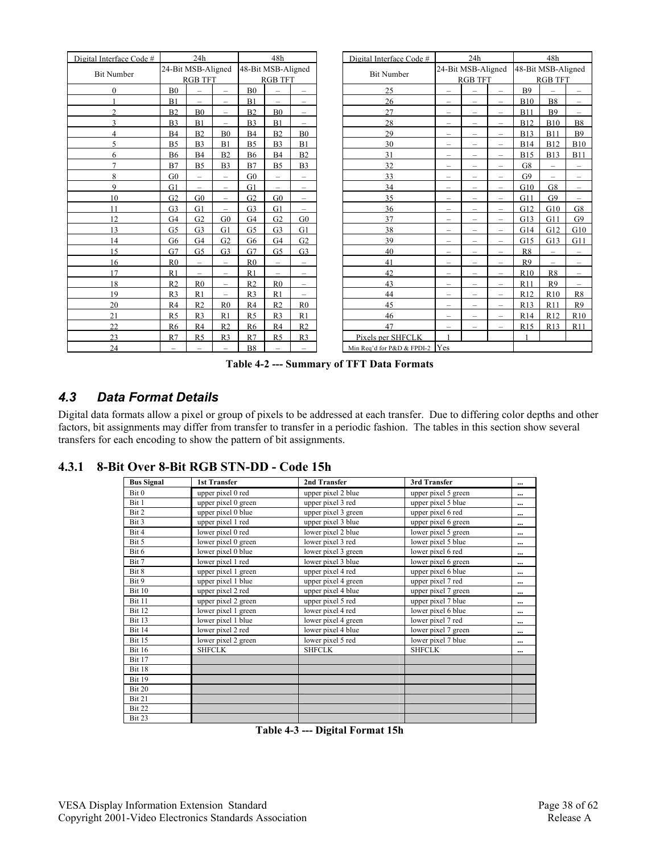| Digital Interface Code # |                          | 24h                      |                          |                    | 48h                      |                          | Digital Interface Code #   |                          | 24h                      |                          |                    | 48h                      |                          |
|--------------------------|--------------------------|--------------------------|--------------------------|--------------------|--------------------------|--------------------------|----------------------------|--------------------------|--------------------------|--------------------------|--------------------|--------------------------|--------------------------|
| <b>Bit Number</b>        |                          | 24-Bit MSB-Aligned       |                          | 48-Bit MSB-Aligned |                          |                          | <b>Bit Number</b>          |                          | 24-Bit MSB-Aligned       |                          | 48-Bit MSB-Aligned |                          |                          |
|                          |                          | <b>RGB TFT</b>           |                          |                    | <b>RGB TFT</b>           |                          |                            |                          | <b>RGB TFT</b>           |                          |                    | <b>RGB TFT</b>           |                          |
| $\Omega$                 | B <sub>0</sub>           | -                        | $\overline{\phantom{0}}$ | B <sub>0</sub>     | $\overline{\phantom{0}}$ | $\overline{\phantom{m}}$ | 25                         | $\overline{\phantom{m}}$ |                          | $\overline{\phantom{a}}$ | <b>B9</b>          |                          | $\overline{\phantom{0}}$ |
|                          | B1                       | -                        | $\overline{\phantom{0}}$ | B1                 | $\overline{\phantom{0}}$ | $\overline{\phantom{m}}$ | 26                         | $\overline{\phantom{0}}$ | $\overline{\phantom{0}}$ | $\overline{\phantom{0}}$ | <b>B10</b>         | <b>B8</b>                | $\overline{\phantom{0}}$ |
| $\mathcal{D}$            | B <sub>2</sub>           | B <sub>0</sub>           | $\overline{\phantom{0}}$ | B <sub>2</sub>     | B <sub>0</sub>           | $\overline{\phantom{0}}$ | 27                         | $\qquad \qquad -$        | -                        | -                        | B11                | <b>B9</b>                | $\overline{\phantom{0}}$ |
| $\mathbf{a}$             | B <sub>3</sub>           | B1                       | $\overline{\phantom{0}}$ | B <sub>3</sub>     | B1                       | $\overline{\phantom{a}}$ | 28                         | $\qquad \qquad -$        | -                        | $\overline{\phantom{0}}$ | <b>B12</b>         | <b>B10</b>               | <b>B8</b>                |
| 4                        | <b>B4</b>                | B <sub>2</sub>           | B <sub>0</sub>           | <b>B4</b>          | B <sub>2</sub>           | B <sub>0</sub>           | 29                         | $\qquad \qquad -$        | $\overline{\phantom{0}}$ | $\overline{\phantom{0}}$ | <b>B13</b>         | B11                      | <b>B9</b>                |
| $\varsigma$              | B <sub>5</sub>           | B <sub>3</sub>           | B1                       | B <sub>5</sub>     | B <sub>3</sub>           | B1                       | 30                         | $\overline{\phantom{0}}$ | -                        | $\overline{\phantom{0}}$ | <b>B14</b>         | <b>B12</b>               | <b>B10</b>               |
| 6                        | <b>B6</b>                | B4                       | B2                       | <b>B6</b>          | B <sub>4</sub>           | B2                       | 31                         | $\overline{\phantom{0}}$ | $\overline{\phantom{0}}$ | $\overline{\phantom{0}}$ | <b>B15</b>         | <b>B13</b>               | <b>B11</b>               |
| $\overline{ }$           | B7                       | B <sub>5</sub>           | B <sub>3</sub>           | B7                 | B <sub>5</sub>           | B <sub>3</sub>           | 32                         | $\qquad \qquad -$        | -                        | $\overline{\phantom{m}}$ | G8                 | -                        | $\overline{\phantom{0}}$ |
| 8                        | G <sub>0</sub>           | $\overline{\phantom{0}}$ | $\overline{\phantom{0}}$ | G <sub>0</sub>     | $\overline{a}$           |                          | 33                         | $\qquad \qquad -$        | $\overline{\phantom{0}}$ | $\overline{\phantom{0}}$ | G <sub>9</sub>     |                          | $\overline{\phantom{0}}$ |
| $\mathbf Q$              | G1                       | $\overline{\phantom{0}}$ | $\overline{\phantom{0}}$ | G1                 | $\overline{\phantom{0}}$ | $\overline{\phantom{0}}$ | 34                         | $\overline{\phantom{0}}$ | $\overline{\phantom{0}}$ | $\overline{\phantom{0}}$ | G10                | G8                       | $\overline{\phantom{0}}$ |
| 10                       | G <sub>2</sub>           | G <sub>0</sub>           | -                        | G <sub>2</sub>     | G <sub>0</sub>           | $\overline{\phantom{m}}$ | 35                         | $\qquad \qquad -$        | -                        | $\overline{\phantom{m}}$ | G11                | G <sub>9</sub>           | $\overline{\phantom{0}}$ |
| 11                       | G <sub>3</sub>           | G1                       | $\overline{\phantom{0}}$ | G <sub>3</sub>     | G1                       | $\overline{\phantom{a}}$ | 36                         | $\overline{\phantom{0}}$ | -                        | -                        | G12                | G10                      | G8                       |
| 12                       | G <sub>4</sub>           | G <sub>2</sub>           | ${\rm G0}$               | G <sub>4</sub>     | G <sub>2</sub>           | G <sub>0</sub>           | 37                         | $\overline{\phantom{0}}$ | $\overline{\phantom{0}}$ | $\overline{\phantom{0}}$ | G13                | G11                      | G <sub>9</sub>           |
| 13                       | G <sub>5</sub>           | G <sub>3</sub>           | G1                       | G <sub>5</sub>     | G <sub>3</sub>           | G1                       | 38                         | $\overline{\phantom{0}}$ | -                        | -                        | G14                | G12                      | G10                      |
| 14                       | G <sub>6</sub>           | G <sub>4</sub>           | G <sub>2</sub>           | G <sub>6</sub>     | G <sub>4</sub>           | G <sub>2</sub>           | 39                         | $\qquad \qquad -$        | -                        | -                        | G15                | G13                      | G11                      |
| 15                       | G7                       | G <sub>5</sub>           | G <sub>3</sub>           | G7                 | G <sub>5</sub>           | G <sub>3</sub>           | 40                         | $\qquad \qquad -$        | -                        | $\overline{\phantom{0}}$ | R8                 | -                        | $\overline{\phantom{0}}$ |
| 16                       | R <sub>0</sub>           | $\overline{\phantom{0}}$ | $\overline{\phantom{0}}$ | R <sub>0</sub>     | -                        |                          | 41                         | $\qquad \qquad -$        | -                        | $\overline{\phantom{0}}$ | R <sub>9</sub>     | $\overline{\phantom{0}}$ | $\overline{\phantom{m}}$ |
| 17                       | R1                       | $\overline{\phantom{0}}$ | $\overline{\phantom{0}}$ | R1                 | $\overline{\phantom{0}}$ | $\overline{\phantom{a}}$ | 42                         | $\qquad \qquad -$        | $\overline{\phantom{0}}$ | $\overline{\phantom{0}}$ | R10                | R <sub>8</sub>           | $\overline{\phantom{0}}$ |
| 18                       | R <sub>2</sub>           | R <sub>0</sub>           | $\overline{\phantom{0}}$ | R <sub>2</sub>     | R <sub>0</sub>           | $\qquad \qquad -$        | 43                         | $\qquad \qquad -$        | -                        | $\overline{\phantom{m}}$ | R11                | R <sub>9</sub>           | $-$                      |
| 19                       | R <sub>3</sub>           | R <sub>1</sub>           | $\overline{\phantom{0}}$ | R <sub>3</sub>     | R1                       |                          | 44                         | $\overline{\phantom{0}}$ | -                        | $\overline{\phantom{0}}$ | R <sub>12</sub>    | R10                      | R8                       |
| 20                       | R <sub>4</sub>           | R <sub>2</sub>           | R <sub>0</sub>           | R4                 | R <sub>2</sub>           | R <sub>0</sub>           | 45                         | $\overline{\phantom{0}}$ | -                        | $\overline{\phantom{0}}$ | R13                | R11                      | R9                       |
| 21                       | R <sub>5</sub>           | R <sub>3</sub>           | R1                       | R <sub>5</sub>     | R <sub>3</sub>           | R1                       | 46                         | $\overline{\phantom{m}}$ | $\overline{\phantom{0}}$ | $\overline{\phantom{m}}$ | R14                | R12                      | R10                      |
| 22                       | R <sub>6</sub>           | R <sub>4</sub>           | R <sub>2</sub>           | R <sub>6</sub>     | R <sub>4</sub>           | R <sub>2</sub>           | 47                         | $\overline{\phantom{a}}$ | $\overline{\phantom{0}}$ | $\overline{\phantom{0}}$ | R15                | R13                      | R11                      |
| 23                       | R7                       | R <sub>5</sub>           | R <sub>3</sub>           | R7                 | R <sub>5</sub>           | R <sub>3</sub>           | Pixels per SHFCLK          |                          |                          |                          |                    |                          |                          |
| 24                       | $\overline{\phantom{0}}$ |                          | $\overline{\phantom{0}}$ | <b>B8</b>          | -                        | $\overline{\phantom{0}}$ | Min Req'd for P&D & FPDI-2 | Yes                      |                          |                          |                    |                          |                          |

**Table 4-2 --- Summary of TFT Data Formats** 

### *4.3 Data Format Details*

Digital data formats allow a pixel or group of pixels to be addressed at each transfer. Due to differing color depths and other factors, bit assignments may differ from transfer to transfer in a periodic fashion. The tables in this section show several transfers for each encoding to show the pattern of bit assignments.

**4.3.1 8-Bit Over 8-Bit RGB STN-DD - Code 15h** 

| <b>Bus Signal</b> | <b>1st Transfer</b> | 2nd Transfer        | 3rd Transfer        | $\cdots$  |
|-------------------|---------------------|---------------------|---------------------|-----------|
| Bit 0             | upper pixel 0 red   | upper pixel 2 blue  | upper pixel 5 green |           |
| Bit 1             | upper pixel 0 green | upper pixel 3 red   | upper pixel 5 blue  |           |
| Bit 2             | upper pixel 0 blue  | upper pixel 3 green | upper pixel 6 red   |           |
| Bit 3             | upper pixel 1 red   | upper pixel 3 blue  | upper pixel 6 green | $\cdots$  |
| Bit 4             | lower pixel 0 red   | lower pixel 2 blue  | lower pixel 5 green | $\ddotsc$ |
| Bit 5             | lower pixel 0 green | lower pixel 3 red   | lower pixel 5 blue  |           |
| Bit 6             | lower pixel 0 blue  | lower pixel 3 green | lower pixel 6 red   | $\cdots$  |
| Bit 7             | lower pixel 1 red   | lower pixel 3 blue  | lower pixel 6 green | $\cdots$  |
| Bit 8             | upper pixel 1 green | upper pixel 4 red   | upper pixel 6 blue  | $\cdots$  |
| Bit 9             | upper pixel 1 blue  | upper pixel 4 green | upper pixel 7 red   | $\cdots$  |
| Bit 10            | upper pixel 2 red   | upper pixel 4 blue  | upper pixel 7 green | $\ddotsc$ |
| Bit 11            | upper pixel 2 green | upper pixel 5 red   | upper pixel 7 blue  |           |
| Bit 12            | lower pixel 1 green | lower pixel 4 red   | lower pixel 6 blue  |           |
| Bit 13            | lower pixel 1 blue  | lower pixel 4 green | lower pixel 7 red   |           |
| <b>Bit 14</b>     | lower pixel 2 red   | lower pixel 4 blue  | lower pixel 7 green |           |
| Bit 15            | lower pixel 2 green | lower pixel 5 red   | lower pixel 7 blue  |           |
| <b>Bit 16</b>     | <b>SHFCLK</b>       | <b>SHFCLK</b>       | <b>SHFCLK</b>       | $\cdots$  |
| Bit 17            |                     |                     |                     |           |
| Bit 18            |                     |                     |                     |           |
| Bit 19            |                     |                     |                     |           |
| Bit 20            |                     |                     |                     |           |
| Bit 21            |                     |                     |                     |           |
| Bit 22            |                     |                     |                     |           |
| Bit 23            |                     |                     |                     |           |

**Table 4-3 --- Digital Format 15h**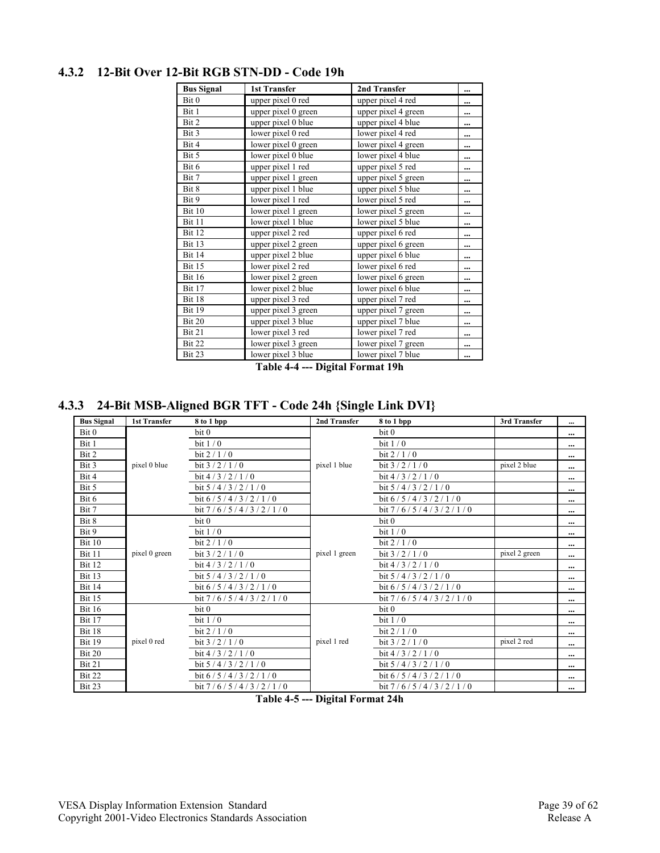| <b>Bus Signal</b> | <b>1st Transfer</b> | 2nd Transfer        | $\ddotsc$ |
|-------------------|---------------------|---------------------|-----------|
| Bit 0             | upper pixel 0 red   | upper pixel 4 red   |           |
| Bit 1             | upper pixel 0 green | upper pixel 4 green |           |
| Bit 2             | upper pixel 0 blue  | upper pixel 4 blue  |           |
| Bit 3             | lower pixel 0 red   | lower pixel 4 red   |           |
| Bit 4             | lower pixel 0 green | lower pixel 4 green |           |
| Bit 5             | lower pixel 0 blue  | lower pixel 4 blue  |           |
| Bit 6             | upper pixel 1 red   | upper pixel 5 red   |           |
| Bit 7             | upper pixel 1 green | upper pixel 5 green | $\cdots$  |
| Bit 8             | upper pixel 1 blue  | upper pixel 5 blue  |           |
| Bit 9             | lower pixel 1 red   | lower pixel 5 red   |           |
| Bit 10            | lower pixel 1 green | lower pixel 5 green |           |
| Bit 11            | lower pixel 1 blue  | lower pixel 5 blue  |           |
| Bit 12            | upper pixel 2 red   | upper pixel 6 red   |           |
| Bit 13            | upper pixel 2 green | upper pixel 6 green |           |
| Bit 14            | upper pixel 2 blue  | upper pixel 6 blue  |           |
| Bit 15            | lower pixel 2 red   | lower pixel 6 red   |           |
| <b>Bit 16</b>     | lower pixel 2 green | lower pixel 6 green | $\cdots$  |
| Bit 17            | lower pixel 2 blue  | lower pixel 6 blue  |           |
| Bit 18            | upper pixel 3 red   | upper pixel 7 red   |           |
| Bit 19            | upper pixel 3 green | upper pixel 7 green |           |
| Bit 20            | upper pixel 3 blue  | upper pixel 7 blue  |           |
| Bit 21            | lower pixel 3 red   | lower pixel 7 red   |           |
| Bit 22            | lower pixel 3 green | lower pixel 7 green |           |
| Bit 23            | lower pixel 3 blue  | lower pixel 7 blue  |           |

#### **4.3.2 12-Bit Over 12-Bit RGB STN-DD - Code 19h**

**Table 4-4 --- Digital Format 19h** 

**4.3.3 24-Bit MSB-Aligned BGR TFT - Code 24h {Single Link DVI}** 

| <b>Bus Signal</b> | <b>1st Transfer</b> | 8 to 1 bpp            | 2nd Transfer  | 8 to 1 bpp            | 3rd Transfer  | $\cdots$  |
|-------------------|---------------------|-----------------------|---------------|-----------------------|---------------|-----------|
| Bit 0             |                     | bit 0                 |               | bit 0                 |               | $\cdots$  |
| Bit 1             |                     | bit $1/0$             |               | bit $1/0$             |               | $\cdots$  |
| Bit 2             |                     | bit $2/1/0$           |               | bit $2/1/0$           |               | $\cdots$  |
| Bit 3             | pixel 0 blue        | bit $3/2/1/0$         | pixel 1 blue  | bit $3/2/1/0$         | pixel 2 blue  | $\cdots$  |
| Bit 4             |                     | bit $4/3/2/1/0$       |               | bit $4/3/2/1/0$       |               | $\cdots$  |
| Bit 5             |                     | bit $5/4/3/2/1/0$     |               | bit $5/4/3/2/1/0$     |               | $\cdots$  |
| Bit 6             |                     | bit $6/5/4/3/2/1/0$   |               | bit $6/5/4/3/2/1/0$   |               | $\cdots$  |
| Bit 7             |                     | bit $7/6/5/4/3/2/1/0$ |               | bit $7/6/5/4/3/2/1/0$ |               | $\cdots$  |
| Bit 8             |                     | bit <sub>0</sub>      |               | bit <sub>0</sub>      |               | $\cdots$  |
| Bit 9             |                     | bit $1/0$             |               | bit $1/0$             |               | $\cdots$  |
| Bit 10            |                     | bit $2/1/0$           |               | bit $2/1/0$           |               | $\cdots$  |
| <b>Bit 11</b>     | pixel 0 green       | bit $3/2/1/0$         | pixel 1 green | bit $3/2/1/0$         | pixel 2 green | $\cdots$  |
| Bit 12            |                     | bit $4/3/2/1/0$       |               | bit $4/3/2/1/0$       |               | $\cdots$  |
| Bit 13            |                     | bit $5/4/3/2/1/0$     |               | bit $5/4/3/2/1/0$     |               | $\cdots$  |
| <b>Bit 14</b>     |                     | bit $6/5/4/3/2/1/0$   |               | bit $6/5/4/3/2/1/0$   |               | $\ddotsc$ |
| Bit 15            |                     | bit $7/6/5/4/3/2/1/0$ |               | bit $7/6/5/4/3/2/1/0$ |               | $\cdots$  |
| <b>Bit 16</b>     |                     | bit <sub>0</sub>      |               | bit <sub>0</sub>      |               | $\cdots$  |
| <b>Bit 17</b>     |                     | bit $1/0$             |               | bit $1/0$             |               | $\cdots$  |
| Bit 18            |                     | bit $2/1/0$           |               | bit $2/1/0$           |               | $\cdots$  |
| Bit 19            | pixel 0 red         | bit $3/2/1/0$         | pixel 1 red   | bit $3/2/1/0$         | pixel 2 red   | $\cdots$  |
| Bit 20            |                     | bit $4/3/2/1/0$       |               | bit $4/3/2/1/0$       |               | $\cdots$  |
| Bit 21            |                     | bit $5/4/3/2/1/0$     |               | bit $5/4/3/2/1/0$     |               | $\cdots$  |
| Bit 22            |                     | bit $6/5/4/3/2/1/0$   |               | bit $6/5/4/3/2/1/0$   |               | $\cdots$  |
| Bit 23            |                     | bit $7/6/5/4/3/2/1/0$ |               | bit $7/6/5/4/3/2/1/0$ |               | $\cdots$  |

**Table 4-5 --- Digital Format 24h**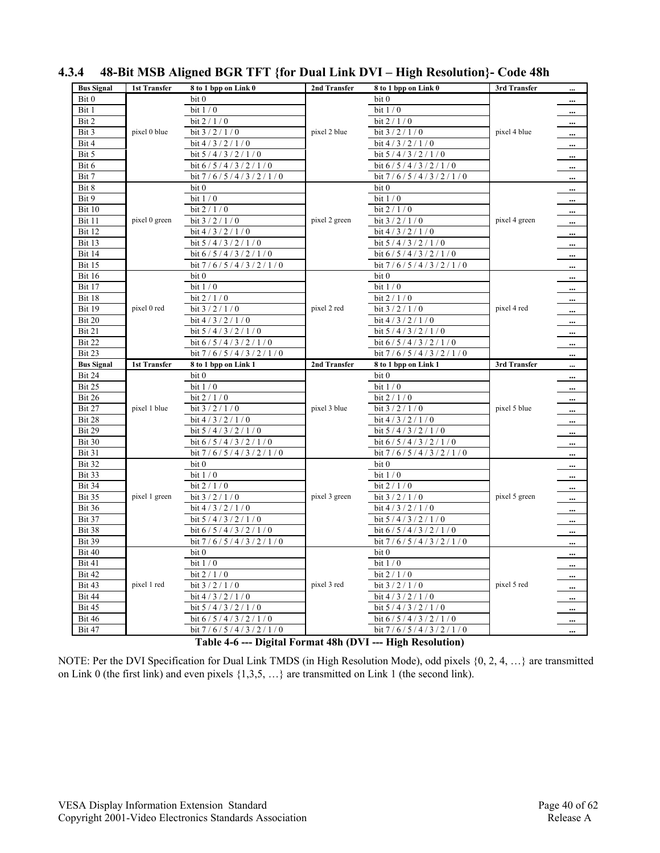| <b>Bus Signal</b> | 1st Transfer        | 8 to 1 bpp on Link 0  | 2nd Transfer  | 8 to 1 bpp on Link 0  | 3rd Transfer  |          |
|-------------------|---------------------|-----------------------|---------------|-----------------------|---------------|----------|
| Bit 0             |                     | bit 0                 |               | bit 0                 |               | $\cdots$ |
| Bit 1             |                     | bit $1/0$             |               | bit $1/0$             |               | $\cdots$ |
| Bit 2             |                     | bit $2/1/0$           |               | bit 2 / 1 / 0         |               | $\cdots$ |
| Bit 3             | pixel 0 blue        | bit $3/2/1/0$         | pixel 2 blue  | bit $3/2/1/0$         | pixel 4 blue  | $\cdots$ |
| Bit 4             |                     | bit $4/3/2/1/0$       |               | bit $4/3/2/1/0$       |               | $\cdots$ |
| Bit 5             |                     | bit $5/4/3/2/1/0$     |               | bit $5/4/3/2/1/0$     |               | $\cdots$ |
| Bit 6             |                     | bit 6/5/4/3/2/1/0     |               | bit $6/5/4/3/2/1/0$   |               | $\cdots$ |
| Bit 7             |                     | bit $7/6/5/4/3/2/1/0$ |               | bit $7/6/5/4/3/2/1/0$ |               | $\cdots$ |
| Bit 8             |                     | bit 0                 |               | bit 0                 |               | $\cdots$ |
| Bit 9             |                     | bit $1/0$             |               | bit $1/0$             |               | $\cdots$ |
| Bit 10            |                     | bit $2/1/0$           |               | bit $2/1/0$           |               | $\cdots$ |
| Bit 11            | pixel 0 green       | bit $3/2/1/0$         | pixel 2 green | bit $3/2/1/0$         | pixel 4 green | $\cdots$ |
| Bit 12            |                     | bit $4/3/2/1/0$       |               | bit 4/3/2/1/0         |               | $\cdots$ |
| Bit 13            |                     | bit $5/4/3/2/1/0$     |               | bit $5/4/3/2/1/0$     |               | $\cdots$ |
| Bit 14            |                     | bit $6/5/4/3/2/1/0$   |               | bit $6/5/4/3/2/1/0$   |               | $\cdots$ |
| Bit 15            |                     | bit $7/6/5/4/3/2/1/0$ |               | bit $7/6/5/4/3/2/1/0$ |               | $\cdots$ |
| <b>Bit 16</b>     |                     | bit 0                 |               | bit 0                 |               | $\cdots$ |
| <b>Bit 17</b>     |                     | bit $1/0$             |               | bit $1/0$             |               | $\cdots$ |
| Bit 18            |                     | bit $2/1/0$           |               | bit $2/1/0$           |               | $\cdots$ |
| <b>Bit 19</b>     | pixel 0 red         | bit $3/2/1/0$         | pixel 2 red   | bit $3/2/1/0$         | pixel 4 red   | $\cdots$ |
| Bit 20            |                     | bit $4/3/2/1/0$       |               | bit $4/3/2/1/0$       |               | $\cdots$ |
| Bit 21            |                     | bit $5/4/3/2/1/0$     |               | bit $5/4/3/2/1/0$     |               | $\cdots$ |
| Bit 22            |                     | bit $6/5/4/3/2/1/0$   |               | bit $6/5/4/3/2/1/0$   |               | $\cdots$ |
| Bit 23            |                     | bit $7/6/5/4/3/2/1/0$ |               | bit $7/6/5/4/3/2/1/0$ |               |          |
|                   |                     |                       |               |                       |               |          |
| <b>Bus Signal</b> | <b>1st Transfer</b> | 8 to 1 bpp on Link 1  | 2nd Transfer  | 8 to 1 bpp on Link 1  | 3rd Transfer  | $\cdots$ |
| Bit 24            |                     | bit 0                 |               | bit 0                 |               | $\cdots$ |
| Bit 25            |                     | bit $1/0$             |               | bit $1/0$             |               | $\cdots$ |
| Bit 26            |                     | bit $2/1/0$           |               | bit $2/1/0$           |               | $\cdots$ |
| Bit 27            | pixel 1 blue        | bit $3/2/1/0$         | pixel 3 blue  | bit $3/2/1/0$         | pixel 5 blue  | $\cdots$ |
| Bit 28            |                     | bit $4/3/2/1/0$       |               | bit $4/3/2/1/0$       |               | $\cdots$ |
| Bit 29            |                     | bit $5/4/3/2/1/0$     |               | bit $5/4/3/2/1/0$     |               | $\cdots$ |
| Bit 30            |                     | bit 6/5/4/3/2/1/0     |               | bit $6/5/4/3/2/1/0$   |               |          |
| Bit 31            |                     | bit $7/6/5/4/3/2/1/0$ |               | bit 7/6/5/4/3/2/1/0   |               |          |
| Bit 32            |                     | bit 0                 |               | bit 0                 |               | $\cdots$ |
| Bit 33            |                     | bit $1/0$             |               | bit $1/0$             |               | $\cdots$ |
| Bit 34            |                     | bit $2/1/0$           |               | bit $2/1/0$           |               | $\cdots$ |
| Bit 35            | pixel 1 green       | bit $3/2/1/0$         | pixel 3 green | bit $3/2/1/0$         | pixel 5 green | $\cdots$ |
| Bit 36            |                     | bit $4/3/2/1/0$       |               | bit $4/3/2/1/0$       |               | $\cdots$ |
| Bit 37            |                     | bit $5/4/3/2/1/0$     |               | bit $5/4/3/2/1/0$     |               | $\cdots$ |
| Bit 38            |                     | bit $6/5/4/3/2/1/0$   |               | bit $6/5/4/3/2/1/0$   |               | $\cdots$ |
| <b>Bit 39</b>     |                     | bit $7/6/5/4/3/2/1/0$ |               | bit $7/6/5/4/3/2/1/0$ |               | $\cdots$ |
| Bit 40            |                     | bit 0                 |               | bit 0                 |               | $\cdots$ |
| Bit 41            |                     | bit $1/0$             |               | bit $1/0$             |               | $\cdots$ |
| Bit 42            |                     | bit $2/1/0$           |               | bit $2/1/0$           |               | $\cdots$ |
| Bit 43            | pixel 1 red         | bit $3/2/1/0$         | pixel 3 red   | bit $3/2/1/0$         | pixel 5 red   | $\cdots$ |
| Bit 44            |                     | bit $4/3/2/1/0$       |               | bit $4/3/2/1/0$       |               | $\cdots$ |
| Bit 45            |                     | bit $5/4/3/2/1/0$     |               | bit $5/4/3/2/1/0$     |               | $\cdots$ |
| <b>Bit 46</b>     |                     | bit $6/5/4/3/2/1/0$   |               | bit $6/5/4/3/2/1/0$   |               | $\cdots$ |

### **4.3.4 48-Bit MSB Aligned BGR TFT {for Dual Link DVI – High Resolution}- Code 48h**

**Table 4-6 --- Digital Format 48h (DVI --- High Resolution)** 

NOTE: Per the DVI Specification for Dual Link TMDS (in High Resolution Mode), odd pixels {0, 2, 4, …} are transmitted on Link 0 (the first link) and even pixels {1,3,5, …} are transmitted on Link 1 (the second link).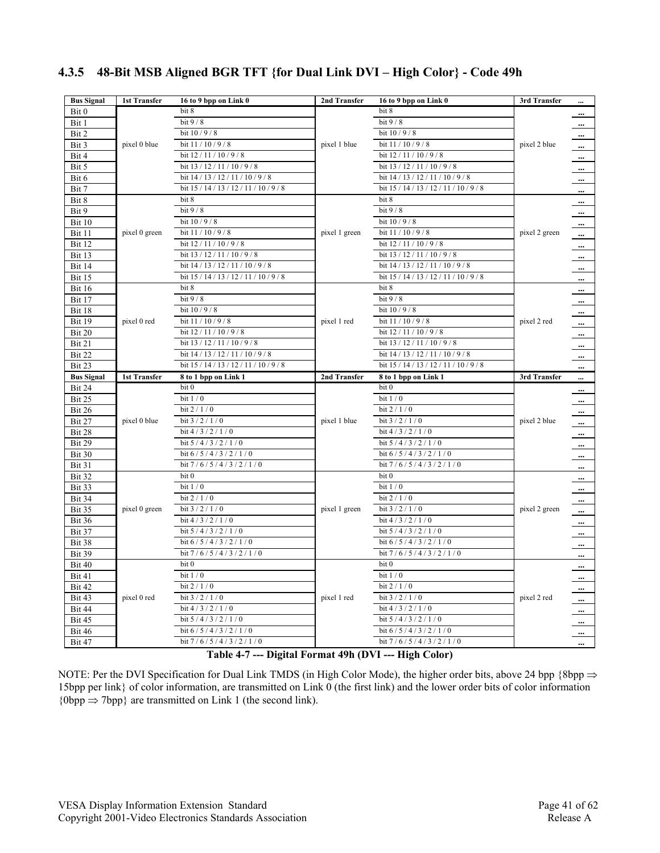| <b>Bus Signal</b>       | <b>1st Transfer</b> | 16 to 9 bpp on Link 0                   | 2nd Transfer  | 16 to 9 bpp on Link 0                            | 3rd Transfer  |                      |
|-------------------------|---------------------|-----------------------------------------|---------------|--------------------------------------------------|---------------|----------------------|
| Bit 0                   |                     | bit 8                                   |               | bit 8                                            |               | $\cdots$             |
| Bit 1                   |                     | bit 9 / 8                               |               | bit $9/8$                                        |               | $\cdots$             |
| Bit 2                   |                     | bit 10 / 9 / 8                          |               | bit 10 / 9 / 8                                   |               | $\cdots$             |
| Bit 3                   | pixel 0 blue        | bit 11 / 10 / 9 / 8                     | pixel 1 blue  | bit 11 / 10 / 9 / 8                              | pixel 2 blue  | $\cdots$             |
| Bit 4                   |                     | bit 12 / 11 / 10 / 9 / 8                |               | bit 12 / 11 / 10 / 9 / 8                         |               | $\cdots$             |
| Bit 5                   |                     | bit 13 / 12 / 11 / 10 / 9 / 8           |               | bit 13 / 12 / 11 / 10 / 9 / 8                    |               | $\cdots$             |
| Bit 6                   |                     | bit 14 / 13 / 12 / 11 / 10 / 9 / 8      |               | bit 14 / 13 / 12 / 11 / 10 / 9 / 8               |               | $\cdots$             |
| Bit 7                   |                     | bit 15 / 14 / 13 / 12 / 11 / 10 / 9 / 8 |               | bit 15 / 14 / 13 / 12 / 11 / 10 / 9 / 8          |               | $\cdots$             |
| Bit 8                   |                     | bit 8                                   |               | bit 8                                            |               | $\cdots$             |
| Bit 9                   |                     | bit 9 / 8                               |               | bit $9/8$                                        |               | $\cdots$             |
| Bit 10                  |                     | bit 10 / 9 / 8                          |               | bit 10 / 9 / 8                                   |               | $\cdots$             |
| Bit 11                  | pixel 0 green       | bit 11 / 10 / 9 / 8                     | pixel 1 green | bit 11 / 10 / 9 / 8                              | pixel 2 green | $\cdots$             |
| Bit 12                  |                     | bit 12 / 11 / 10 / 9 / 8                |               | bit 12 / 11 / 10 / 9 / 8                         |               | $\cdots$             |
| <b>Bit 13</b>           |                     | bit 13 / 12 / 11 / 10 / 9 / 8           |               | bit 13 / 12 / 11 / 10 / 9 / 8                    |               | $\cdots$             |
| <b>Bit 14</b>           |                     | bit 14 / 13 / 12 / 11 / 10 / 9 / 8      |               | bit 14 / 13 / 12 / 11 / 10 / 9 / 8               |               | $\cdots$             |
| <b>Bit 15</b>           |                     | bit 15 / 14 / 13 / 12 / 11 / 10 / 9 / 8 |               | bit 15 / 14 / 13 / 12 / 11 / 10 / 9 / 8          |               | $\cdots$             |
| <b>Bit 16</b>           |                     | bit 8                                   |               | bit 8                                            |               | $\cdots$             |
| <b>Bit 17</b>           |                     | bit 9 / 8                               |               | bit 9 / 8                                        |               | $\cdots$             |
| Bit 18                  |                     | bit 10 / 9 / 8                          |               | bit 10 / 9 / 8                                   |               | $\cdots$             |
| Bit 19                  | pixel 0 red         | bit 11 / 10 / 9 / 8                     | pixel 1 red   | bit 11 / 10 / 9 / 8                              | pixel 2 red   | $\cdots$             |
| Bit 20                  |                     | bit 12 / 11 / 10 / 9 / 8                |               | bit 12 / 11 / 10 / 9 / 8                         |               | $\cdots$             |
| Bit 21                  |                     | bit 13 / 12 / 11 / 10 / 9 / 8           |               | bit 13 / 12 / 11 / 10 / 9 / 8                    |               | $\cdots$             |
| Bit 22                  |                     | bit 14 / 13 / 12 / 11 / 10 / 9 / 8      |               | bit 14 / 13 / 12 / 11 / 10 / 9 / 8               |               | $\cdots$             |
| Bit 23                  |                     | bit 15 / 14 / 13 / 12 / 11 / 10 / 9 / 8 |               | bit 15 / 14 / 13 / 12 / 11 / 10 / 9 / 8          |               | $\cdots$             |
|                         |                     |                                         |               |                                                  |               |                      |
| <b>Bus Signal</b>       | 1st Transfer        | 8 to 1 bpp on Link 1                    | 2nd Transfer  | 8 to 1 bpp on Link 1                             | 3rd Transfer  |                      |
| Bit 24                  |                     | bit 0                                   |               | bit 0                                            |               |                      |
| Bit 25                  |                     | bit $1/0$                               |               | bit $1/0$                                        |               | $\cdots$             |
| Bit 26                  |                     | bit 2 / 1 / 0                           |               | bit $2/1/0$                                      |               | $\cdots$<br>$\cdots$ |
| Bit 27                  | pixel 0 blue        | bit $3/2/1/0$                           | pixel 1 blue  | bit 3 / 2 / 1 / 0                                | pixel 2 blue  |                      |
| Bit 28                  |                     | bit $4/3/2/1/0$                         |               | bit 4/3/2/1/0                                    |               | $\cdots$<br>$\cdots$ |
| Bit 29                  |                     | bit 5/4/3/2/1/0                         |               | bit 5/4/3/2/1/0                                  |               |                      |
| Bit 30                  |                     | bit $6/5/4/3/2/1/0$                     |               | bit $6/5/4/3/2/1/0$                              |               | $\cdots$             |
| Bit 31                  |                     | bit $7/6/5/4/3/2/1/0$                   |               | bit $7/6/5/4/3/2/1/0$                            |               | $\cdots$<br>$\cdots$ |
| Bit 32                  |                     | bit 0                                   |               | bit 0                                            |               |                      |
| Bit 33                  |                     | bit $1/0$                               |               | bit $1/0$                                        |               | $\cdots$             |
| Bit 34                  |                     | bit 2 / 1 / 0                           |               | bit 2 / 1 / 0                                    |               | $\cdot$<br>$\cdots$  |
| Bit 35                  | pixel 0 green       | bit $3/2/1/0$                           | pixel 1 green | bit $3/2/1/0$                                    | pixel 2 green | $\cdots$             |
| <b>Bit 36</b>           |                     | bit $4/3/2/1/0$                         |               | bit $4/3/2/1/0$                                  |               |                      |
|                         |                     | bit 5/4/3/2/1/0                         |               | bit 5/4/3/2/1/0                                  |               | $\cdots$             |
| Bit 37<br>Bit 38        |                     | bit $6/5/4/3/2/1/0$                     |               | bit $6/5/4/3/2/1/0$                              |               | $\cdots$             |
| Bit 39                  |                     | bit 7/6/5/4/3/2/1/0                     |               | bit $7/6/5/4/3/2/1/0$                            |               | $\cdots$             |
| Bit 40                  |                     | bit 0                                   |               | bit 0                                            |               | $\cdots$             |
| Bit 41                  |                     | bit $1/0$                               |               | bit $1/0$                                        |               | $\cdots$             |
|                         |                     |                                         |               |                                                  |               | $\cdots$             |
| Bit 42<br>Bit 43        | pixel 0 red         | bit 2 / 1 / 0<br>bit $3/2/1/0$          | pixel 1 red   | bit 2 / 1 / 0<br>bit $3/2/1/0$                   | pixel 2 red   | $\cdots$             |
|                         |                     | bit 4/3/2/1/0                           |               | bit 4/3/2/1/0                                    |               | $\cdots$             |
| Bit 44                  |                     | bit $5/4/3/2/1/0$                       |               |                                                  |               | $\cdots$             |
| Bit 45<br><b>Bit 46</b> |                     | bit $6/5/4/3/2/1/0$                     |               | bit 5 / 4 / 3 / 2 / 1 / 0<br>bit $6/5/4/3/2/1/0$ |               | $\cdots$             |
| Bit 47                  |                     | bit $7/6/5/4/3/2/1/0$                   |               | bit $7/6/5/4/3/2/1/0$                            |               | $\cdots$<br>$\cdots$ |

### **4.3.5 48-Bit MSB Aligned BGR TFT {for Dual Link DVI – High Color} - Code 49h**

**Table 4-7 --- Digital Format 49h (DVI --- High Color)** 

NOTE: Per the DVI Specification for Dual Link TMDS (in High Color Mode), the higher order bits, above 24 bpp {8bpp ⇒ 15bpp per link} of color information, are transmitted on Link 0 (the first link) and the lower order bits of color information  ${0bpp \Rightarrow 7bpp}$  are transmitted on Link 1 (the second link).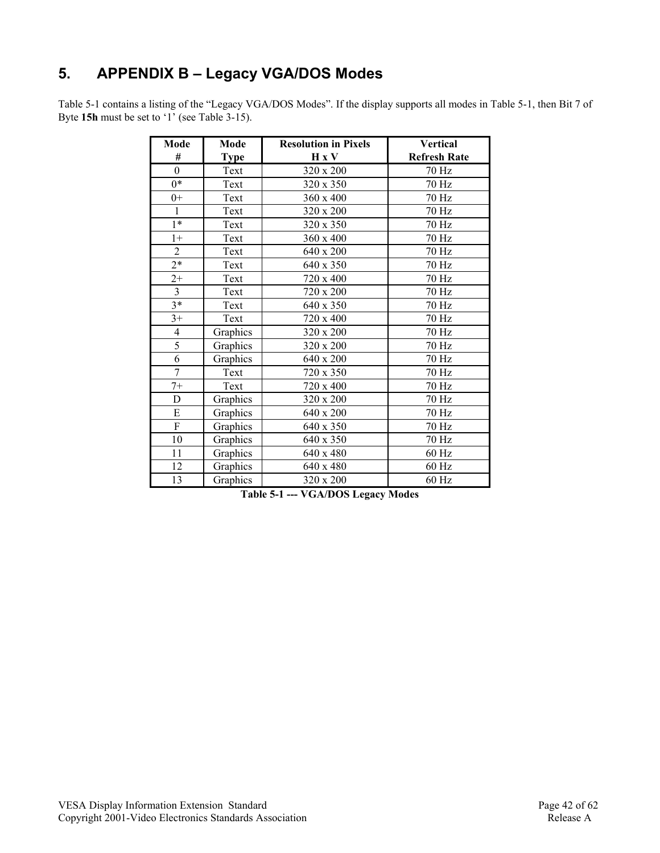# **5. APPENDIX B – Legacy VGA/DOS Modes**

Table 5-1 contains a listing of the "Legacy VGA/DOS Modes". If the display supports all modes in Table 5-1, then Bit 7 of Byte **15h** must be set to '1' (see Table 3-15).

| Mode                      | Mode        | <b>Resolution in Pixels</b> | <b>Vertical</b>     |
|---------------------------|-------------|-----------------------------|---------------------|
| #                         | <b>Type</b> | H X V                       | <b>Refresh Rate</b> |
| $\overline{0}$            | Text        | 320 x 200                   | 70 Hz               |
| $0*$                      | Text        | 320 x 350                   | 70 Hz               |
| $0+$                      | Text        | 360 x 400                   | $70\ \mathrm{Hz}$   |
| $\mathbf{1}$              | Text        | 320 x 200                   | 70 Hz               |
| $1*$                      | Text        | 320 x 350                   | 70 Hz               |
| $1+$                      | Text        | 360 x 400                   | 70 Hz               |
| $\overline{2}$            | Text        | 640 x 200                   | 70 Hz               |
| $2^*$                     | Text        | 640 x 350                   | 70 Hz               |
| $2+$                      | Text        | 720 x 400                   | 70 Hz               |
| $\overline{3}$            | Text        | 720 x 200                   | 70 Hz               |
| $3*$                      | Text        | 640 x 350                   | 70 Hz               |
| $3+$                      | Text        | 720 x 400                   | 70 Hz               |
| $\overline{4}$            | Graphics    | 320 x 200                   | 70 Hz               |
| 5                         | Graphics    | 320 x 200                   | 70 Hz               |
| 6                         | Graphics    | 640 x 200                   | 70 Hz               |
| $\overline{7}$            | Text        | 720 x 350                   | 70 Hz               |
| $7+$                      | Text        | 720 x 400                   | 70 Hz               |
| D                         | Graphics    | 320 x 200                   | 70 Hz               |
| ${\bf E}$                 | Graphics    | 640 x 200                   | 70 Hz               |
| $\boldsymbol{\mathrm{F}}$ | Graphics    | 640 x 350                   | 70 Hz               |
| 10                        | Graphics    | 640 x 350                   | 70 Hz               |
| 11                        | Graphics    | 640 x 480                   | 60 Hz               |
| 12                        | Graphics    | 640 x 480                   | $60$ Hz             |
| 13                        | Graphics    | $320 \times 200$            | 60 Hz               |

**Table 5-1 --- VGA/DOS Legacy Modes**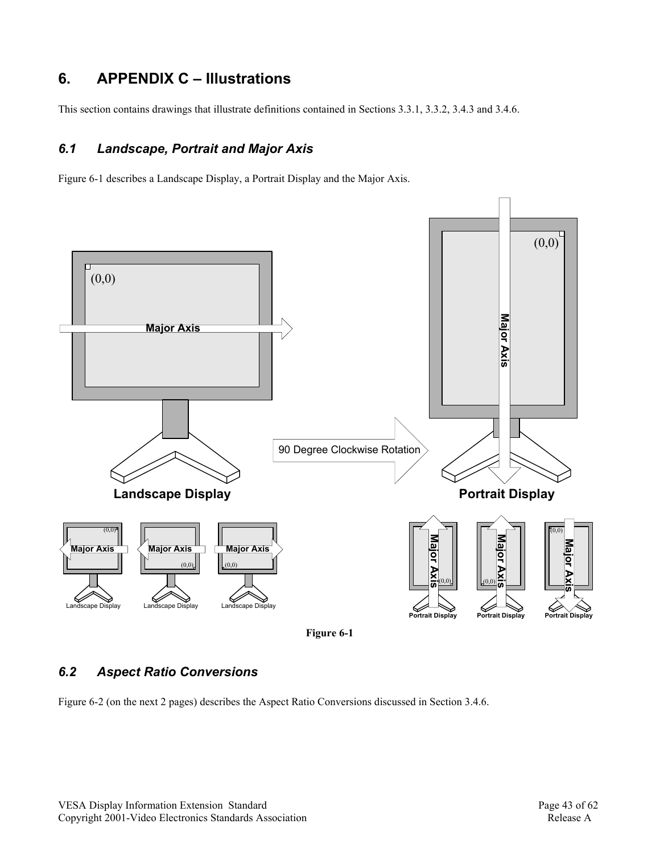## **6. APPENDIX C – Illustrations**

This section contains drawings that illustrate definitions contained in Sections 3.3.1, 3.3.2, 3.4.3 and 3.4.6.

### *6.1 Landscape, Portrait and Major Axis*

Figure 6-1 describes a Landscape Display, a Portrait Display and the Major Axis.



## *6.2 Aspect Ratio Conversions*

Figure 6-2 (on the next 2 pages) describes the Aspect Ratio Conversions discussed in Section 3.4.6.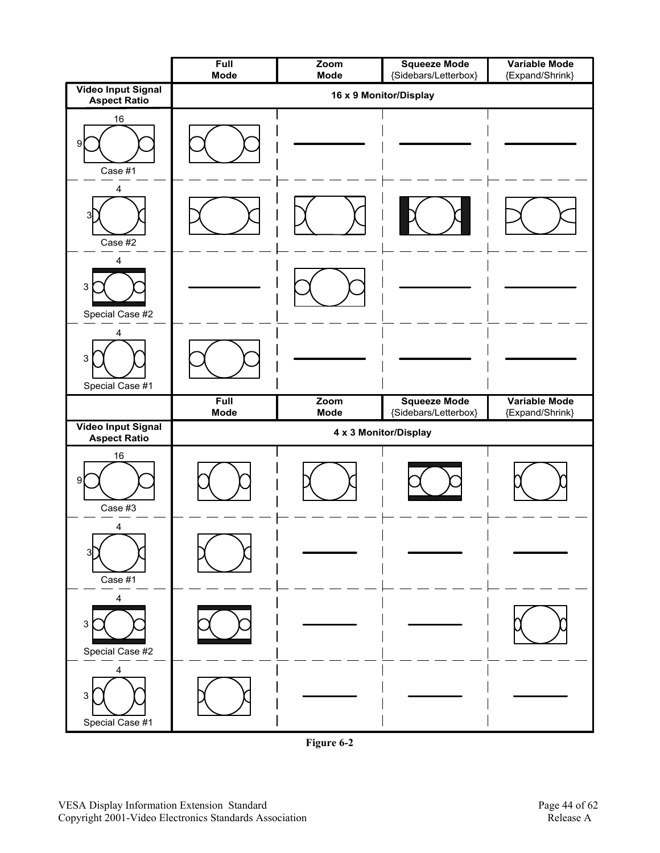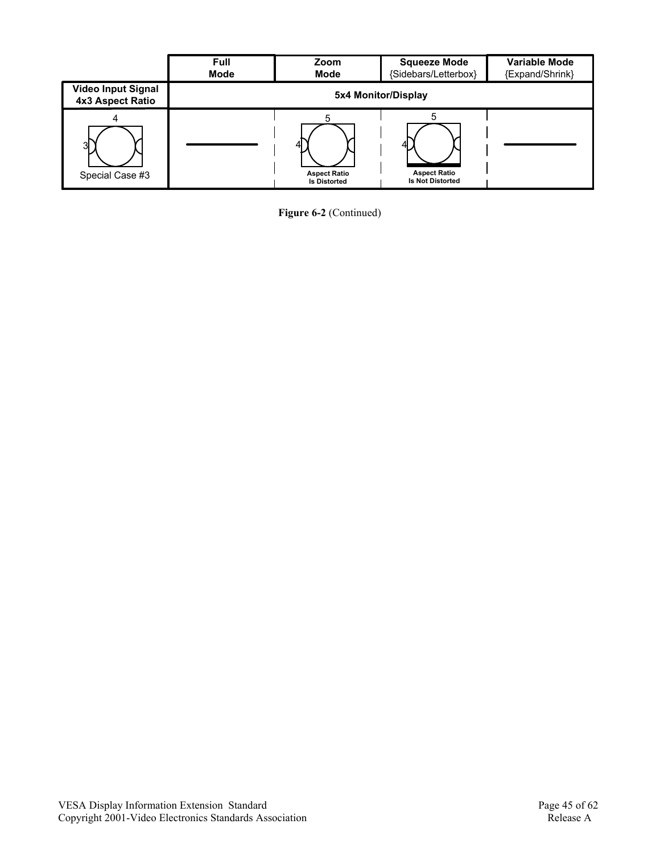

**Figure 6-2** (Continued)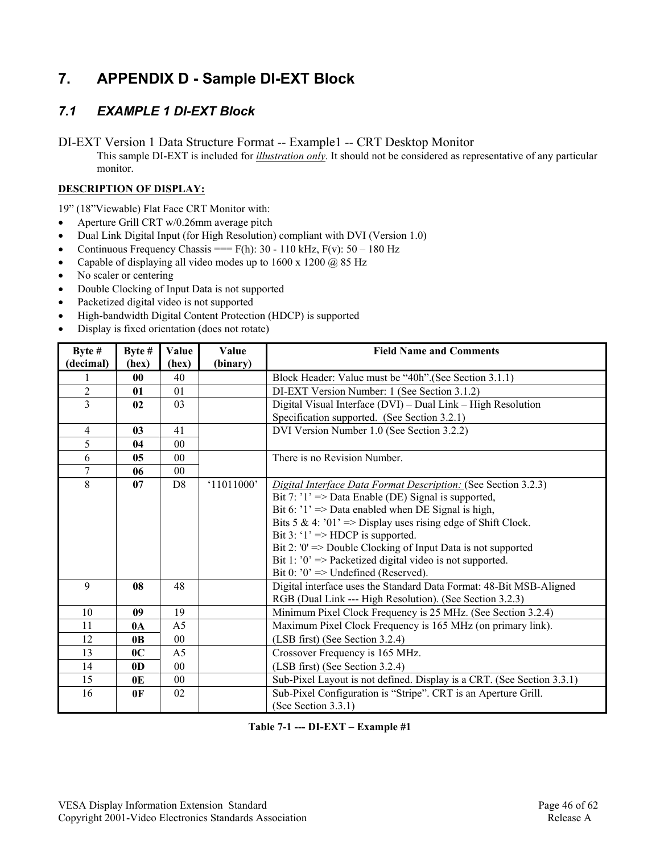# **7. APPENDIX D - Sample DI-EXT Block**

## *7.1 EXAMPLE 1 DI-EXT Block*

DI-EXT Version 1 Data Structure Format -- Example1 -- CRT Desktop Monitor

This sample DI-EXT is included for *illustration only*. It should not be considered as representative of any particular monitor.

#### **DESCRIPTION OF DISPLAY:**

19" (18"Viewable) Flat Face CRT Monitor with:

- Aperture Grill CRT w/0.26mm average pitch
- Dual Link Digital Input (for High Resolution) compliant with DVI (Version 1.0)
- Continuous Frequency Chassis ===  $F(h)$ : 30 110 kHz,  $F(v)$ : 50 180 Hz
- Capable of displaying all video modes up to 1600 x 1200 @ 85 Hz
- No scaler or centering
- Double Clocking of Input Data is not supported
- Packetized digital video is not supported
- High-bandwidth Digital Content Protection (HDCP) is supported
- Display is fixed orientation (does not rotate)

| Byte #         | Byte #         | Value          | Value      | <b>Field Name and Comments</b>                                         |
|----------------|----------------|----------------|------------|------------------------------------------------------------------------|
| (decimal)      | (hex)          | (hex)          | (binary)   |                                                                        |
|                | $\bf{00}$      | 40             |            | Block Header: Value must be "40h".(See Section 3.1.1)                  |
| $\overline{2}$ | 01             | 01             |            | DI-EXT Version Number: 1 (See Section 3.1.2)                           |
| $\overline{3}$ | 02             | 03             |            | Digital Visual Interface (DVI) – Dual Link – High Resolution           |
|                |                |                |            | Specification supported. (See Section 3.2.1)                           |
| $\overline{4}$ | 0 <sub>3</sub> | 41             |            | DVI Version Number 1.0 (See Section 3.2.2)                             |
| 5              | 04             | 0 <sub>0</sub> |            |                                                                        |
| 6              | 0 <sub>5</sub> | 0 <sub>0</sub> |            | There is no Revision Number.                                           |
| 7              | 06             | 00             |            |                                                                        |
| 8              | 07             | D <sub>8</sub> | '11011000' | Digital Interface Data Format Description: (See Section 3.2.3)         |
|                |                |                |            | Bit 7: $'1' \Rightarrow$ Data Enable (DE) Signal is supported,         |
|                |                |                |            | Bit 6: $'1' \Rightarrow$ Data enabled when DE Signal is high,          |
|                |                |                |            | Bits 5 & 4: '01' => Display uses rising edge of Shift Clock.           |
|                |                |                |            | Bit 3: ' $1' \Rightarrow \text{HDCP}$ is supported.                    |
|                |                |                |            | Bit 2: '0' = > Double Clocking of Input Data is not supported          |
|                |                |                |            | Bit 1: $0' \Rightarrow$ Packetized digital video is not supported.     |
|                |                |                |            | Bit 0: $0$ ' => Undefined (Reserved).                                  |
| 9              | 08             | 48             |            | Digital interface uses the Standard Data Format: 48-Bit MSB-Aligned    |
|                |                |                |            | RGB (Dual Link --- High Resolution). (See Section 3.2.3)               |
| 10             | 09             | 19             |            | Minimum Pixel Clock Frequency is 25 MHz. (See Section 3.2.4)           |
| 11             | 0 <sub>A</sub> | A <sub>5</sub> |            | Maximum Pixel Clock Frequency is 165 MHz (on primary link).            |
| 12             | 0 <sub>B</sub> | 0 <sub>0</sub> |            | (LSB first) (See Section 3.2.4)                                        |
| 13             | 0 <sup>C</sup> | A <sub>5</sub> |            | Crossover Frequency is 165 MHz.                                        |
| 14             | 0 <sub>D</sub> | 00             |            | (LSB first) (See Section 3.2.4)                                        |
| 15             | 0E             | 00             |            | Sub-Pixel Layout is not defined. Display is a CRT. (See Section 3.3.1) |
| 16             | 0 <sup>F</sup> | 02             |            | Sub-Pixel Configuration is "Stripe". CRT is an Aperture Grill.         |
|                |                |                |            | (See Section 3.3.1)                                                    |

**Table 7-1 --- DI-EXT – Example #1**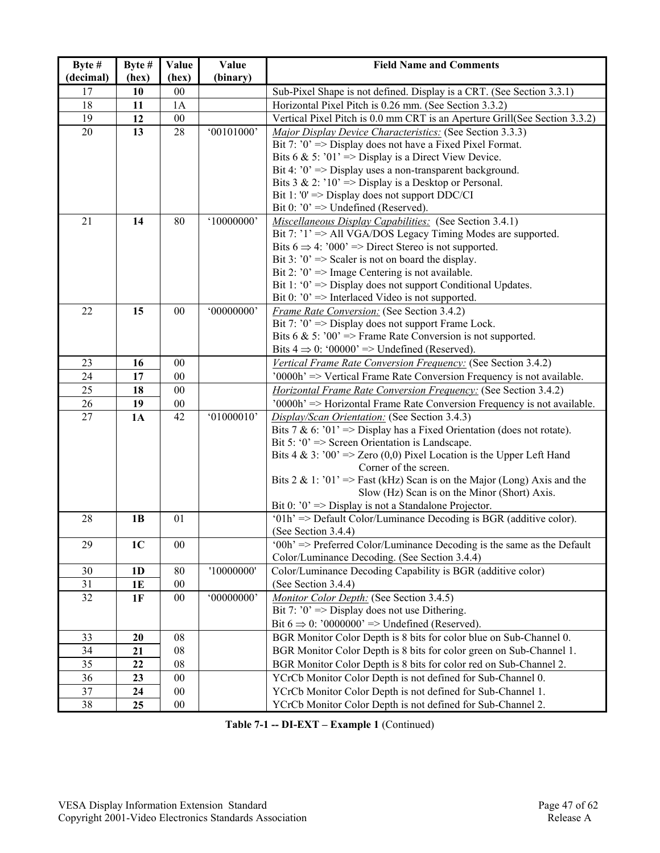| Byte #    | Byte #         | Value      | Value      | <b>Field Name and Comments</b>                                                                                          |
|-----------|----------------|------------|------------|-------------------------------------------------------------------------------------------------------------------------|
| (decimal) | (hex)          | (hex)      | (binary)   |                                                                                                                         |
| 17        | 10             | $00\,$     |            | Sub-Pixel Shape is not defined. Display is a CRT. (See Section 3.3.1)                                                   |
| 18        | 11             | 1A         |            | Horizontal Pixel Pitch is 0.26 mm. (See Section 3.3.2)                                                                  |
| 19        | 12             | 00         |            | Vertical Pixel Pitch is 0.0 mm CRT is an Aperture Grill(See Section 3.3.2)                                              |
| 20        | 13             | 28         | '00101000' | Major Display Device Characteristics: (See Section 3.3.3)                                                               |
|           |                |            |            | Bit 7: $0' \Rightarrow$ Display does not have a Fixed Pixel Format.                                                     |
|           |                |            |            | Bits 6 & 5: '01' => Display is a Direct View Device.                                                                    |
|           |                |            |            | Bit 4: $0' \Rightarrow$ Display uses a non-transparent background.                                                      |
|           |                |            |            | Bits $3 \& 2$ : '10' => Display is a Desktop or Personal.                                                               |
|           |                |            |            | Bit 1: '0' = > Display does not support $DDC/CI$                                                                        |
| 21        | 14             | 80         | '10000000' | Bit 0: $0' \Rightarrow$ Undefined (Reserved).<br>Miscellaneous Display Capabilities: (See Section 3.4.1)                |
|           |                |            |            | Bit 7: '1' => All VGA/DOS Legacy Timing Modes are supported.                                                            |
|           |                |            |            | Bits $6 \Rightarrow 4$ : '000' => Direct Stereo is not supported.                                                       |
|           |                |            |            | Bit 3: $0' \Rightarrow$ Scaler is not on board the display.                                                             |
|           |                |            |            | Bit 2: $0' \Rightarrow$ Image Centering is not available.                                                               |
|           |                |            |            | Bit 1: ' $0$ ' => Display does not support Conditional Updates.                                                         |
|           |                |            |            | Bit 0: $0$ => Interlaced Video is not supported.                                                                        |
| 22        | 15             | $00\,$     | '00000000' | Frame Rate Conversion: (See Section 3.4.2)                                                                              |
|           |                |            |            | Bit 7: $0' \Rightarrow$ Display does not support Frame Lock.                                                            |
|           |                |            |            | Bits 6 & 5: '00' => Frame Rate Conversion is not supported.                                                             |
|           |                |            |            | Bits $4 \Rightarrow 0$ : '00000' => Undefined (Reserved).                                                               |
| 23        | 16             | 00         |            | Vertical Frame Rate Conversion Frequency: (See Section 3.4.2)                                                           |
| 24        | 17             | $00\,$     |            | '0000h' => Vertical Frame Rate Conversion Frequency is not available.                                                   |
| 25        | 18             | 00         |            | <b>Horizontal Frame Rate Conversion Frequency: (See Section 3.4.2)</b>                                                  |
| 26        | 19             | $00\,$     |            | '0000h' => Horizontal Frame Rate Conversion Frequency is not available.                                                 |
| 27        | 1A             | 42         | '01000010' | Display/Scan Orientation: (See Section 3.4.3)                                                                           |
|           |                |            |            | Bits 7 & 6: '01' => Display has a Fixed Orientation (does not rotate).                                                  |
|           |                |            |            | Bit 5: ' $0$ ' => Screen Orientation is Landscape.                                                                      |
|           |                |            |            | Bits 4 & 3: '00' => Zero (0,0) Pixel Location is the Upper Left Hand                                                    |
|           |                |            |            | Corner of the screen.                                                                                                   |
|           |                |            |            | Bits 2 & 1: '01' => Fast (kHz) Scan is on the Major (Long) Axis and the<br>Slow (Hz) Scan is on the Minor (Short) Axis. |
|           |                |            |            | Bit 0: $0' \Rightarrow$ Display is not a Standalone Projector.                                                          |
| 28        | 1B             | 01         |            | '01h' => Default Color/Luminance Decoding is BGR (additive color).                                                      |
|           |                |            |            | (See Section 3.4.4)                                                                                                     |
| 29        | 1 <sub>C</sub> | 00         |            | $'00h' \Rightarrow$ Preferred Color/Luminance Decoding is the same as the Default                                       |
|           |                |            |            | Color/Luminance Decoding. (See Section 3.4.4)                                                                           |
| 30        | 1 <sub>D</sub> | 80         | '10000000' | Color/Luminance Decoding Capability is BGR (additive color)                                                             |
| 31        | 1E             | $00\,$     |            | (See Section 3.4.4)                                                                                                     |
| 32        | 1F             | $00\,$     | '00000000' | Monitor Color Depth: (See Section 3.4.5)                                                                                |
|           |                |            |            | Bit 7: $0' \Rightarrow$ Display does not use Dithering.                                                                 |
|           |                |            |            | Bit $6 \Rightarrow 0$ : '0000000' => Undefined (Reserved).                                                              |
| 33        | 20             | ${\bf 08}$ |            | BGR Monitor Color Depth is 8 bits for color blue on Sub-Channel 0.                                                      |
| 34        | 21             | 08         |            | BGR Monitor Color Depth is 8 bits for color green on Sub-Channel 1.                                                     |
| 35        | 22             | 08         |            | BGR Monitor Color Depth is 8 bits for color red on Sub-Channel 2.                                                       |
| 36        | 23             | $00\,$     |            | YCrCb Monitor Color Depth is not defined for Sub-Channel 0.                                                             |
| 37        | 24             | $00\,$     |            | YCrCb Monitor Color Depth is not defined for Sub-Channel 1.                                                             |
| 38        | 25             | $00\,$     |            | YCrCb Monitor Color Depth is not defined for Sub-Channel 2.                                                             |

**Table 7-1 -- DI-EXT – Example 1** (Continued)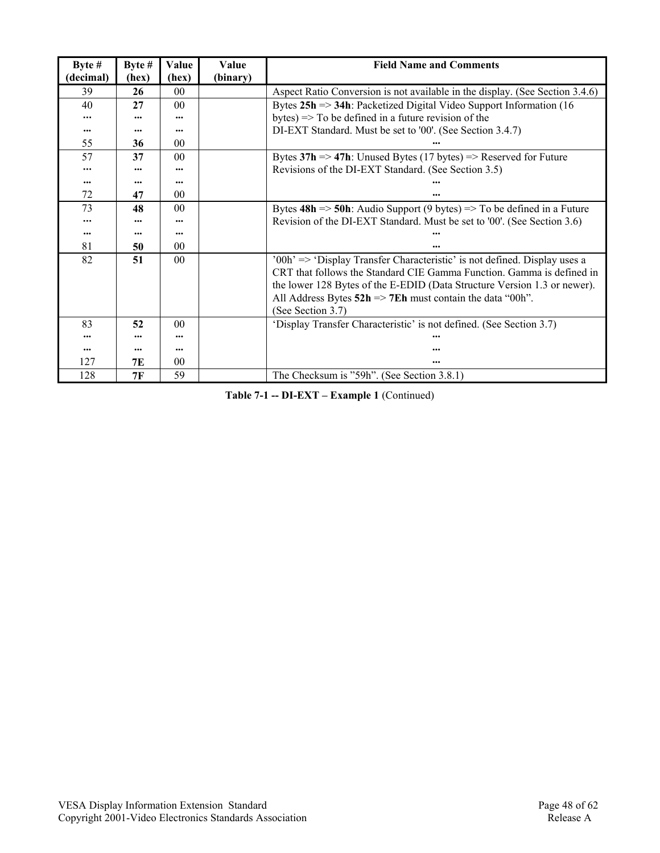| Byte $#$  | Byte #   | Value           | <b>Value</b> | <b>Field Name and Comments</b>                                                                                                                                                                                                                                                                                                         |
|-----------|----------|-----------------|--------------|----------------------------------------------------------------------------------------------------------------------------------------------------------------------------------------------------------------------------------------------------------------------------------------------------------------------------------------|
| (decimal) | (hex)    | (hex)           | (binary)     |                                                                                                                                                                                                                                                                                                                                        |
| 39        | 26       | 00 <sup>2</sup> |              | Aspect Ratio Conversion is not available in the display. (See Section 3.4.6)                                                                                                                                                                                                                                                           |
| 40        | 27       | 0 <sub>0</sub>  |              | Bytes $25h \approx 34h$ : Packetized Digital Video Support Information (16)                                                                                                                                                                                                                                                            |
|           |          | $\cdots$        |              | bytes) $\Rightarrow$ To be defined in a future revision of the                                                                                                                                                                                                                                                                         |
| $\cdots$  | $\cdots$ | $\cdots$        |              | DI-EXT Standard. Must be set to '00'. (See Section 3.4.7)                                                                                                                                                                                                                                                                              |
| 55        | 36       | 0 <sup>0</sup>  |              |                                                                                                                                                                                                                                                                                                                                        |
| 57        | 37       | 0 <sup>0</sup>  |              | Bytes $37h \Rightarrow 47h$ : Unused Bytes (17 bytes) => Reserved for Future                                                                                                                                                                                                                                                           |
|           |          |                 |              | Revisions of the DI-EXT Standard. (See Section 3.5)                                                                                                                                                                                                                                                                                    |
| $\cdots$  |          | $\cdots$        |              |                                                                                                                                                                                                                                                                                                                                        |
| 72        | 47       | 0 <sup>0</sup>  |              |                                                                                                                                                                                                                                                                                                                                        |
| 73        | 48       | 0 <sub>0</sub>  |              | Bytes $48h \approx 50h$ : Audio Support (9 bytes) $\Rightarrow$ To be defined in a Future                                                                                                                                                                                                                                              |
| $\cdots$  |          |                 |              | Revision of the DI-EXT Standard. Must be set to '00'. (See Section 3.6)                                                                                                                                                                                                                                                                |
| $\cdots$  |          | $\cdots$        |              |                                                                                                                                                                                                                                                                                                                                        |
| 81        | 50       | 0 <sub>0</sub>  |              |                                                                                                                                                                                                                                                                                                                                        |
| 82        | 51       | 0 <sup>0</sup>  |              | $'00h' \Rightarrow 'Display Transfer Characteristic'$ is not defined. Display uses a<br>CRT that follows the Standard CIE Gamma Function. Gamma is defined in<br>the lower 128 Bytes of the E-EDID (Data Structure Version 1.3 or newer).<br>All Address Bytes $52h \Rightarrow 7Eh$ must contain the data "00h".<br>(See Section 3.7) |
| 83        | 52       | 0 <sub>0</sub>  |              | 'Display Transfer Characteristic' is not defined. (See Section 3.7)                                                                                                                                                                                                                                                                    |
|           |          |                 |              |                                                                                                                                                                                                                                                                                                                                        |
|           |          | $\cdots$        |              |                                                                                                                                                                                                                                                                                                                                        |
| 127       | 7E       | 00 <sup>0</sup> |              | $\cdots$                                                                                                                                                                                                                                                                                                                               |
| 128       | 7F       | 59              |              | The Checksum is "59h". (See Section 3.8.1)                                                                                                                                                                                                                                                                                             |

**Table 7-1 -- DI-EXT – Example 1** (Continued)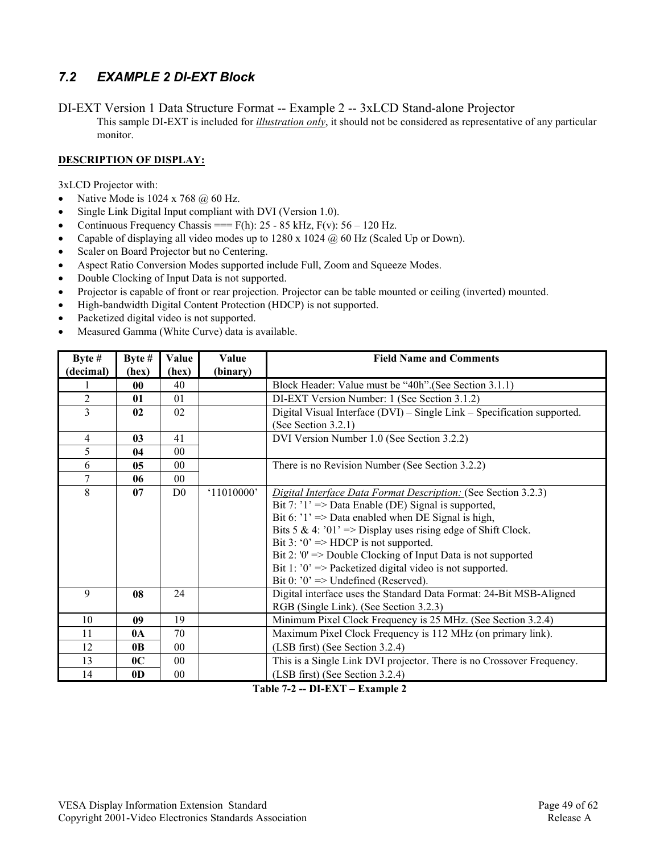## *7.2 EXAMPLE 2 DI-EXT Block*

DI-EXT Version 1 Data Structure Format -- Example 2 -- 3xLCD Stand-alone Projector This sample DI-EXT is included for *illustration only*, it should not be considered as representative of any particular monitor.

#### **DESCRIPTION OF DISPLAY:**

3xLCD Projector with:

- Native Mode is  $1024 \times 768$  @ 60 Hz.
- Single Link Digital Input compliant with DVI (Version 1.0).
- Continuous Frequency Chassis ===  $F(h)$ : 25 85 kHz,  $F(v)$ : 56 120 Hz.
- Capable of displaying all video modes up to 1280 x 1024  $\omega$  60 Hz (Scaled Up or Down).
- Scaler on Board Projector but no Centering.
- Aspect Ratio Conversion Modes supported include Full, Zoom and Squeeze Modes.
- Double Clocking of Input Data is not supported.
- Projector is capable of front or rear projection. Projector can be table mounted or ceiling (inverted) mounted.
- High-bandwidth Digital Content Protection (HDCP) is not supported.
- Packetized digital video is not supported.
- Measured Gamma (White Curve) data is available.

| Byte $#$       | Byte $#$       | Value          | Value      | <b>Field Name and Comments</b>                                          |
|----------------|----------------|----------------|------------|-------------------------------------------------------------------------|
| (decimal)      | (hex)          | (hex)          | (binary)   |                                                                         |
|                | 00             | 40             |            | Block Header: Value must be "40h". (See Section 3.1.1)                  |
| $\overline{2}$ | 01             | 01             |            | DI-EXT Version Number: 1 (See Section 3.1.2)                            |
| $\overline{3}$ | 02             | 02             |            | Digital Visual Interface (DVI) - Single Link - Specification supported. |
|                |                |                |            | (See Section $3.2.1$ )                                                  |
| $\overline{4}$ | 03             | 41             |            | DVI Version Number 1.0 (See Section 3.2.2)                              |
| 5              | 04             | 0 <sub>0</sub> |            |                                                                         |
| 6              | 0 <sub>5</sub> | $00\,$         |            | There is no Revision Number (See Section 3.2.2)                         |
| 7              | 06             | $00\,$         |            |                                                                         |
| 8              | 07             | D <sub>0</sub> | '11010000' | Digital Interface Data Format Description: (See Section 3.2.3)          |
|                |                |                |            | Bit 7: $'1' \Rightarrow$ Data Enable (DE) Signal is supported,          |
|                |                |                |            | Bit 6: $1' \Rightarrow$ Data enabled when DE Signal is high,            |
|                |                |                |            | Bits 5 & 4: '01' => Display uses rising edge of Shift Clock.            |
|                |                |                |            | Bit 3: ' $0' \Rightarrow \text{HDCP}$ is not supported.                 |
|                |                |                |            | Bit 2: '0' = > Double Clocking of Input Data is not supported           |
|                |                |                |            | Bit 1: $0' \Rightarrow$ Packetized digital video is not supported.      |
|                |                |                |            | Bit 0: $0$ ' => Undefined (Reserved).                                   |
| 9              | 08             | 24             |            | Digital interface uses the Standard Data Format: 24-Bit MSB-Aligned     |
|                |                |                |            | RGB (Single Link). (See Section 3.2.3)                                  |
| 10             | 09             | 19             |            | Minimum Pixel Clock Frequency is 25 MHz. (See Section 3.2.4)            |
| 11             | $0\text{A}$    | 70             |            | Maximum Pixel Clock Frequency is 112 MHz (on primary link).             |
| 12             | 0 <sub>B</sub> | 0 <sub>0</sub> |            | (LSB first) (See Section 3.2.4)                                         |
| 13             | 0 <sup>C</sup> | 0 <sub>0</sub> |            | This is a Single Link DVI projector. There is no Crossover Frequency.   |
| 14             | 0 <sub>D</sub> | 00             |            | (LSB first) (See Section 3.2.4)                                         |

**Table 7-2 -- DI-EXT – Example 2**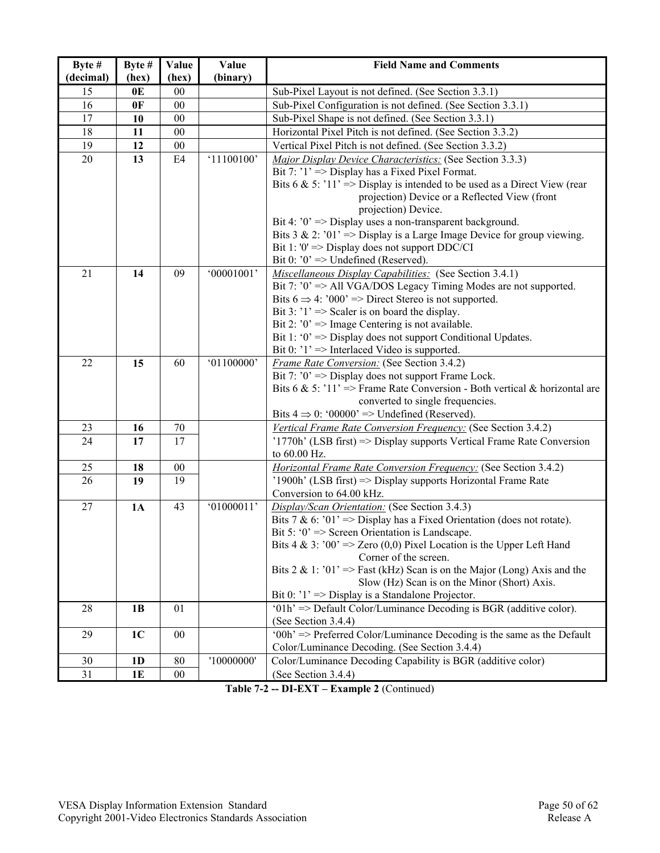| Byte #    | Byte #         | Value  | Value      | <b>Field Name and Comments</b>                                                                    |
|-----------|----------------|--------|------------|---------------------------------------------------------------------------------------------------|
| (decimal) | (hex)          | (hex)  | (binary)   |                                                                                                   |
| 15        | 0 <sub>E</sub> | 00     |            | Sub-Pixel Layout is not defined. (See Section 3.3.1)                                              |
| 16        | 0F             | 00     |            | Sub-Pixel Configuration is not defined. (See Section 3.3.1)                                       |
| 17        | 10             | 00     |            | Sub-Pixel Shape is not defined. (See Section 3.3.1)                                               |
| 18        | 11             | 00     |            | Horizontal Pixel Pitch is not defined. (See Section 3.3.2)                                        |
| 19        | 12             | $00\,$ |            | Vertical Pixel Pitch is not defined. (See Section 3.3.2)                                          |
| 20        | 13             | E4     | '11100100' | Major Display Device Characteristics: (See Section 3.3.3)                                         |
|           |                |        |            | Bit 7: $'1'$ => Display has a Fixed Pixel Format.                                                 |
|           |                |        |            | Bits 6 & 5: '11' => Display is intended to be used as a Direct View (rear                         |
|           |                |        |            | projection) Device or a Reflected View (front                                                     |
|           |                |        |            | projection) Device.                                                                               |
|           |                |        |            | Bit 4: $0' \Rightarrow$ Display uses a non-transparent background.                                |
|           |                |        |            | Bits 3 & 2: '01' => Display is a Large Image Device for group viewing.                            |
|           |                |        |            | Bit 1: '0' = $>$ Display does not support DDC/CI<br>Bit 0: $0' \Rightarrow$ Undefined (Reserved). |
| 21        | 14             | 09     | '00001001' | Miscellaneous Display Capabilities: (See Section 3.4.1)                                           |
|           |                |        |            | Bit 7: '0' => All VGA/DOS Legacy Timing Modes are not supported.                                  |
|           |                |        |            | Bits $6 \Rightarrow 4$ : '000' => Direct Stereo is not supported.                                 |
|           |                |        |            | Bit 3: $'1' \Rightarrow$ Scaler is on board the display.                                          |
|           |                |        |            | Bit 2: $0' \Rightarrow$ Image Centering is not available.                                         |
|           |                |        |            | Bit 1: ' $0$ ' => Display does not support Conditional Updates.                                   |
|           |                |        |            | Bit 0: $'1'$ => Interlaced Video is supported.                                                    |
| 22        | 15             | 60     | '01100000' | Frame Rate Conversion: (See Section 3.4.2)                                                        |
|           |                |        |            | Bit 7: $0' \Rightarrow$ Display does not support Frame Lock.                                      |
|           |                |        |            | Bits 6 & 5: '11' => Frame Rate Conversion - Both vertical & horizontal are                        |
|           |                |        |            | converted to single frequencies.                                                                  |
|           |                |        |            | Bits $4 \Rightarrow 0$ : '00000' => Undefined (Reserved).                                         |
| 23        | 16             | 70     |            | Vertical Frame Rate Conversion Frequency: (See Section 3.4.2)                                     |
| 24        | 17             | 17     |            | $'1770h'$ (LSB first) => Display supports Vertical Frame Rate Conversion                          |
|           |                |        |            | to 60.00 Hz.                                                                                      |
| 25        | 18             | $00\,$ |            | <b>Horizontal Frame Rate Conversion Frequency:</b> (See Section 3.4.2)                            |
| 26        | 19             | 19     |            | '1900h' (LSB first) => Display supports Horizontal Frame Rate                                     |
|           |                |        |            | Conversion to 64.00 kHz.                                                                          |
| 27        | 1A             | 43     | '01000011' | Display/Scan Orientation: (See Section 3.4.3)                                                     |
|           |                |        |            | Bits 7 & 6: '01' => Display has a Fixed Orientation (does not rotate).                            |
|           |                |        |            | Bit 5: $0' \Rightarrow$ Screen Orientation is Landscape.                                          |
|           |                |        |            | Bits 4 & 3: '00' => Zero (0,0) Pixel Location is the Upper Left Hand                              |
|           |                |        |            | Corner of the screen.<br>Bits 2 & 1: '01' => Fast (kHz) Scan is on the Major (Long) Axis and the  |
|           |                |        |            | Slow (Hz) Scan is on the Minor (Short) Axis.                                                      |
|           |                |        |            | Bit 0: $'1' \Rightarrow$ Display is a Standalone Projector.                                       |
| 28        | 1B             | 01     |            | $'01h' \Rightarrow$ Default Color/Luminance Decoding is BGR (additive color).                     |
|           |                |        |            | (See Section 3.4.4)                                                                               |
| 29        | 1 <sub>C</sub> | 00     |            | '00h' => Preferred Color/Luminance Decoding is the same as the Default                            |
|           |                |        |            | Color/Luminance Decoding. (See Section 3.4.4)                                                     |
| 30        | 1 <sub>D</sub> | 80     | '10000000' | Color/Luminance Decoding Capability is BGR (additive color)                                       |
| 31        | 1E             | $00\,$ |            | (See Section 3.4.4)                                                                               |

**Table 7-2 -- DI-EXT – Example 2** (Continued)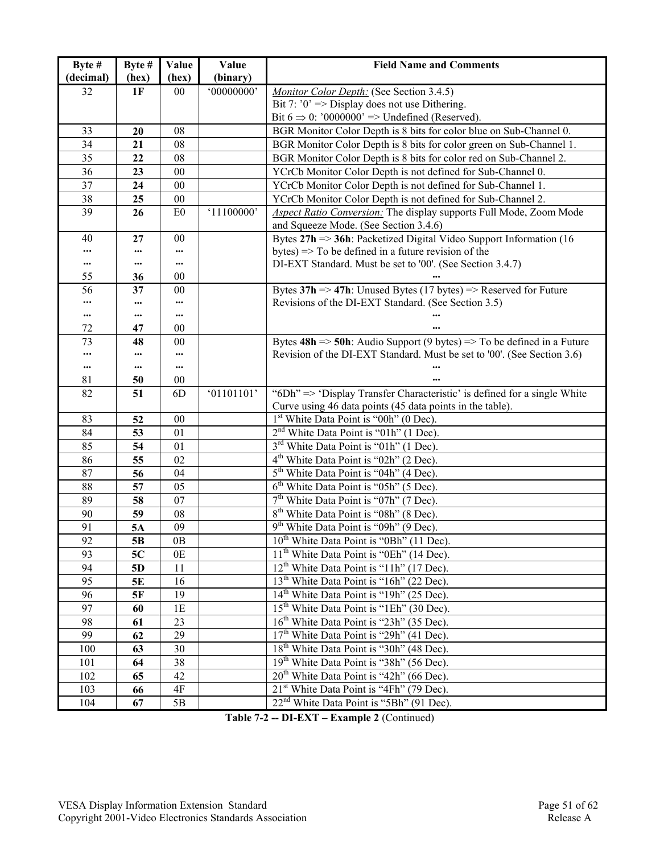| Byte #    | Byte # | Value  | Value      | <b>Field Name and Comments</b>                                                                        |
|-----------|--------|--------|------------|-------------------------------------------------------------------------------------------------------|
| (decimal) | (hex)  | (hex)  | (binary)   |                                                                                                       |
| 32        | 1F     | $00\,$ | '00000000' | Monitor Color Depth: (See Section 3.4.5)                                                              |
|           |        |        |            | Bit 7: $0' \Rightarrow$ Display does not use Dithering.                                               |
|           |        |        |            | Bit $6 \Rightarrow 0$ : '0000000' => Undefined (Reserved).                                            |
| 33        | 20     | 08     |            | BGR Monitor Color Depth is 8 bits for color blue on Sub-Channel 0.                                    |
| 34        | 21     | 08     |            | BGR Monitor Color Depth is 8 bits for color green on Sub-Channel 1.                                   |
| 35        | 22     | 08     |            | BGR Monitor Color Depth is 8 bits for color red on Sub-Channel 2.                                     |
| 36        | 23     | 00     |            | YCrCb Monitor Color Depth is not defined for Sub-Channel 0.                                           |
| 37        | 24     | 00     |            | YCrCb Monitor Color Depth is not defined for Sub-Channel 1.                                           |
| 38        | 25     | 00     |            | YCrCb Monitor Color Depth is not defined for Sub-Channel 2.                                           |
| 39        | 26     | E0     | '11100000' | <b>Aspect Ratio Conversion:</b> The display supports Full Mode, Zoom Mode                             |
|           |        |        |            | and Squeeze Mode. (See Section 3.4.6)                                                                 |
| 40        | 27     | $00\,$ |            | Bytes $27h \approx 36h$ : Packetized Digital Video Support Information (16)                           |
|           |        |        |            | bytes) $\Rightarrow$ To be defined in a future revision of the                                        |
|           |        |        |            | DI-EXT Standard. Must be set to '00'. (See Section 3.4.7)                                             |
| 55        | 36     | 00     |            |                                                                                                       |
| 56        | 37     | 00     |            | Bytes $37h \Rightarrow 47h$ : Unused Bytes (17 bytes) => Reserved for Future                          |
|           |        |        |            | Revisions of the DI-EXT Standard. (See Section 3.5)                                                   |
|           |        |        |            |                                                                                                       |
| 72        | 47     | 00     |            |                                                                                                       |
| 73        | 48     | 00     |            | Bytes $48h \Rightarrow 50h$ : Audio Support (9 bytes) $\Rightarrow$ To be defined in a Future         |
|           |        |        |            | Revision of the DI-EXT Standard. Must be set to '00'. (See Section 3.6)                               |
|           |        |        |            |                                                                                                       |
| 81        | 50     | $00\,$ |            |                                                                                                       |
| 82        | 51     | 6D     | '01101101' | " $6Dh$ " $\Rightarrow$ 'Display Transfer Characteristic' is defined for a single White               |
| 83        |        | $00\,$ |            | Curve using 46 data points (45 data points in the table).<br>$1st$ White Data Point is "00h" (0 Dec). |
|           | 52     |        |            |                                                                                                       |
| 84        | 53     | 01     |            | $2nd$ White Data Point is "01h" (1 Dec).                                                              |
| 85        | 54     | 01     |            | 3 <sup>rd</sup> White Data Point is "01h" (1 Dec).                                                    |
| 86        | 55     | 02     |            | 4 <sup>th</sup> White Data Point is "02h" (2 Dec).                                                    |
| 87        | 56     | 04     |            | 5 <sup>th</sup> White Data Point is "04h" (4 Dec).                                                    |
| 88        | 57     | 05     |            | 6 <sup>th</sup> White Data Point is "05h" (5 Dec).                                                    |
| 89        | 58     | 07     |            | 7 <sup>th</sup> White Data Point is "07h" (7 Dec).                                                    |
| 90        | 59     | 08     |            | 8 <sup>th</sup> White Data Point is "08h" (8 Dec).                                                    |
| 91        | 5A     | 09     |            | 9 <sup>th</sup> White Data Point is "09h" (9 Dec).                                                    |
| 92        | 5B     | 0B     |            | 10 <sup>th</sup> White Data Point is "0Bh" (11 Dec).                                                  |
| 93        | 5C     | 0E     |            | 11 <sup>th</sup> White Data Point is "0Eh" (14 Dec).                                                  |
| 94        | 5D     | 11     |            | $12th$ White Data Point is "11h" (17 Dec).                                                            |
| 95        | 5E     | 16     |            | 13 <sup>th</sup> White Data Point is "16h" (22 Dec).                                                  |
| 96        | 5F     | 19     |            | 14 <sup>th</sup> White Data Point is "19h" (25 Dec).                                                  |
| 97        | 60     | 1E     |            | 15 <sup>th</sup> White Data Point is "1Eh" (30 Dec).                                                  |
| 98        | 61     | 23     |            | 16 <sup>th</sup> White Data Point is "23h" (35 Dec).                                                  |
| 99        | 62     | 29     |            | 17 <sup>th</sup> White Data Point is "29h" (41 Dec).                                                  |
| 100       | 63     | 30     |            | 18 <sup>th</sup> White Data Point is "30h" (48 Dec).                                                  |
| 101       | 64     | 38     |            | 19 <sup>th</sup> White Data Point is "38h" (56 Dec).                                                  |
| 102       | 65     | 42     |            | $20th$ White Data Point is "42h" (66 Dec).                                                            |
| 103       | 66     | 4F     |            | $21st$ White Data Point is "4Fh" (79 Dec).                                                            |
| 104       | 67     | 5B     |            | $22nd$ White Data Point is "5Bh" (91 Dec).                                                            |

**Table 7-2 -- DI-EXT – Example 2** (Continued)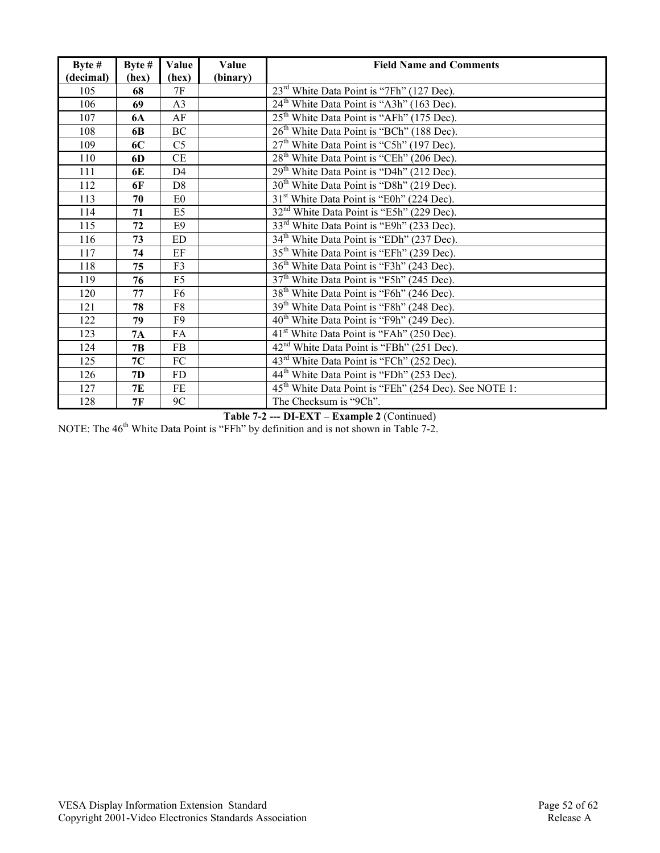| Byte $#$  | Byte # | Value          | Value    | <b>Field Name and Comments</b>                                    |
|-----------|--------|----------------|----------|-------------------------------------------------------------------|
| (decimal) | (hex)  | (hex)          | (binary) |                                                                   |
| 105       | 68     | 7F             |          | 23 <sup>rd</sup> White Data Point is "7Fh" (127 Dec).             |
| 106       | 69     | A <sub>3</sub> |          | 24 <sup>th</sup> White Data Point is "A3h" (163 Dec).             |
| 107       | 6A     | AF             |          | 25 <sup>th</sup> White Data Point is "AFh" (175 Dec).             |
| 108       | 6B     | BC             |          | 26 <sup>th</sup> White Data Point is "BCh" (188 Dec).             |
| 109       | 6C     | C <sub>5</sub> |          | 27 <sup>th</sup> White Data Point is "C5h" (197 Dec).             |
| 110       | 6D     | CE             |          | 28 <sup>th</sup> White Data Point is "CEh" (206 Dec).             |
| 111       | 6E     | D <sub>4</sub> |          | 29 <sup>th</sup> White Data Point is "D4h" (212 Dec).             |
| 112       | 6F     | D <sub>8</sub> |          | 30 <sup>th</sup> White Data Point is "D8h" (219 Dec).             |
| 113       | 70     | E <sub>0</sub> |          | 31 <sup>st</sup> White Data Point is "E0h" (224 Dec).             |
| 114       | 71     | E5             |          | 32 <sup>nd</sup> White Data Point is "E5h" (229 Dec).             |
| 115       | 72     | E <sub>9</sub> |          | 33 <sup>rd</sup> White Data Point is "E9h" (233 Dec).             |
| 116       | 73     | <b>ED</b>      |          | 34 <sup>th</sup> White Data Point is "EDh" (237 Dec).             |
| 117       | 74     | EF             |          | 35 <sup>th</sup> White Data Point is "EFh" (239 Dec).             |
| 118       | 75     | F3             |          | 36 <sup>th</sup> White Data Point is "F3h" (243 Dec).             |
| 119       | 76     | F5             |          | 37 <sup>th</sup> White Data Point is "F5h" (245 Dec).             |
| 120       | 77     | F6             |          | 38 <sup>th</sup> White Data Point is "F6h" (246 Dec).             |
| 121       | 78     | F8             |          | 39 <sup>th</sup> White Data Point is "F8h" (248 Dec).             |
| 122       | 79     | F <sub>9</sub> |          | 40 <sup>th</sup> White Data Point is "F9h" (249 Dec).             |
| 123       | 7A     | FA             |          | 41 <sup>st</sup> White Data Point is "FAh" (250 Dec).             |
| 124       | 7B     | FB             |          | 42 <sup>nd</sup> White Data Point is "FBh" (251 Dec).             |
| 125       | 7C     | ${\rm FC}$     |          | 43 <sup>rd</sup> White Data Point is "FCh" (252 Dec).             |
| 126       | 7D     | FD             |          | 44 <sup>th</sup> White Data Point is "FDh" (253 Dec).             |
| 127       | 7E     | FE             |          | 45 <sup>th</sup> White Data Point is "FEh" (254 Dec). See NOTE 1: |
| 128       | 7F     | 9C             |          | The Checksum is "9Ch".                                            |

**Table 7-2 --- DI-EXT – Example 2** (Continued)

NOTE: The 46<sup>th</sup> White Data Point is "FFh" by definition and is not shown in Table 7-2.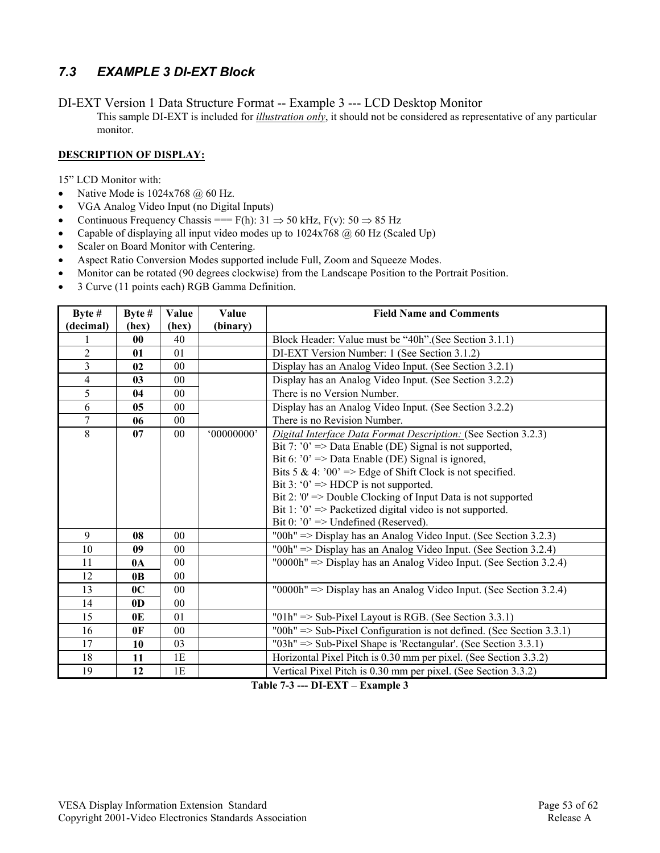## *7.3 EXAMPLE 3 DI-EXT Block*

DI-EXT Version 1 Data Structure Format -- Example 3 --- LCD Desktop Monitor This sample DI-EXT is included for *illustration only*, it should not be considered as representative of any particular monitor.

#### **DESCRIPTION OF DISPLAY:**

15" LCD Monitor with:

- Native Mode is  $1024x768$  @ 60 Hz.
- VGA Analog Video Input (no Digital Inputs)
- Continuous Frequency Chassis ===  $F(h)$ : 31  $\Rightarrow$  50 kHz,  $F(v)$ : 50  $\Rightarrow$  85 Hz
- Capable of displaying all input video modes up to  $1024x768$  @ 60 Hz (Scaled Up)
- Scaler on Board Monitor with Centering.
- Aspect Ratio Conversion Modes supported include Full, Zoom and Squeeze Modes.
- Monitor can be rotated (90 degrees clockwise) from the Landscape Position to the Portrait Position.
- 3 Curve (11 points each) RGB Gamma Definition.

| Byte #         | Byte #         | Value          | Value      | <b>Field Name and Comments</b>                                                  |
|----------------|----------------|----------------|------------|---------------------------------------------------------------------------------|
| (decimal)      | (hex)          | (hex)          | (binary)   |                                                                                 |
|                | 00             | 40             |            | Block Header: Value must be "40h". (See Section 3.1.1)                          |
| $\overline{2}$ | 01             | 01             |            | DI-EXT Version Number: 1 (See Section 3.1.2)                                    |
| 3              | 02             | 00             |            | Display has an Analog Video Input. (See Section 3.2.1)                          |
| 4              | 03             | 0 <sub>0</sub> |            | Display has an Analog Video Input. (See Section 3.2.2)                          |
| 5              | 04             | 00             |            | There is no Version Number.                                                     |
| 6              | 05             | 00             |            | Display has an Analog Video Input. (See Section 3.2.2)                          |
| $\overline{7}$ | 06             | 00             |            | There is no Revision Number.                                                    |
| 8              | 07             | 00             | '00000000' | Digital Interface Data Format Description: (See Section 3.2.3)                  |
|                |                |                |            | Bit 7: $0' \Rightarrow$ Data Enable (DE) Signal is not supported,               |
|                |                |                |            | Bit 6: $0' \Rightarrow$ Data Enable (DE) Signal is ignored,                     |
|                |                |                |            | Bits 5 & 4: '00' => Edge of Shift Clock is not specified.                       |
|                |                |                |            | Bit 3: ' $0$ ' => HDCP is not supported.                                        |
|                |                |                |            | Bit 2: '0' = > Double Clocking of Input Data is not supported                   |
|                |                |                |            | Bit 1: $0' \Rightarrow$ Packetized digital video is not supported.              |
|                |                |                |            | Bit 0: $0$ ' => Undefined (Reserved).                                           |
| 9              | 08             | 0 <sub>0</sub> |            | "00h" $\Rightarrow$ Display has an Analog Video Input. (See Section 3.2.3)      |
| 10             | 09             | 0 <sub>0</sub> |            | "00h" $\Rightarrow$ Display has an Analog Video Input. (See Section 3.2.4)      |
| 11             | 0 <sub>A</sub> | 0 <sub>0</sub> |            | "0000h" => Display has an Analog Video Input. (See Section 3.2.4)               |
| 12             | 0 <sub>B</sub> | $00\,$         |            |                                                                                 |
| 13             | 0 <sup>C</sup> | 0 <sub>0</sub> |            | "0000h" $\Rightarrow$ Display has an Analog Video Input. (See Section 3.2.4)    |
| 14             | 0 <sub>D</sub> | 0 <sub>0</sub> |            |                                                                                 |
| 15             | 0E             | 01             |            | " $01h$ " => Sub-Pixel Layout is RGB. (See Section 3.3.1)                       |
| 16             | 0 <sup>F</sup> | 00             |            | "00h" $\Rightarrow$ Sub-Pixel Configuration is not defined. (See Section 3.3.1) |
| 17             | 10             | 03             |            | "03h" $\Rightarrow$ Sub-Pixel Shape is 'Rectangular'. (See Section 3.3.1)       |
| 18             | 11             | 1E             |            | Horizontal Pixel Pitch is 0.30 mm per pixel. (See Section 3.3.2)                |
| 19             | 12             | 1E             |            | Vertical Pixel Pitch is 0.30 mm per pixel. (See Section 3.3.2)                  |

**Table 7-3 --- DI-EXT – Example 3**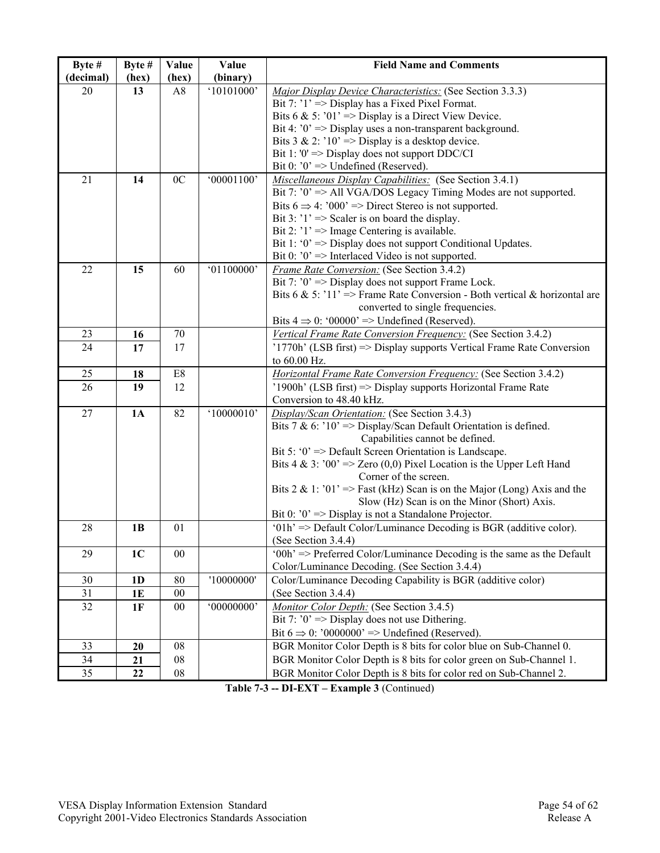| Byte #    | Byte #         | Value          | Value      | <b>Field Name and Comments</b>                                             |
|-----------|----------------|----------------|------------|----------------------------------------------------------------------------|
| (decimal) | (hex)          | (hex)          | (binary)   |                                                                            |
| 20        | 13             | A8             | '10101000' | Major Display Device Characteristics: (See Section 3.3.3)                  |
|           |                |                |            | Bit 7: $'1' \Rightarrow$ Display has a Fixed Pixel Format.                 |
|           |                |                |            | Bits 6 & 5: '01' => Display is a Direct View Device.                       |
|           |                |                |            | Bit 4: $0' \Rightarrow$ Display uses a non-transparent background.         |
|           |                |                |            | Bits $3 \& 2$ : '10' => Display is a desktop device.                       |
|           |                |                |            | Bit 1: '0' = $>$ Display does not support DDC/CI                           |
|           |                |                |            | Bit 0: $0' \Rightarrow$ Undefined (Reserved).                              |
| 21        | 14             | 0 <sub>C</sub> | '00001100' | Miscellaneous Display Capabilities: (See Section 3.4.1)                    |
|           |                |                |            | Bit 7: $0' \Rightarrow$ All VGA/DOS Legacy Timing Modes are not supported. |
|           |                |                |            | Bits $6 \Rightarrow 4$ : '000' => Direct Stereo is not supported.          |
|           |                |                |            | Bit 3: $'1' \Rightarrow$ Scaler is on board the display.                   |
|           |                |                |            | Bit 2: $'1' \Rightarrow$ Image Centering is available.                     |
|           |                |                |            | Bit 1: ' $0$ ' => Display does not support Conditional Updates.            |
|           |                |                |            | Bit 0: $0$ ' => Interlaced Video is not supported.                         |
| 22        | 15             | 60             | '01100000' | Frame Rate Conversion: (See Section 3.4.2)                                 |
|           |                |                |            | Bit 7: $0' \Rightarrow$ Display does not support Frame Lock.               |
|           |                |                |            | Bits 6 & 5: '11' => Frame Rate Conversion - Both vertical & horizontal are |
|           |                |                |            | converted to single frequencies.                                           |
|           |                |                |            | Bits $4 \Rightarrow 0$ : '00000' => Undefined (Reserved).                  |
| 23        | 16             | 70             |            | Vertical Frame Rate Conversion Frequency: (See Section 3.4.2)              |
| 24        | 17             | 17             |            | $'1770h'$ (LSB first) => Display supports Vertical Frame Rate Conversion   |
|           |                |                |            | to 60.00 Hz.                                                               |
| 25        | 18             | E8             |            | <b>Horizontal Frame Rate Conversion Frequency:</b> (See Section 3.4.2)     |
| 26        | 19             | 12             |            | '1900h' (LSB first) => Display supports Horizontal Frame Rate              |
|           |                |                |            | Conversion to 48.40 kHz.                                                   |
| 27        | 1A             | 82             | '10000010' | Display/Scan Orientation: (See Section 3.4.3)                              |
|           |                |                |            | Bits 7 & 6: ' $10'$ => Display/Scan Default Orientation is defined.        |
|           |                |                |            | Capabilities cannot be defined.                                            |
|           |                |                |            | Bit 5: ' $0$ ' => Default Screen Orientation is Landscape.                 |
|           |                |                |            | Bits 4 & 3: '00' => Zero (0,0) Pixel Location is the Upper Left Hand       |
|           |                |                |            | Corner of the screen.                                                      |
|           |                |                |            | Bits 2 & 1: '01' => Fast (kHz) Scan is on the Major (Long) Axis and the    |
|           |                |                |            | Slow (Hz) Scan is on the Minor (Short) Axis.                               |
|           |                |                |            | Bit 0: $0$ ' => Display is not a Standalone Projector.                     |
| 28        | 1B             | 01             |            | '01h' => Default Color/Luminance Decoding is BGR (additive color).         |
|           |                |                |            | (See Section $3.4.4$ )                                                     |
| 29        | 1 <sub>C</sub> | 00             |            | '00h' => Preferred Color/Luminance Decoding is the same as the Default     |
|           |                |                |            | Color/Luminance Decoding. (See Section 3.4.4)                              |
| 30        | 1 <sub>D</sub> | 80             | '10000000' | Color/Luminance Decoding Capability is BGR (additive color)                |
| 31        | 1E             | $00\,$         |            | (See Section 3.4.4)                                                        |
| 32        | 1F             | $00\,$         | '00000000' | Monitor Color Depth: (See Section 3.4.5)                                   |
|           |                |                |            | Bit 7: $0' \Rightarrow$ Display does not use Dithering.                    |
|           |                |                |            | Bit $6 \Rightarrow 0$ : '0000000' => Undefined (Reserved).                 |
| 33        | 20             | 08             |            | BGR Monitor Color Depth is 8 bits for color blue on Sub-Channel 0.         |
| 34        | 21             | 08             |            | BGR Monitor Color Depth is 8 bits for color green on Sub-Channel 1.        |
| 35        | 22             | 08             |            | BGR Monitor Color Depth is 8 bits for color red on Sub-Channel 2.          |

**Table 7-3 -- DI-EXT – Example 3** (Continued)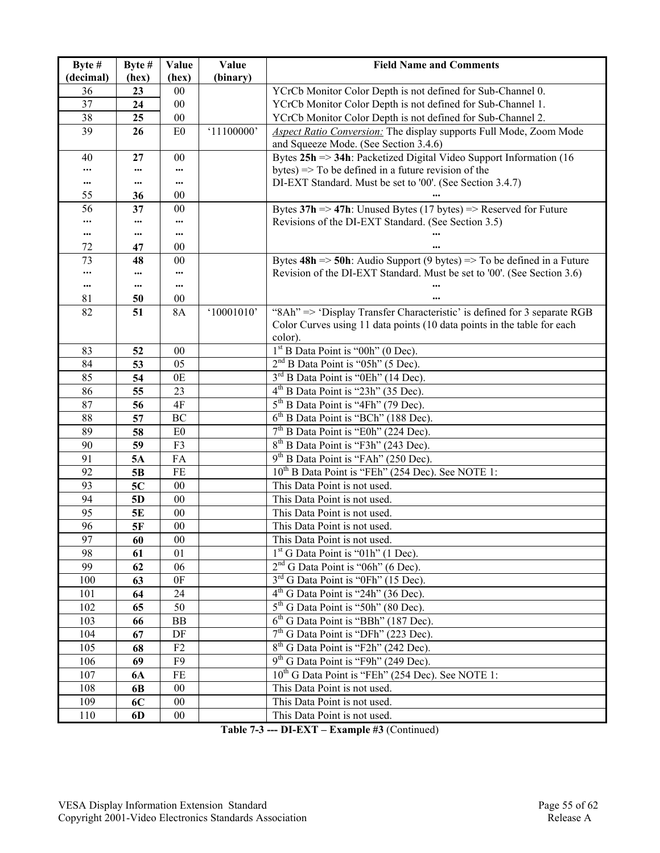| Byte #    | Byte #    | Value               | Value      | <b>Field Name and Comments</b>                                                                |
|-----------|-----------|---------------------|------------|-----------------------------------------------------------------------------------------------|
| (decimal) | (hex)     | (hex)               | (binary)   |                                                                                               |
| 36        | 23        | 00                  |            | YCrCb Monitor Color Depth is not defined for Sub-Channel 0.                                   |
| 37        | 24        | 00                  |            | YCrCb Monitor Color Depth is not defined for Sub-Channel 1.                                   |
| 38        | 25        | $00\,$              |            | YCrCb Monitor Color Depth is not defined for Sub-Channel 2.                                   |
| 39        | 26        | E <sub>0</sub>      | '11100000' | Aspect Ratio Conversion: The display supports Full Mode, Zoom Mode                            |
|           |           |                     |            | and Squeeze Mode. (See Section 3.4.6)                                                         |
| 40        | 27        | 00                  |            | Bytes $25h \Rightarrow 34h$ : Packetized Digital Video Support Information (16                |
|           |           |                     |            | bytes) $\Rightarrow$ To be defined in a future revision of the                                |
| $\cdots$  |           | $\cdots$            |            | DI-EXT Standard. Must be set to '00'. (See Section 3.4.7)                                     |
| 55        | 36        | 00                  |            |                                                                                               |
| 56        | 37        | $00\,$              |            | Bytes $37h \Rightarrow 47h$ : Unused Bytes (17 bytes) => Reserved for Future                  |
|           |           |                     |            | Revisions of the DI-EXT Standard. (See Section 3.5)                                           |
|           |           | $\cdots$            |            |                                                                                               |
| 72        | 47        | 00                  |            |                                                                                               |
| 73        | 48        | 00                  |            | Bytes $48h \Rightarrow 50h$ : Audio Support (9 bytes) $\Rightarrow$ To be defined in a Future |
|           |           |                     |            | Revision of the DI-EXT Standard. Must be set to '00'. (See Section 3.6)                       |
|           |           | $\cdots$            |            |                                                                                               |
| 81<br>82  | 50<br>51  | $00\,$<br><b>8A</b> | '10001010' | "8Ah" => 'Display Transfer Characteristic' is defined for 3 separate RGB                      |
|           |           |                     |            | Color Curves using 11 data points (10 data points in the table for each                       |
|           |           |                     |            | color).                                                                                       |
| 83        | 52        | $00\,$              |            | $1st$ B Data Point is "00h" (0 Dec).                                                          |
| 84        | 53        | 05                  |            | 2 <sup>nd</sup> B Data Point is "05h" (5 Dec).                                                |
| 85        | 54        | 0E                  |            | 3 <sup>rd</sup> B Data Point is "0Eh" (14 Dec).                                               |
| 86        | 55        | 23                  |            | 4 <sup>th</sup> B Data Point is "23h" (35 Dec).                                               |
| 87        | 56        | 4F                  |            | 5 <sup>th</sup> B Data Point is "4Fh" (79 Dec).                                               |
| 88        | 57        | BC                  |            | 6 <sup>th</sup> B Data Point is "BCh" (188 Dec).                                              |
| 89        | 58        | E0                  |            | $7th$ B Data Point is "E0h" (224 Dec).                                                        |
| 90        | 59        | F3                  |            | 8 <sup>th</sup> B Data Point is "F3h" (243 Dec).                                              |
| 91        | 5A        | FA                  |            | $9th$ B Data Point is "FAh" (250 Dec).                                                        |
| 92        | 5B        | FE                  |            | 10 <sup>th</sup> B Data Point is "FEh" (254 Dec). See NOTE 1:                                 |
| 93        | 5C        | $00\,$              |            | This Data Point is not used.                                                                  |
| 94        | 5D        | $00\,$              |            | This Data Point is not used.                                                                  |
| 95        | 5E        | $00\,$              |            | This Data Point is not used.                                                                  |
| 96        | 5F        | $00\,$              |            | This Data Point is not used.                                                                  |
| 97        | 60        | $00\,$              |            | This Data Point is not used.                                                                  |
| 98        | 61        | 01                  |            | 1 <sup>st</sup> G Data Point is "01h" (1 Dec).                                                |
| 99        | 62        | 06                  |            | $2nd$ G Data Point is "06h" (6 Dec).                                                          |
| 100       | 63        | 0 <sub>F</sub>      |            | 3 <sup>rd</sup> G Data Point is "0Fh" (15 Dec).                                               |
| 101       | 64        | 24                  |            | $4th$ G Data Point is "24h" (36 Dec).                                                         |
| 102       | 65        | 50                  |            | $5th$ G Data Point is "50h" (80 Dec).                                                         |
| 103       | 66        | BB                  |            | $6th$ G Data Point is "BBh" (187 Dec).                                                        |
| 104       | 67        | DF                  |            | 7 <sup>th</sup> G Data Point is "DFh" (223 Dec).                                              |
| 105       | 68        | F2                  |            | 8 <sup>th</sup> G Data Point is "F2h" (242 Dec).                                              |
| 106       | 69        | F <sub>9</sub>      |            | 9 <sup>th</sup> G Data Point is "F9h" (249 Dec).                                              |
| 107       | <b>6A</b> | FE                  |            | 10 <sup>th</sup> G Data Point is "FEh" (254 Dec). See NOTE 1:                                 |
| 108       | 6B        | 00                  |            | This Data Point is not used.                                                                  |
| 109       | 6C        | $00\,$              |            | This Data Point is not used.                                                                  |
| 110       | 6D        | $00\,$              |            | This Data Point is not used.                                                                  |
|           |           |                     |            |                                                                                               |

**Table 7-3 --- DI-EXT – Example #3** (Continued)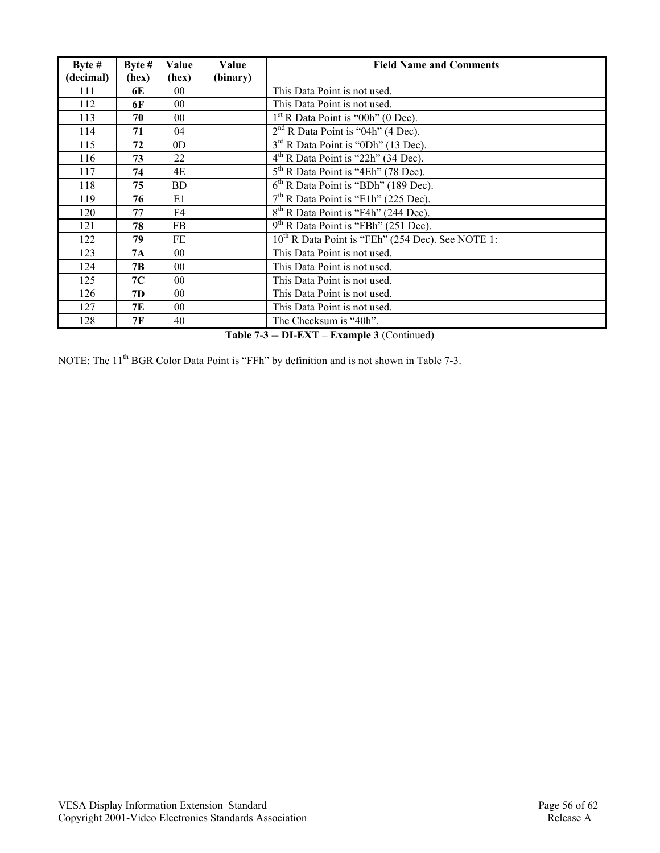| Byte $#$  | Byte $#$ | Value           | Value    | <b>Field Name and Comments</b>                         |
|-----------|----------|-----------------|----------|--------------------------------------------------------|
| (decimal) | (hex)    | (hex)           | (binary) |                                                        |
| 111       | 6E       | 0 <sub>0</sub>  |          | This Data Point is not used.                           |
| 112       | 6F       | 0 <sub>0</sub>  |          | This Data Point is not used.                           |
| 113       | 70       | 00              |          | $1st$ R Data Point is "00h" (0 Dec).                   |
| 114       | 71       | 04              |          | $2nd$ R Data Point is "04h" (4 Dec).                   |
| 115       | 72       | 0 <sub>D</sub>  |          | 3 <sup>rd</sup> R Data Point is "0Dh" (13 Dec).        |
| 116       | 73       | 22              |          | $4th$ R Data Point is "22h" (34 Dec).                  |
| 117       | 74       | 4E              |          | $5th$ R Data Point is "4Eh" (78 Dec).                  |
| 118       | 75       | BD              |          | $6th$ R Data Point is "BDh" (189 Dec).                 |
| 119       | 76       | E1              |          | $7th$ R Data Point is "E1h" (225 Dec).                 |
| 120       | 77       | F4              |          | 8 <sup>th</sup> R Data Point is "F4h" (244 Dec).       |
| 121       | 78       | FB              |          | 9 <sup>th</sup> R Data Point is "FBh" (251 Dec).       |
| 122       | 79       | FE              |          | $10^{th}$ R Data Point is "FEh" (254 Dec). See NOTE 1: |
| 123       | 7A       | 0 <sub>0</sub>  |          | This Data Point is not used.                           |
| 124       | 7B       | 00 <sup>°</sup> |          | This Data Point is not used.                           |
| 125       | 7C       | 0 <sub>0</sub>  |          | This Data Point is not used.                           |
| 126       | 7D       | 0 <sub>0</sub>  |          | This Data Point is not used.                           |
| 127       | 7E       | 00 <sup>°</sup> |          | This Data Point is not used.                           |
| 128       | 7F       | 40              |          | The Checksum is "40h".                                 |

**Table 7-3 -- DI-EXT – Example 3** (Continued)

NOTE: The 11<sup>th</sup> BGR Color Data Point is "FFh" by definition and is not shown in Table 7-3.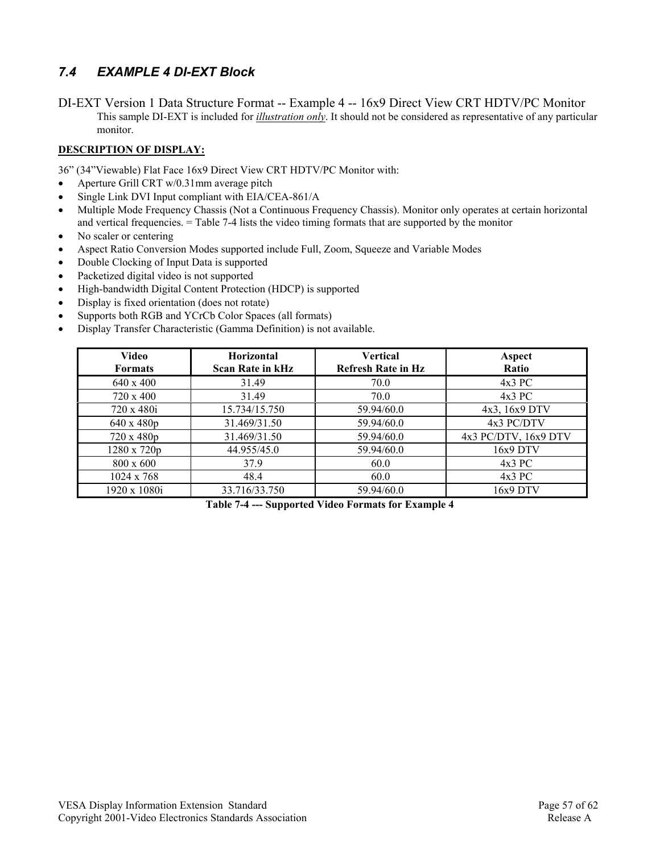## *7.4 EXAMPLE 4 DI-EXT Block*

DI-EXT Version 1 Data Structure Format -- Example 4 -- 16x9 Direct View CRT HDTV/PC Monitor This sample DI-EXT is included for *illustration only*. It should not be considered as representative of any particular monitor.

#### **DESCRIPTION OF DISPLAY:**

36" (34"Viewable) Flat Face 16x9 Direct View CRT HDTV/PC Monitor with:

- Aperture Grill CRT w/0.31mm average pitch
- Single Link DVI Input compliant with EIA/CEA-861/A
- Multiple Mode Frequency Chassis (Not a Continuous Frequency Chassis). Monitor only operates at certain horizontal and vertical frequencies. = Table 7-4 lists the video timing formats that are supported by the monitor
- No scaler or centering
- Aspect Ratio Conversion Modes supported include Full, Zoom, Squeeze and Variable Modes
- Double Clocking of Input Data is supported
- Packetized digital video is not supported
- High-bandwidth Digital Content Protection (HDCP) is supported
- Display is fixed orientation (does not rotate)
- Supports both RGB and YCrCb Color Spaces (all formats)
- Display Transfer Characteristic (Gamma Definition) is not available.

| Video<br><b>Formats</b> | <b>Horizontal</b><br><b>Scan Rate in kHz</b> | <b>Vertical</b><br><b>Refresh Rate in Hz</b> | Aspect<br><b>Ratio</b> |
|-------------------------|----------------------------------------------|----------------------------------------------|------------------------|
| 640 x 400               | 31.49                                        | 70.0                                         | $4x3$ PC               |
| 720 x 400               | 31.49                                        | 70.0                                         | $4x3$ PC               |
| 720 x 480i              | 15.734/15.750                                | 59.94/60.0                                   | 4x3, 16x9 DTV          |
| 640 x 480p              | 31.469/31.50                                 | 59.94/60.0                                   | 4x3 PC/DTV             |
| 720 x 480p              | 31.469/31.50                                 | 59.94/60.0                                   | 4x3 PC/DTV, 16x9 DTV   |
| $1280 \times 720p$      | 44.955/45.0                                  | 59.94/60.0                                   | $16x9$ DTV             |
| $800 \times 600$        | 37.9                                         | 60.0                                         | $4x3$ PC               |
| $1024 \times 768$       | 48.4                                         | 60.0                                         | $4x3$ PC               |
| 1920 x 1080i            | 33.716/33.750                                | 59.94/60.0                                   | 16x9 DTV               |

**Table 7-4 --- Supported Video Formats for Example 4**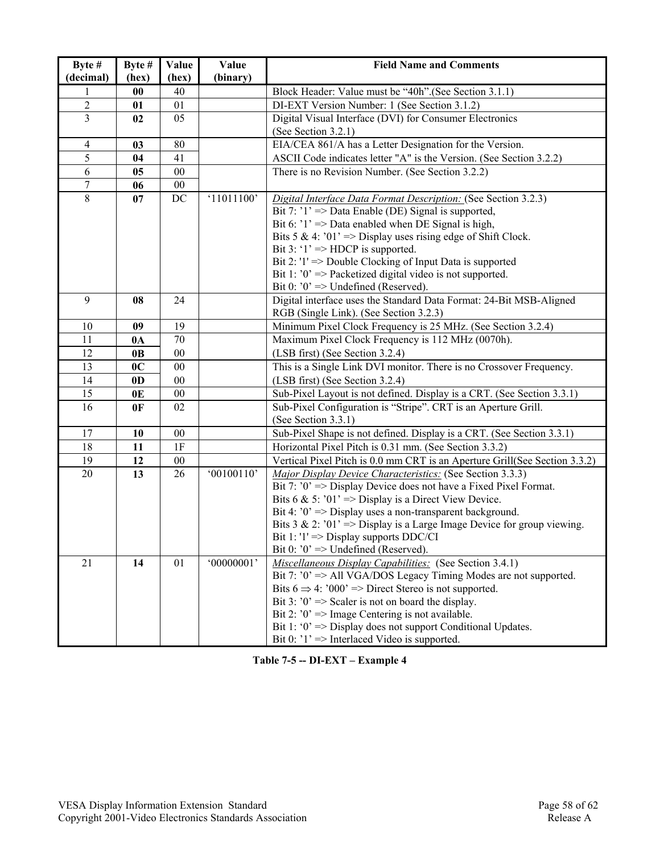| Byte $#$       | Byte #         | Value  | Value      | <b>Field Name and Comments</b>                                             |  |
|----------------|----------------|--------|------------|----------------------------------------------------------------------------|--|
| (decimal)      | (hex)          | (hex)  | (binary)   |                                                                            |  |
|                | $\bf{00}$      | 40     |            | Block Header: Value must be "40h". (See Section 3.1.1)                     |  |
| $\sqrt{2}$     | 01             | 01     |            | DI-EXT Version Number: 1 (See Section 3.1.2)                               |  |
| $\overline{3}$ | 02             | 05     |            | Digital Visual Interface (DVI) for Consumer Electronics                    |  |
|                |                |        |            | (See Section 3.2.1)                                                        |  |
| $\overline{4}$ | 03             | $80\,$ |            | EIA/CEA 861/A has a Letter Designation for the Version.                    |  |
| 5              | 04             | 41     |            | ASCII Code indicates letter "A" is the Version. (See Section 3.2.2)        |  |
| $\overline{6}$ | 0 <sub>5</sub> | $00\,$ |            | There is no Revision Number. (See Section 3.2.2)                           |  |
| $\overline{7}$ | 06             | $00\,$ |            |                                                                            |  |
| $\overline{8}$ | 07             | DC     | '11011100' | Digital Interface Data Format Description: (See Section 3.2.3)             |  |
|                |                |        |            | Bit 7: '1' => Data Enable (DE) Signal is supported,                        |  |
|                |                |        |            | Bit 6: $'1' \Rightarrow$ Data enabled when DE Signal is high,              |  |
|                |                |        |            | Bits 5 & 4: '01' => Display uses rising edge of Shift Clock.               |  |
|                |                |        |            | Bit 3: ' $1' \Rightarrow \text{HDCP}$ is supported.                        |  |
|                |                |        |            | Bit 2: ' $1'$ ' => Double Clocking of Input Data is supported              |  |
|                |                |        |            | Bit 1: $0' \Rightarrow$ Packetized digital video is not supported.         |  |
|                |                |        |            | Bit 0: $0' \Rightarrow$ Undefined (Reserved).                              |  |
| 9              | 08             | 24     |            | Digital interface uses the Standard Data Format: 24-Bit MSB-Aligned        |  |
|                |                |        |            | RGB (Single Link). (See Section 3.2.3)                                     |  |
| 10             | 09             | 19     |            | Minimum Pixel Clock Frequency is 25 MHz. (See Section 3.2.4)               |  |
| 11             | 0A             | 70     |            | Maximum Pixel Clock Frequency is 112 MHz (0070h).                          |  |
| 12             | 0 <sub>B</sub> | $00\,$ |            | (LSB first) (See Section 3.2.4)                                            |  |
| 13             | 0 <sub>C</sub> | 00     |            | This is a Single Link DVI monitor. There is no Crossover Frequency.        |  |
| 14             | 0 <sub>D</sub> | $00\,$ |            | (LSB first) (See Section 3.2.4)                                            |  |
| 15             | 0 <sub>E</sub> | $00\,$ |            | Sub-Pixel Layout is not defined. Display is a CRT. (See Section 3.3.1)     |  |
| 16             | 0F             | 02     |            | Sub-Pixel Configuration is "Stripe". CRT is an Aperture Grill.             |  |
|                |                |        |            | (See Section 3.3.1)                                                        |  |
| 17             | 10             | $00\,$ |            | Sub-Pixel Shape is not defined. Display is a CRT. (See Section 3.3.1)      |  |
| 18             | 11             | 1F     |            | Horizontal Pixel Pitch is 0.31 mm. (See Section 3.3.2)                     |  |
| 19             | 12             | $00\,$ |            | Vertical Pixel Pitch is 0.0 mm CRT is an Aperture Grill(See Section 3.3.2) |  |
| 20             | 13             | 26     | '00100110' | Major Display Device Characteristics: (See Section 3.3.3)                  |  |
|                |                |        |            | Bit 7: $0' \Rightarrow$ Display Device does not have a Fixed Pixel Format. |  |
|                |                |        |            | Bits 6 & 5: '01' => Display is a Direct View Device.                       |  |
|                |                |        |            | Bit 4: $0' \Rightarrow$ Display uses a non-transparent background.         |  |
|                |                |        |            | Bits 3 & 2: '01' => Display is a Large Image Device for group viewing.     |  |
|                |                |        |            | Bit 1: $1' \Rightarrow$ Display supports DDC/CI                            |  |
|                |                |        |            | Bit 0: $0$ ' => Undefined (Reserved).                                      |  |
| 21             | 14             | 01     | '00000001' | <b>Miscellaneous Display Capabilities:</b> (See Section 3.4.1)             |  |
|                |                |        |            | Bit 7: $0' \Rightarrow$ All VGA/DOS Legacy Timing Modes are not supported. |  |
|                |                |        |            | Bits $6 \Rightarrow 4$ : '000' => Direct Stereo is not supported.          |  |
|                |                |        |            | Bit 3: $0' \Rightarrow$ Scaler is not on board the display.                |  |
|                |                |        |            | Bit 2: $0' \Rightarrow$ Image Centering is not available.                  |  |
|                |                |        |            | Bit 1: ' $0$ ' => Display does not support Conditional Updates.            |  |
|                |                |        |            | Bit 0: $'1' \Rightarrow$ Interlaced Video is supported.                    |  |

**Table 7-5 -- DI-EXT – Example 4**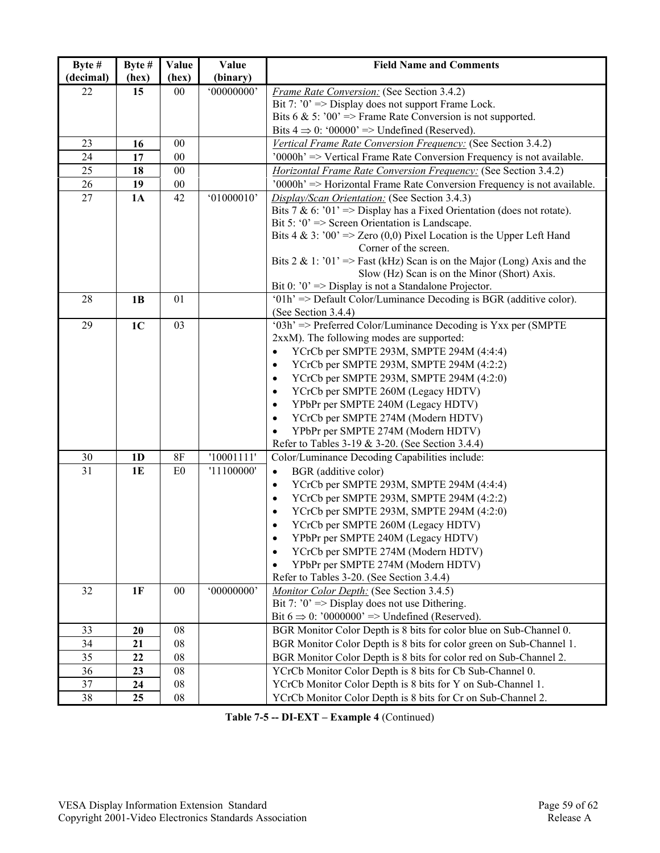| Byte #    | Byte #         | Value  | Value      | <b>Field Name and Comments</b>                                                                |  |
|-----------|----------------|--------|------------|-----------------------------------------------------------------------------------------------|--|
| (decimal) | (hex)          | (hex)  | (binary)   |                                                                                               |  |
| 22        | 15             | 00     | '00000000' | <b>Frame Rate Conversion: (See Section 3.4.2)</b>                                             |  |
|           |                |        |            | Bit 7: $0' \Rightarrow$ Display does not support Frame Lock.                                  |  |
|           |                |        |            | Bits 6 & 5: '00' => Frame Rate Conversion is not supported.                                   |  |
|           |                |        |            | Bits $4 \Rightarrow 0$ : '00000' => Undefined (Reserved).                                     |  |
| 23        | 16             | 00     |            | Vertical Frame Rate Conversion Frequency: (See Section 3.4.2)                                 |  |
| 24        | 17             | $00\,$ |            | '0000h' => Vertical Frame Rate Conversion Frequency is not available.                         |  |
| 25        | 18             | 00     |            | <b>Horizontal Frame Rate Conversion Frequency:</b> (See Section 3.4.2)                        |  |
| 26        | 19             | $00\,$ |            | '0000h' => Horizontal Frame Rate Conversion Frequency is not available.                       |  |
| 27        | 1A             | 42     | '01000010' | Display/Scan Orientation: (See Section 3.4.3)                                                 |  |
|           |                |        |            | Bits 7 & 6: '01' => Display has a Fixed Orientation (does not rotate).                        |  |
|           |                |        |            | Bit 5: ' $0$ ' => Screen Orientation is Landscape.                                            |  |
|           |                |        |            | Bits 4 & 3: '00' => Zero (0,0) Pixel Location is the Upper Left Hand<br>Corner of the screen. |  |
|           |                |        |            | Bits 2 & 1: '01' => Fast (kHz) Scan is on the Major (Long) Axis and the                       |  |
|           |                |        |            | Slow (Hz) Scan is on the Minor (Short) Axis.                                                  |  |
|           |                |        |            | Bit 0: $0$ ' => Display is not a Standalone Projector.                                        |  |
| 28        | 1B             | 01     |            | $'01h' \Rightarrow$ Default Color/Luminance Decoding is BGR (additive color).                 |  |
|           |                |        |            | (See Section 3.4.4)                                                                           |  |
| 29        | 1 <sub>C</sub> | 03     |            | '03h' => Preferred Color/Luminance Decoding is Yxx per (SMPTE)                                |  |
|           |                |        |            | 2xxM). The following modes are supported:                                                     |  |
|           |                |        |            | YCrCb per SMPTE 293M, SMPTE 294M (4:4:4)<br>$\bullet$                                         |  |
|           |                |        |            | YCrCb per SMPTE 293M, SMPTE 294M (4:2:2)<br>$\bullet$                                         |  |
|           |                |        |            | YCrCb per SMPTE 293M, SMPTE 294M (4:2:0)<br>$\bullet$                                         |  |
|           |                |        |            | YCrCb per SMPTE 260M (Legacy HDTV)<br>$\bullet$                                               |  |
|           |                |        |            | YPbPr per SMPTE 240M (Legacy HDTV)<br>$\bullet$                                               |  |
|           |                |        |            | YCrCb per SMPTE 274M (Modern HDTV)<br>$\bullet$                                               |  |
|           |                |        |            | YPbPr per SMPTE 274M (Modern HDTV)                                                            |  |
|           |                |        |            | Refer to Tables 3-19 & 3-20. (See Section 3.4.4)                                              |  |
| 30        | 1 <sub>D</sub> | 8F     | '10001111' | Color/Luminance Decoding Capabilities include:                                                |  |
| 31        | <b>1E</b>      | E0     | '11100000' | BGR (additive color)<br>$\bullet$                                                             |  |
|           |                |        |            | YCrCb per SMPTE 293M, SMPTE 294M (4:4:4)<br>$\bullet$                                         |  |
|           |                |        |            | YCrCb per SMPTE 293M, SMPTE 294M (4:2:2)<br>$\bullet$                                         |  |
|           |                |        |            | YCrCb per SMPTE 293M, SMPTE 294M (4:2:0)<br>$\bullet$                                         |  |
|           |                |        |            | YCrCb per SMPTE 260M (Legacy HDTV)                                                            |  |
|           |                |        |            | YPbPr per SMPTE 240M (Legacy HDTV)                                                            |  |
|           |                |        |            | YCrCb per SMPTE 274M (Modern HDTV)                                                            |  |
|           |                |        |            | YPbPr per SMPTE 274M (Modern HDTV)                                                            |  |
|           |                |        |            | Refer to Tables 3-20. (See Section 3.4.4)                                                     |  |
| 32        | 1F             | $00\,$ | '00000000' | Monitor Color Depth: (See Section 3.4.5)                                                      |  |
|           |                |        |            | Bit 7: $0' \Rightarrow$ Display does not use Dithering.                                       |  |
|           |                |        |            | Bit $6 \Rightarrow 0$ : '0000000' => Undefined (Reserved).                                    |  |
| 33        | 20             | 08     |            | BGR Monitor Color Depth is 8 bits for color blue on Sub-Channel 0.                            |  |
| 34        | 21             | 08     |            | BGR Monitor Color Depth is 8 bits for color green on Sub-Channel 1.                           |  |
| 35        | 22             | 08     |            | BGR Monitor Color Depth is 8 bits for color red on Sub-Channel 2.                             |  |
| 36        | 23             | 08     |            | YCrCb Monitor Color Depth is 8 bits for Cb Sub-Channel 0.                                     |  |
| 37        | 24             | 08     |            | YCrCb Monitor Color Depth is 8 bits for Y on Sub-Channel 1.                                   |  |
| 38        | 25             | 08     |            | YCrCb Monitor Color Depth is 8 bits for Cr on Sub-Channel 2.                                  |  |

**Table 7-5 -- DI-EXT – Example 4** (Continued)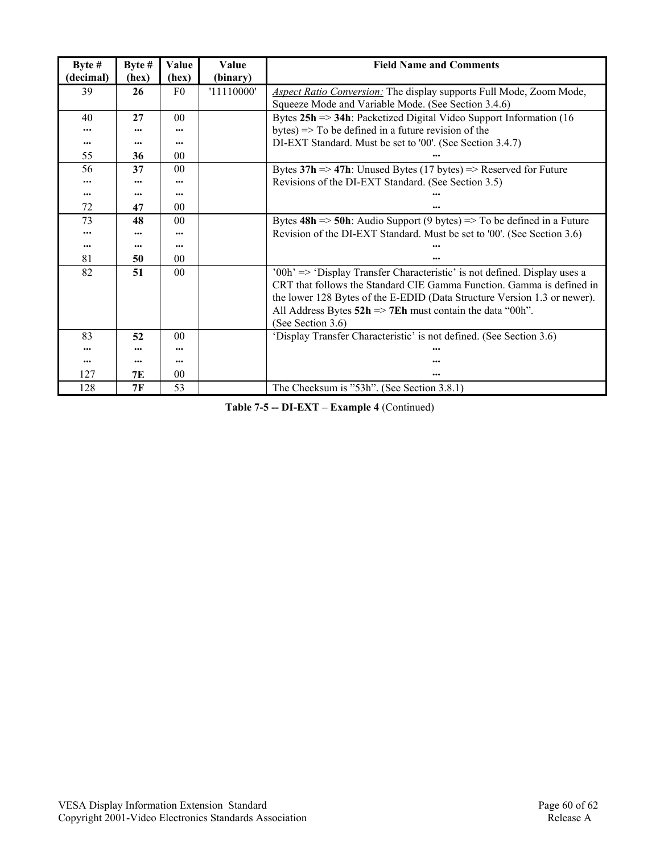| Byte #    | Byte $#$ | Value           | Value      | <b>Field Name and Comments</b>                                                            |  |
|-----------|----------|-----------------|------------|-------------------------------------------------------------------------------------------|--|
| (decimal) | (hex)    | (hex)           | (binary)   |                                                                                           |  |
| 39        | 26       | F <sub>0</sub>  | '11110000' | <b>Aspect Ratio Conversion:</b> The display supports Full Mode, Zoom Mode,                |  |
|           |          |                 |            | Squeeze Mode and Variable Mode. (See Section 3.4.6)                                       |  |
| 40        | 27       | 0 <sub>0</sub>  |            | Bytes $25h \Rightarrow 34h$ : Packetized Digital Video Support Information (16            |  |
|           |          |                 |            | bytes) $\Rightarrow$ To be defined in a future revision of the                            |  |
|           | $\cdots$ |                 |            | DI-EXT Standard. Must be set to '00'. (See Section 3.4.7)                                 |  |
| 55        | 36       | 00 <sup>0</sup> |            |                                                                                           |  |
| 56        | 37       | 0 <sub>0</sub>  |            | Bytes $37h \Rightarrow 47h$ : Unused Bytes (17 bytes) => Reserved for Future              |  |
|           |          |                 |            | Revisions of the DI-EXT Standard. (See Section 3.5)                                       |  |
|           | $\cdots$ | $\cdots$        |            |                                                                                           |  |
| 72        | 47       | 0 <sub>0</sub>  |            |                                                                                           |  |
| 73        | 48       | 0 <sub>0</sub>  |            | Bytes $48h \approx 50h$ : Audio Support (9 bytes) $\Rightarrow$ To be defined in a Future |  |
|           |          |                 |            | Revision of the DI-EXT Standard. Must be set to '00'. (See Section 3.6)                   |  |
|           | $\cdots$ |                 |            |                                                                                           |  |
| 81        | 50       | 0 <sub>0</sub>  |            |                                                                                           |  |
| 82        | 51       | 0 <sub>0</sub>  |            | '00h' => 'Display Transfer Characteristic' is not defined. Display uses a                 |  |
|           |          |                 |            | CRT that follows the Standard CIE Gamma Function. Gamma is defined in                     |  |
|           |          |                 |            | the lower 128 Bytes of the E-EDID (Data Structure Version 1.3 or newer).                  |  |
|           |          |                 |            | All Address Bytes $52h \Rightarrow 7Eh$ must contain the data "00h".                      |  |
|           |          |                 |            | (See Section 3.6)                                                                         |  |
| 83        | 52       | 0 <sub>0</sub>  |            | 'Display Transfer Characteristic' is not defined. (See Section 3.6)                       |  |
|           |          | $\cdots$        |            |                                                                                           |  |
|           | $\cdots$ | $\cdots$        |            |                                                                                           |  |
| 127       | 7E       | 00              |            | $\cdots$                                                                                  |  |
| 128       | 7F       | 53              |            | The Checksum is "53h". (See Section 3.8.1)                                                |  |

**Table 7-5 -- DI-EXT – Example 4** (Continued)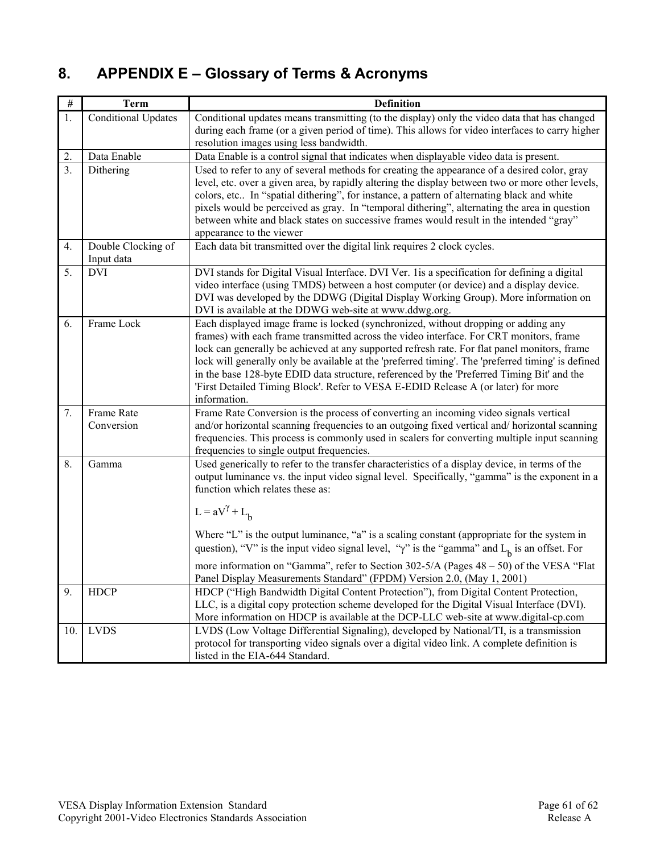# **8. APPENDIX E – Glossary of Terms & Acronyms**

| $\#$           | <b>Term</b>                      | <b>Definition</b>                                                                                                                                                                              |  |
|----------------|----------------------------------|------------------------------------------------------------------------------------------------------------------------------------------------------------------------------------------------|--|
| 1.             | <b>Conditional Updates</b>       | Conditional updates means transmitting (to the display) only the video data that has changed                                                                                                   |  |
|                |                                  | during each frame (or a given period of time). This allows for video interfaces to carry higher<br>resolution images using less bandwidth.                                                     |  |
| 2.             | Data Enable                      | Data Enable is a control signal that indicates when displayable video data is present.                                                                                                         |  |
| 3 <sub>1</sub> | Dithering                        | Used to refer to any of several methods for creating the appearance of a desired color, gray                                                                                                   |  |
|                |                                  | level, etc. over a given area, by rapidly altering the display between two or more other levels,<br>colors, etc In "spatial dithering", for instance, a pattern of alternating black and white |  |
|                |                                  | pixels would be perceived as gray. In "temporal dithering", alternating the area in question                                                                                                   |  |
|                |                                  | between white and black states on successive frames would result in the intended "gray"                                                                                                        |  |
|                |                                  | appearance to the viewer                                                                                                                                                                       |  |
| 4.             | Double Clocking of<br>Input data | Each data bit transmitted over the digital link requires 2 clock cycles.                                                                                                                       |  |
| 5.             | <b>DVI</b>                       | DVI stands for Digital Visual Interface. DVI Ver. 1 is a specification for defining a digital                                                                                                  |  |
|                |                                  | video interface (using TMDS) between a host computer (or device) and a display device.<br>DVI was developed by the DDWG (Digital Display Working Group). More information on                   |  |
|                |                                  | DVI is available at the DDWG web-site at www.ddwg.org.                                                                                                                                         |  |
| 6.             | Frame Lock                       | Each displayed image frame is locked (synchronized, without dropping or adding any                                                                                                             |  |
|                |                                  | frames) with each frame transmitted across the video interface. For CRT monitors, frame<br>lock can generally be achieved at any supported refresh rate. For flat panel monitors, frame        |  |
|                |                                  | lock will generally only be available at the 'preferred timing'. The 'preferred timing' is defined                                                                                             |  |
|                |                                  | in the base 128-byte EDID data structure, referenced by the 'Preferred Timing Bit' and the                                                                                                     |  |
|                |                                  | 'First Detailed Timing Block'. Refer to VESA E-EDID Release A (or later) for more<br>information.                                                                                              |  |
| 7.             | Frame Rate                       | Frame Rate Conversion is the process of converting an incoming video signals vertical                                                                                                          |  |
|                | Conversion                       | and/or horizontal scanning frequencies to an outgoing fixed vertical and/horizontal scanning                                                                                                   |  |
|                |                                  | frequencies. This process is commonly used in scalers for converting multiple input scanning                                                                                                   |  |
| 8.             | Gamma                            | frequencies to single output frequencies.<br>Used generically to refer to the transfer characteristics of a display device, in terms of the                                                    |  |
|                |                                  | output luminance vs. the input video signal level. Specifically, "gamma" is the exponent in a                                                                                                  |  |
|                |                                  | function which relates these as:                                                                                                                                                               |  |
|                |                                  | $L = aV^{\gamma} + L_h$                                                                                                                                                                        |  |
|                |                                  | Where "L" is the output luminance, "a" is a scaling constant (appropriate for the system in                                                                                                    |  |
|                |                                  | question), "V" is the input video signal level, " $\gamma$ " is the "gamma" and L <sub>b</sub> is an offset. For                                                                               |  |
|                |                                  | more information on "Gamma", refer to Section $302-5/A$ (Pages $48-50$ ) of the VESA "Flat                                                                                                     |  |
|                |                                  | Panel Display Measurements Standard" (FPDM) Version 2.0, (May 1, 2001)                                                                                                                         |  |
| 9.             | HDCP                             | HDCP ("High Bandwidth Digital Content Protection"), from Digital Content Protection,                                                                                                           |  |
|                |                                  | More information on HDCP is available at the DCP-LLC web-site at www.digital-cp.com                                                                                                            |  |
| 10.            | <b>LVDS</b>                      | LVDS (Low Voltage Differential Signaling), developed by National/TI, is a transmission                                                                                                         |  |
|                |                                  | listed in the EIA-644 Standard.                                                                                                                                                                |  |
|                |                                  | LLC, is a digital copy protection scheme developed for the Digital Visual Interface (DVI).<br>protocol for transporting video signals over a digital video link. A complete definition is      |  |